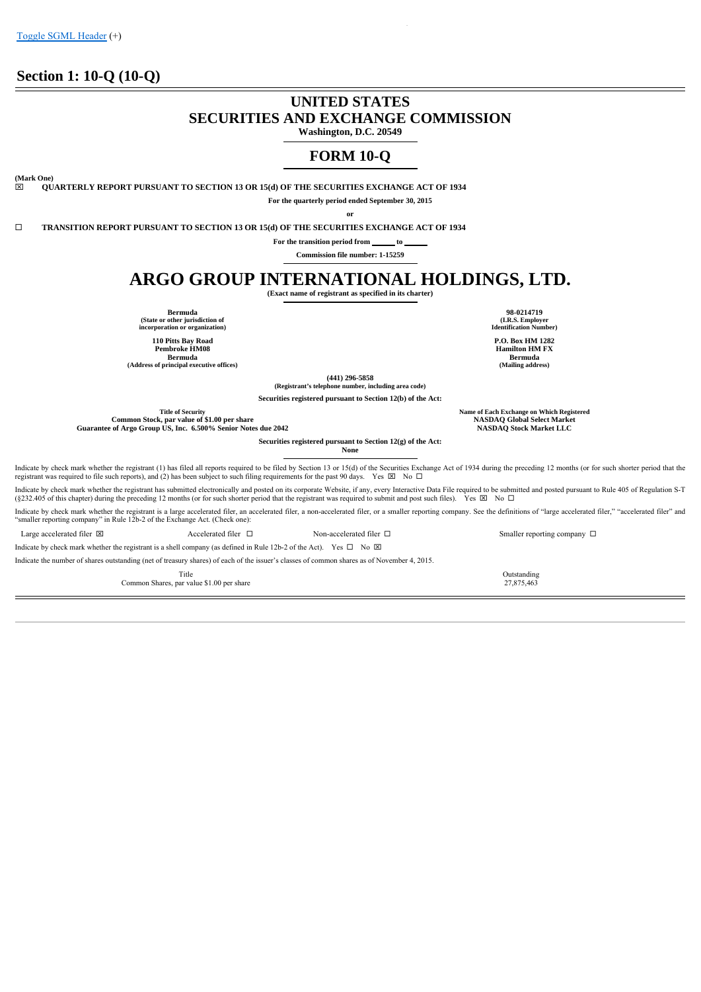## **UNITED STATES SECURITIES AND EXCHANGE COMMISSION**

I

**Washington, D.C. 20549** 

## **FORM 10-Q**

**(Mark One)** 

**For the quarterly period ended September 30, 2015** 

**or** 

**Commission file number: 1-15259** 

# **ARGO GROUP INTERNATIONAL HOLDINGS, LTD.**

**(Exact name of registrant as specified in its charter)** 

**(441) 296-5858 (Registrant's telephone number, including area code)** 

**Securities registered pursuant to Section 12(b) of the Act:** 

Indicate by check mark whether the registrant has submitted electronically and posted on its corporate Website, if any, every Interactive Data File required to be submitted and posted pursuant to Rule 405 of Regulation S-T (§232.405 of this chapter) during the preceding 12 months (or for such shorter period that the registrant was required to submit and post such files). Yes  $\boxtimes$  No  $\Box$ 

**Securities registered pursuant to Section 12(g) of the Act:** 

**None** 

Indicate by check mark whether the registrant (1) has filed all reports required to be filed by Section 13 or 15(d) of the Securities Exchange Act of 1934 during the preceding 12 months (or for such shorter period that the registrant was required to file such reports), and (2) has been subject to such filing requirements for the past 90 days. Yes  $\boxtimes$  No  $\Box$ 

Indicate by check mark whether the registrant is a large accelerated filer, an accelerated filer, a non-accelerated filer, or a smaller reporting company. See the definitions of "large accelerated filer," "accelerated file "smaller reporting company" in Rule 12b-2 of the Exchange Act. (Check one):

| Large accelerated filer $\boxtimes$                                                                                                         | Accelerated filer $\Box$                           | Non-accelerated filer $\Box$ | Smaller reporting company $\Box$ |
|---------------------------------------------------------------------------------------------------------------------------------------------|----------------------------------------------------|------------------------------|----------------------------------|
| Indicate by check mark whether the registrant is a shell company (as defined in Rule 12b-2 of the Act). Yes $\Box$ No $\boxtimes$           |                                                    |                              |                                  |
| Indicate the number of shares outstanding (net of treasury shares) of each of the issuer's classes of common shares as of November 4, 2015. |                                                    |                              |                                  |
|                                                                                                                                             | Title<br>Common Shares, par value \$1.00 per share |                              | Outstanding<br>27,875,463        |

**110 Pitts Bay Road Pembroke HM08 Bermuda**   $(Address of principal executive offices)$ 

**Common Stock, par value of \$1.00 per share Guarantee of Argo Group US, Inc. 6.500% Senior Notes due 2042 NASDAQ Stock Market LLC**

Title of Security<br> **Title of Security Name of Each Exchange on Which Registered**<br> **NASDAQ Global Select Market** 

## **Section 1: 10-Q (10-Q)**

**QUARTERLY REPORT PURSUANT TO SECTION 13 OR 15(d) OF THE SECURITIES EXCHANGE ACT OF 1934** 

**TRANSITION REPORT PURSUANT TO SECTION 13 OR 15(d) OF THE SECURITIES EXCHANGE ACT OF 1934** 

For the transition period from \_\_\_\_\_\_\_ to \_

**Bermuda 98-0214719 (State or other jurisdiction of incorporation or organization)** 

**(I.R.S. Employer Identification Number)** 

**P.O. Box HM 1282 Hamilton HM FX Bermuda**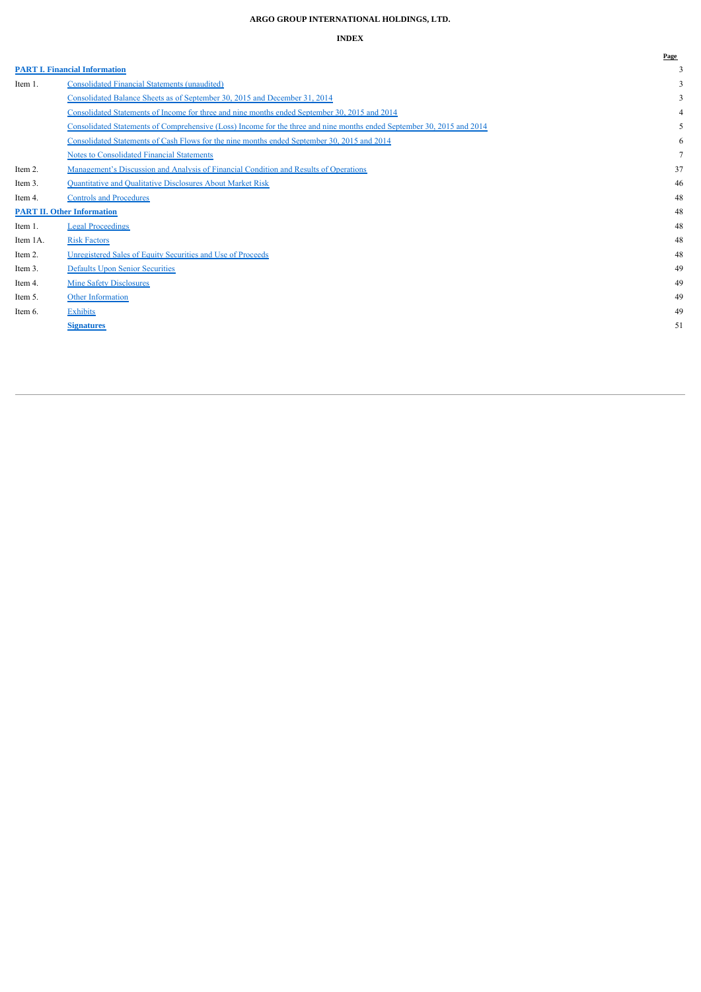## **ARGO GROUP INTERNATIONAL HOLDINGS, LTD.**

## **INDEX**

|          |                                                                                                                        | Page |
|----------|------------------------------------------------------------------------------------------------------------------------|------|
|          | <b>PART I. Financial Information</b>                                                                                   |      |
| Item 1.  | <b>Consolidated Financial Statements (unaudited)</b>                                                                   |      |
|          | Consolidated Balance Sheets as of September 30, 2015 and December 31, 2014                                             |      |
|          | Consolidated Statements of Income for three and nine months ended September 30, 2015 and 2014                          |      |
|          | Consolidated Statements of Comprehensive (Loss) Income for the three and nine months ended September 30, 2015 and 2014 |      |
|          | Consolidated Statements of Cash Flows for the nine months ended September 30, 2015 and 2014                            | h    |
|          | <b>Notes to Consolidated Financial Statements</b>                                                                      |      |
| Item 2.  | Management's Discussion and Analysis of Financial Condition and Results of Operations                                  | 37   |
| Item 3.  | Quantitative and Qualitative Disclosures About Market Risk                                                             | 46   |
| Item 4.  | <b>Controls and Procedures</b>                                                                                         | 48   |
|          | <b>PART II. Other Information</b>                                                                                      | 48   |
| Item 1.  | <b>Legal Proceedings</b>                                                                                               | 48   |
| Item 1A. | <b>Risk Factors</b>                                                                                                    | 48   |
| Item 2.  | Unregistered Sales of Equity Securities and Use of Proceeds                                                            | 48   |
| Item 3.  | <b>Defaults Upon Senior Securities</b>                                                                                 | 49   |
| Item 4.  | <b>Mine Safety Disclosures</b>                                                                                         | 49   |
| Item 5.  | <b>Other Information</b>                                                                                               | 49   |
| Item 6.  | <b>Exhibits</b>                                                                                                        | 49   |
|          | <b>Signatures</b>                                                                                                      | 51   |
|          |                                                                                                                        |      |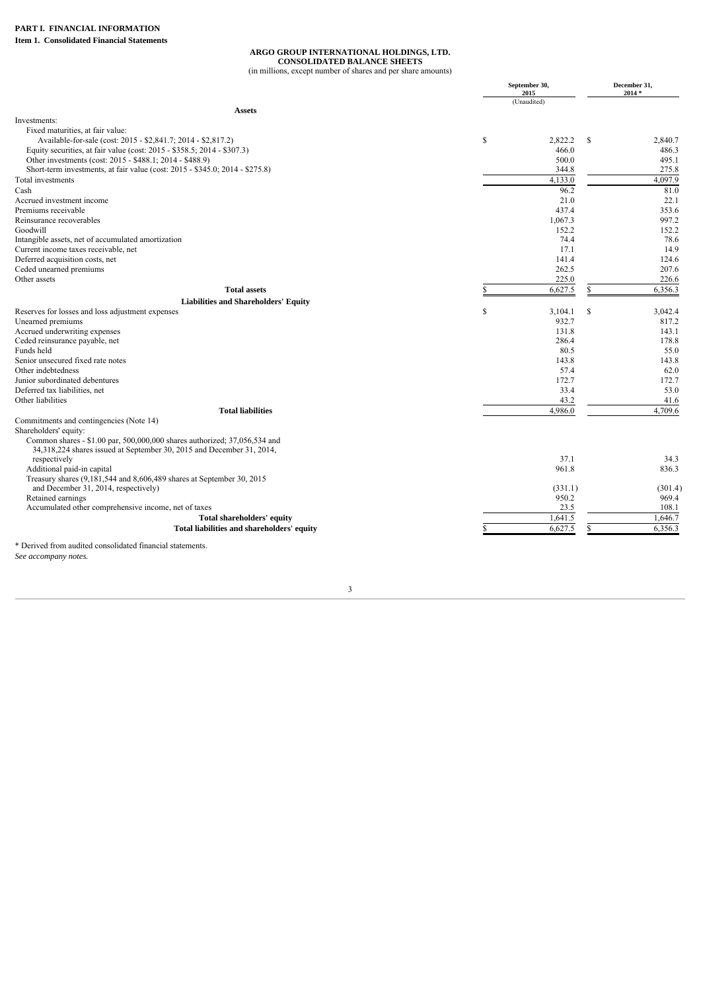#### **ARGO GROUP INTERNATIONAL HOLDINGS, LTD. CONSOLIDATED BALANCE SHEETS**

(in millions, except number of shares and per share amounts)

*See accompany notes.* 

|                                                                              | September 30,<br>2015          | December 31,<br>$2014*$ |
|------------------------------------------------------------------------------|--------------------------------|-------------------------|
|                                                                              | (Unaudited)                    |                         |
| <b>Assets</b>                                                                |                                |                         |
| Investments:                                                                 |                                |                         |
| Fixed maturities, at fair value:                                             |                                |                         |
| Available-for-sale (cost: 2015 - \$2,841.7; 2014 - \$2,817.2)                | \$<br>2,822.2<br>\$            | 2,840.7                 |
| Equity securities, at fair value (cost: 2015 - \$358.5; 2014 - \$307.3)      | 466.0                          | 486.3                   |
| Other investments (cost: 2015 - \$488.1; 2014 - \$488.9)                     | 500.0                          | 495.1                   |
| Short-term investments, at fair value (cost: 2015 - \$345.0; 2014 - \$275.8) | 344.8                          | 275.8                   |
| Total investments                                                            | 4,133.0                        | 4,097.9                 |
| Cash                                                                         | 96.2                           | 81.0                    |
| Accrued investment income                                                    | 21.0                           | 22.1                    |
| Premiums receivable                                                          | 437.4                          | 353.6                   |
| Reinsurance recoverables                                                     | 1,067.3                        | 997.2                   |
| Goodwill                                                                     | 152.2                          | 152.2                   |
| Intangible assets, net of accumulated amortization                           | 74.4                           | 78.6                    |
| Current income taxes receivable, net                                         | 17.1                           | 14.9                    |
| Deferred acquisition costs, net                                              | 141.4                          | 124.6                   |
| Ceded unearned premiums                                                      | 262.5                          | 207.6                   |
| Other assets                                                                 | 225.0                          | 226.6                   |
| <b>Total assets</b>                                                          | 6,627.5<br>S.                  | 6,356.3                 |
| <b>Liabilities and Shareholders' Equity</b>                                  |                                |                         |
| Reserves for losses and loss adjustment expenses                             | \$<br>3,104.1<br><sup>\$</sup> | 3,042.4                 |
| Unearned premiums                                                            | 932.7                          | 817.2                   |
| Accrued underwriting expenses                                                | 131.8                          | 143.1                   |
| Ceded reinsurance payable, net                                               | 286.4                          | 178.8                   |
| Funds held                                                                   | 80.5                           | 55.0                    |
| Senior unsecured fixed rate notes                                            | 143.8                          | 143.8                   |
| Other indebtedness                                                           | 57.4                           | 62.0                    |
| Junior subordinated debentures                                               | 172.7                          | 172.7                   |
| Deferred tax liabilities, net                                                | 33.4                           | 53.0                    |
| Other liabilities                                                            | 43.2                           | 41.6                    |
| <b>Total liabilities</b>                                                     | 4,986.0                        | 4,709.6                 |
| Commitments and contingencies (Note 14)                                      |                                |                         |
| Shareholders' equity:                                                        |                                |                         |
| Common shares - \$1.00 par, 500,000,000 shares authorized; 37,056,534 and    |                                |                         |
| 34,318,224 shares issued at September 30, 2015 and December 31, 2014,        |                                |                         |
| respectively                                                                 | 37.1                           | 34.3                    |
| Additional paid-in capital                                                   | 961.8                          | 836.3                   |
| Treasury shares (9,181,544 and 8,606,489 shares at September 30, 2015        |                                |                         |
| and December 31, 2014, respectively)                                         | (331.1)                        | (301.4)                 |
| Retained earnings                                                            | 950.2                          | 969.4                   |
| Accumulated other comprehensive income, net of taxes                         | 23.5                           | 108.1                   |
| <b>Total shareholders' equity</b>                                            | 1,641.5                        | 1,646.7                 |
| Total liabilities and shareholders' equity                                   | 6,627.5                        | 6,356.3                 |
| * Derived from audited consolidated financial statements.                    |                                |                         |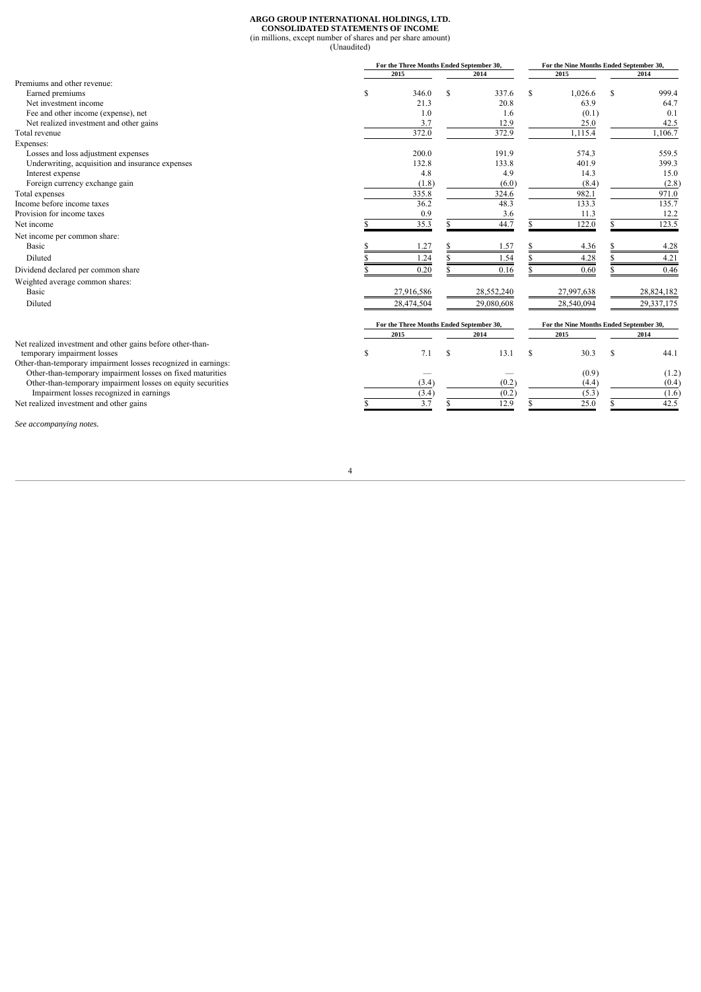#### **ARGO GROUP INTERNATIONAL HOLDINGS, LTD. CONSOLIDATED STATEMENTS OF INCOME**

(in millions, except number of shares and per share amount)

(Unaudited)

*See accompanying notes.* 

| 2014<br>2015<br>2014<br>2015<br>Premiums and other revenue:<br>999.4<br>Earned premiums<br>\$<br>346.0<br>337.6<br>\$<br>1,026.6<br>\$<br><sup>\$</sup><br>Net investment income<br>21.3<br>20.8<br>63.9<br>64.7<br>Fee and other income (expense), net<br>1.0<br>1.6<br>(0.1)<br>0.1<br>Net realized investment and other gains<br>12.9<br>42.5<br>3.7<br>25.0<br>372.0<br>372.9<br>1,106.7<br>1,115.4<br>Total revenue<br>Expenses:<br>Losses and loss adjustment expenses<br>200.0<br>191.9<br>574.3<br>559.5<br>132.8<br>401.9<br>399.3<br>Underwriting, acquisition and insurance expenses<br>133.8<br>4.8<br>4.9<br>14.3<br>15.0<br>Interest expense<br>(1.8)<br>(8.4)<br>(2.8)<br>Foreign currency exchange gain<br>(6.0)<br>335.8<br>982.1<br>971.0<br>324.6<br>Total expenses<br>135.7<br>Income before income taxes<br>36.2<br>48.3<br>133.3<br>Provision for income taxes<br>0.9<br>11.3<br>12.2<br>3.6<br>35.3<br>44.7<br>122.0<br>123.5<br>Net income |
|--------------------------------------------------------------------------------------------------------------------------------------------------------------------------------------------------------------------------------------------------------------------------------------------------------------------------------------------------------------------------------------------------------------------------------------------------------------------------------------------------------------------------------------------------------------------------------------------------------------------------------------------------------------------------------------------------------------------------------------------------------------------------------------------------------------------------------------------------------------------------------------------------------------------------------------------------------------------|
|                                                                                                                                                                                                                                                                                                                                                                                                                                                                                                                                                                                                                                                                                                                                                                                                                                                                                                                                                                    |
|                                                                                                                                                                                                                                                                                                                                                                                                                                                                                                                                                                                                                                                                                                                                                                                                                                                                                                                                                                    |
|                                                                                                                                                                                                                                                                                                                                                                                                                                                                                                                                                                                                                                                                                                                                                                                                                                                                                                                                                                    |
|                                                                                                                                                                                                                                                                                                                                                                                                                                                                                                                                                                                                                                                                                                                                                                                                                                                                                                                                                                    |
|                                                                                                                                                                                                                                                                                                                                                                                                                                                                                                                                                                                                                                                                                                                                                                                                                                                                                                                                                                    |
|                                                                                                                                                                                                                                                                                                                                                                                                                                                                                                                                                                                                                                                                                                                                                                                                                                                                                                                                                                    |
|                                                                                                                                                                                                                                                                                                                                                                                                                                                                                                                                                                                                                                                                                                                                                                                                                                                                                                                                                                    |
|                                                                                                                                                                                                                                                                                                                                                                                                                                                                                                                                                                                                                                                                                                                                                                                                                                                                                                                                                                    |
|                                                                                                                                                                                                                                                                                                                                                                                                                                                                                                                                                                                                                                                                                                                                                                                                                                                                                                                                                                    |
|                                                                                                                                                                                                                                                                                                                                                                                                                                                                                                                                                                                                                                                                                                                                                                                                                                                                                                                                                                    |
|                                                                                                                                                                                                                                                                                                                                                                                                                                                                                                                                                                                                                                                                                                                                                                                                                                                                                                                                                                    |
|                                                                                                                                                                                                                                                                                                                                                                                                                                                                                                                                                                                                                                                                                                                                                                                                                                                                                                                                                                    |
|                                                                                                                                                                                                                                                                                                                                                                                                                                                                                                                                                                                                                                                                                                                                                                                                                                                                                                                                                                    |
|                                                                                                                                                                                                                                                                                                                                                                                                                                                                                                                                                                                                                                                                                                                                                                                                                                                                                                                                                                    |
|                                                                                                                                                                                                                                                                                                                                                                                                                                                                                                                                                                                                                                                                                                                                                                                                                                                                                                                                                                    |
|                                                                                                                                                                                                                                                                                                                                                                                                                                                                                                                                                                                                                                                                                                                                                                                                                                                                                                                                                                    |
| Net income per common share:                                                                                                                                                                                                                                                                                                                                                                                                                                                                                                                                                                                                                                                                                                                                                                                                                                                                                                                                       |
| 1.57<br>1.27<br>4.36<br>4.28<br><b>Basic</b>                                                                                                                                                                                                                                                                                                                                                                                                                                                                                                                                                                                                                                                                                                                                                                                                                                                                                                                       |
| Diluted<br>1.24<br>1.54<br>4.21<br>4.28                                                                                                                                                                                                                                                                                                                                                                                                                                                                                                                                                                                                                                                                                                                                                                                                                                                                                                                            |
| 0.20<br>Dividend declared per common share<br>0.16<br>0.46<br>0.60                                                                                                                                                                                                                                                                                                                                                                                                                                                                                                                                                                                                                                                                                                                                                                                                                                                                                                 |
| Weighted average common shares:                                                                                                                                                                                                                                                                                                                                                                                                                                                                                                                                                                                                                                                                                                                                                                                                                                                                                                                                    |
| Basic<br>27,916,586<br>28,552,240<br>28,824,182<br>27,997,638                                                                                                                                                                                                                                                                                                                                                                                                                                                                                                                                                                                                                                                                                                                                                                                                                                                                                                      |
| 29,337,175<br>Diluted<br>28,474,504<br>29,080,608<br>28,540,094                                                                                                                                                                                                                                                                                                                                                                                                                                                                                                                                                                                                                                                                                                                                                                                                                                                                                                    |
|                                                                                                                                                                                                                                                                                                                                                                                                                                                                                                                                                                                                                                                                                                                                                                                                                                                                                                                                                                    |
| For the Three Months Ended September 30,<br>For the Nine Months Ended September 30,                                                                                                                                                                                                                                                                                                                                                                                                                                                                                                                                                                                                                                                                                                                                                                                                                                                                                |
| 2015<br>2015<br>2014<br>2014                                                                                                                                                                                                                                                                                                                                                                                                                                                                                                                                                                                                                                                                                                                                                                                                                                                                                                                                       |
| Net realized investment and other gains before other-than-<br>\$<br>7.1<br>13.1<br>30.3<br>44.1<br><sup>\$</sup><br><sup>\$</sup><br>S.                                                                                                                                                                                                                                                                                                                                                                                                                                                                                                                                                                                                                                                                                                                                                                                                                            |
| temporary impairment losses<br>Other-than-temporary impairment losses recognized in earnings:                                                                                                                                                                                                                                                                                                                                                                                                                                                                                                                                                                                                                                                                                                                                                                                                                                                                      |
| Other-than-temporary impairment losses on fixed maturities                                                                                                                                                                                                                                                                                                                                                                                                                                                                                                                                                                                                                                                                                                                                                                                                                                                                                                         |
| (0.9)<br>(1.2)                                                                                                                                                                                                                                                                                                                                                                                                                                                                                                                                                                                                                                                                                                                                                                                                                                                                                                                                                     |
| Other-than-temporary impairment losses on equity securities<br>(0.4)<br>(3.4)<br>(0.2)<br>(4.4)                                                                                                                                                                                                                                                                                                                                                                                                                                                                                                                                                                                                                                                                                                                                                                                                                                                                    |
| Impairment losses recognized in earnings<br>(3.4)<br>(0.2)<br>(1.6)<br>(5.3)                                                                                                                                                                                                                                                                                                                                                                                                                                                                                                                                                                                                                                                                                                                                                                                                                                                                                       |
| 42.5<br>Net realized investment and other gains<br>3.7<br>12.9<br>25.0                                                                                                                                                                                                                                                                                                                                                                                                                                                                                                                                                                                                                                                                                                                                                                                                                                                                                             |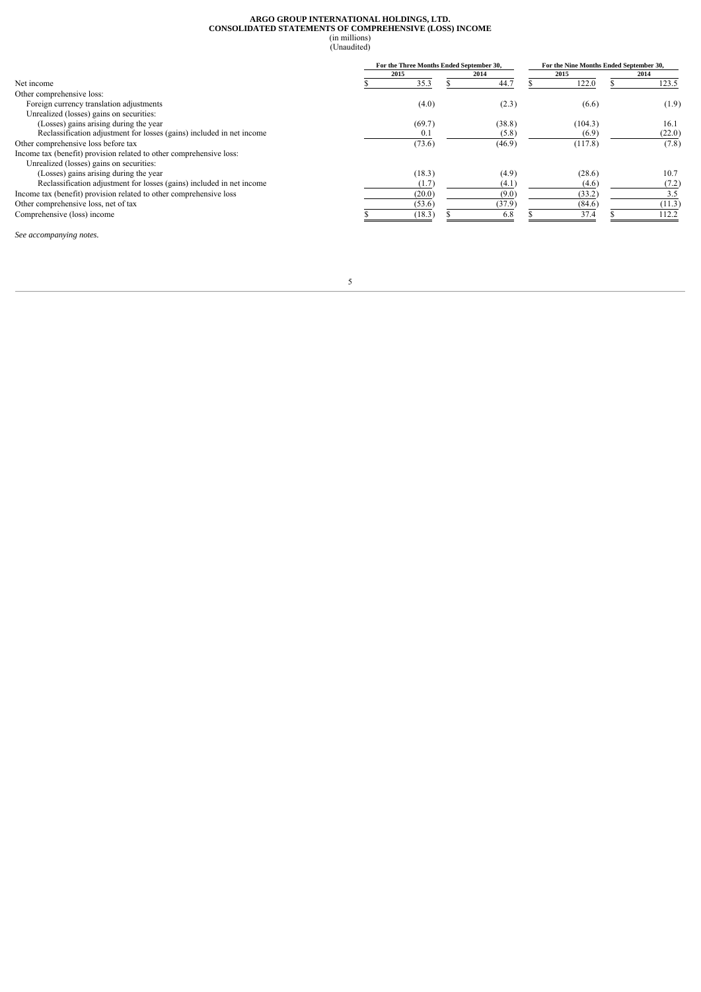#### **ARGO GROUP INTERNATIONAL HOLDINGS, LTD. CONSOLIDATED STATEMENTS OF COMPREHENSIVE (LOSS) INCOME**  (in millions) (Unaudited)

*See accompanying notes.* 

|                                                                       | For the Three Months Ended September 30, |        |  | For the Nine Months Ended September 30, |      |         |  |        |
|-----------------------------------------------------------------------|------------------------------------------|--------|--|-----------------------------------------|------|---------|--|--------|
|                                                                       | 2015                                     | 2014   |  |                                         | 2015 | 2014    |  |        |
| Net income                                                            |                                          | 35.3   |  | 44.1                                    |      | 122.0   |  | 123.5  |
| Other comprehensive loss:                                             |                                          |        |  |                                         |      |         |  |        |
| Foreign currency translation adjustments                              |                                          | (4.0)  |  | (2.3)                                   |      | (6.6)   |  | (1.9)  |
| Unrealized (losses) gains on securities:                              |                                          |        |  |                                         |      |         |  |        |
| (Losses) gains arising during the year                                |                                          | (69.7) |  | (38.8)                                  |      | (104.3) |  | 16.1   |
| Reclassification adjustment for losses (gains) included in net income |                                          | 0.1    |  | (5.8)                                   |      | (6.9)   |  | (22.0) |
| Other comprehensive loss before tax                                   |                                          | (73.6) |  | (46.9)                                  |      | (117.8) |  | (7.8)  |
| Income tax (benefit) provision related to other comprehensive loss:   |                                          |        |  |                                         |      |         |  |        |
| Unrealized (losses) gains on securities:                              |                                          |        |  |                                         |      |         |  |        |
| (Losses) gains arising during the year                                |                                          | (18.3) |  | (4.9)                                   |      | (28.6)  |  | 10.7   |
| Reclassification adjustment for losses (gains) included in net income |                                          | (1.7)  |  | (4.1)                                   |      | (4.6)   |  | (7.2)  |
| Income tax (benefit) provision related to other comprehensive loss    |                                          | (20.0) |  | (9.0)                                   |      | (33.2)  |  | 3.5    |
| Other comprehensive loss, net of tax                                  |                                          | (53.6) |  | (37.9)                                  |      | (84.6)  |  | (11.3) |
| Comprehensive (loss) income                                           |                                          | (18.3) |  | 6.8                                     |      | 37.4    |  | 112.2  |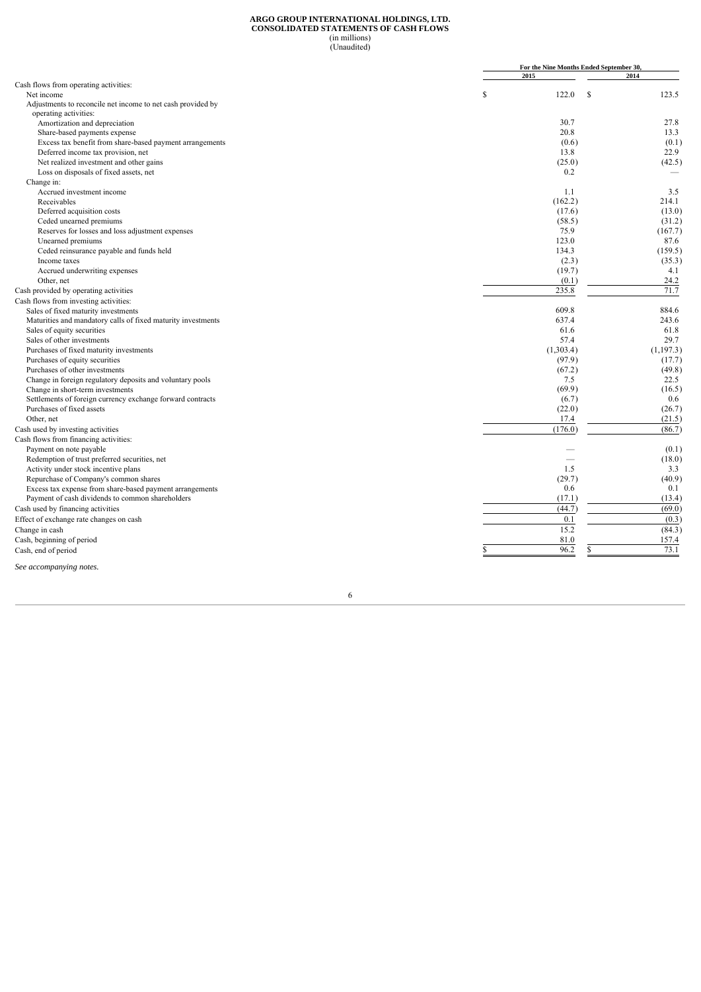#### **ARGO GROUP INTERNATIONAL HOLDINGS, LTD. CONSOLIDATED STATEMENTS OF CASH FLOWS**  (in millions) (Unaudited)

| 2015<br>2014<br>Cash flows from operating activities:<br>122.0<br>$\mathcal{S}$<br>123.5<br>\$<br>Net income<br>Adjustments to reconcile net income to net cash provided by<br>operating activities:<br>Amortization and depreciation<br>30.7<br>27.8<br>20.8<br>13.3<br>Share-based payments expense<br>Excess tax benefit from share-based payment arrangements<br>(0.6)<br>(0.1)<br>13.8<br>Deferred income tax provision, net<br>22.9<br>(42.5)<br>Net realized investment and other gains<br>(25.0)<br>Loss on disposals of fixed assets, net<br>0.2<br>Change in:<br>Accrued investment income<br>1.1<br>3.5<br>(162.2)<br>214.1<br>Receivables<br>Deferred acquisition costs<br>(17.6)<br>(13.0)<br>Ceded unearned premiums<br>(58.5)<br>(31.2)<br>75.9<br>Reserves for losses and loss adjustment expenses<br>(167.7)<br>123.0<br>87.6<br>Unearned premiums<br>134.3<br>(159.5)<br>Ceded reinsurance payable and funds held<br>(2.3)<br>(35.3)<br>Income taxes<br>(19.7)<br>4.1<br>Accrued underwriting expenses<br>(0.1)<br>24.2<br>Other, net<br>71.7<br>Cash provided by operating activities<br>235.8<br>Cash flows from investing activities:<br>Sales of fixed maturity investments<br>609.8<br>884.6<br>Maturities and mandatory calls of fixed maturity investments<br>637.4<br>243.6<br>61.6<br>61.8<br>Sales of equity securities<br>57.4<br>Sales of other investments<br>29.7<br>(1,303.4)<br>(1,197.3)<br>Purchases of fixed maturity investments<br>Purchases of equity securities<br>(97.9)<br>(17.7)<br>Purchases of other investments<br>(67.2)<br>(49.8)<br>7.5<br>22.5<br>Change in foreign regulatory deposits and voluntary pools<br>(69.9)<br>(16.5)<br>Change in short-term investments<br>Settlements of foreign currency exchange forward contracts<br>(6.7)<br>0.6<br>Purchases of fixed assets<br>(22.0)<br>(26.7)<br>17.4<br>(21.5)<br>Other, net<br>(176.0)<br>(86.7)<br>Cash flows from financing activities:<br>Payment on note payable<br>(0.1)<br>Redemption of trust preferred securities, net<br>(18.0)<br>Activity under stock incentive plans<br>1.5<br>3.3<br>(29.7)<br>(40.9)<br>Repurchase of Company's common shares<br>Excess tax expense from share-based payment arrangements<br>0.6<br>0.1<br>(17.1)<br>(13.4)<br>Payment of cash dividends to common shareholders<br>Cash used by financing activities<br>(69.0)<br>(44.7)<br>Effect of exchange rate changes on cash<br>0.1<br>(0.3)<br>15.2<br>(84.3)<br>Change in cash<br>Cash, beginning of period<br>81.0<br>157.4<br>73.1<br>96.2<br>Cash, end of period |                                   | For the Nine Months Ended September 30, |
|----------------------------------------------------------------------------------------------------------------------------------------------------------------------------------------------------------------------------------------------------------------------------------------------------------------------------------------------------------------------------------------------------------------------------------------------------------------------------------------------------------------------------------------------------------------------------------------------------------------------------------------------------------------------------------------------------------------------------------------------------------------------------------------------------------------------------------------------------------------------------------------------------------------------------------------------------------------------------------------------------------------------------------------------------------------------------------------------------------------------------------------------------------------------------------------------------------------------------------------------------------------------------------------------------------------------------------------------------------------------------------------------------------------------------------------------------------------------------------------------------------------------------------------------------------------------------------------------------------------------------------------------------------------------------------------------------------------------------------------------------------------------------------------------------------------------------------------------------------------------------------------------------------------------------------------------------------------------------------------------------------------------------------------------------------------------------------------------------------------------------------------------------------------------------------------------------------------------------------------------------------------------------------------------------------------------------------------------------------------------------------------------------------------------------------------------------------------------------------------------------------------------------------------------------------------------|-----------------------------------|-----------------------------------------|
|                                                                                                                                                                                                                                                                                                                                                                                                                                                                                                                                                                                                                                                                                                                                                                                                                                                                                                                                                                                                                                                                                                                                                                                                                                                                                                                                                                                                                                                                                                                                                                                                                                                                                                                                                                                                                                                                                                                                                                                                                                                                                                                                                                                                                                                                                                                                                                                                                                                                                                                                                                      |                                   |                                         |
|                                                                                                                                                                                                                                                                                                                                                                                                                                                                                                                                                                                                                                                                                                                                                                                                                                                                                                                                                                                                                                                                                                                                                                                                                                                                                                                                                                                                                                                                                                                                                                                                                                                                                                                                                                                                                                                                                                                                                                                                                                                                                                                                                                                                                                                                                                                                                                                                                                                                                                                                                                      |                                   |                                         |
|                                                                                                                                                                                                                                                                                                                                                                                                                                                                                                                                                                                                                                                                                                                                                                                                                                                                                                                                                                                                                                                                                                                                                                                                                                                                                                                                                                                                                                                                                                                                                                                                                                                                                                                                                                                                                                                                                                                                                                                                                                                                                                                                                                                                                                                                                                                                                                                                                                                                                                                                                                      |                                   |                                         |
|                                                                                                                                                                                                                                                                                                                                                                                                                                                                                                                                                                                                                                                                                                                                                                                                                                                                                                                                                                                                                                                                                                                                                                                                                                                                                                                                                                                                                                                                                                                                                                                                                                                                                                                                                                                                                                                                                                                                                                                                                                                                                                                                                                                                                                                                                                                                                                                                                                                                                                                                                                      |                                   |                                         |
|                                                                                                                                                                                                                                                                                                                                                                                                                                                                                                                                                                                                                                                                                                                                                                                                                                                                                                                                                                                                                                                                                                                                                                                                                                                                                                                                                                                                                                                                                                                                                                                                                                                                                                                                                                                                                                                                                                                                                                                                                                                                                                                                                                                                                                                                                                                                                                                                                                                                                                                                                                      |                                   |                                         |
|                                                                                                                                                                                                                                                                                                                                                                                                                                                                                                                                                                                                                                                                                                                                                                                                                                                                                                                                                                                                                                                                                                                                                                                                                                                                                                                                                                                                                                                                                                                                                                                                                                                                                                                                                                                                                                                                                                                                                                                                                                                                                                                                                                                                                                                                                                                                                                                                                                                                                                                                                                      |                                   |                                         |
|                                                                                                                                                                                                                                                                                                                                                                                                                                                                                                                                                                                                                                                                                                                                                                                                                                                                                                                                                                                                                                                                                                                                                                                                                                                                                                                                                                                                                                                                                                                                                                                                                                                                                                                                                                                                                                                                                                                                                                                                                                                                                                                                                                                                                                                                                                                                                                                                                                                                                                                                                                      |                                   |                                         |
|                                                                                                                                                                                                                                                                                                                                                                                                                                                                                                                                                                                                                                                                                                                                                                                                                                                                                                                                                                                                                                                                                                                                                                                                                                                                                                                                                                                                                                                                                                                                                                                                                                                                                                                                                                                                                                                                                                                                                                                                                                                                                                                                                                                                                                                                                                                                                                                                                                                                                                                                                                      |                                   |                                         |
|                                                                                                                                                                                                                                                                                                                                                                                                                                                                                                                                                                                                                                                                                                                                                                                                                                                                                                                                                                                                                                                                                                                                                                                                                                                                                                                                                                                                                                                                                                                                                                                                                                                                                                                                                                                                                                                                                                                                                                                                                                                                                                                                                                                                                                                                                                                                                                                                                                                                                                                                                                      |                                   |                                         |
|                                                                                                                                                                                                                                                                                                                                                                                                                                                                                                                                                                                                                                                                                                                                                                                                                                                                                                                                                                                                                                                                                                                                                                                                                                                                                                                                                                                                                                                                                                                                                                                                                                                                                                                                                                                                                                                                                                                                                                                                                                                                                                                                                                                                                                                                                                                                                                                                                                                                                                                                                                      |                                   |                                         |
|                                                                                                                                                                                                                                                                                                                                                                                                                                                                                                                                                                                                                                                                                                                                                                                                                                                                                                                                                                                                                                                                                                                                                                                                                                                                                                                                                                                                                                                                                                                                                                                                                                                                                                                                                                                                                                                                                                                                                                                                                                                                                                                                                                                                                                                                                                                                                                                                                                                                                                                                                                      |                                   |                                         |
|                                                                                                                                                                                                                                                                                                                                                                                                                                                                                                                                                                                                                                                                                                                                                                                                                                                                                                                                                                                                                                                                                                                                                                                                                                                                                                                                                                                                                                                                                                                                                                                                                                                                                                                                                                                                                                                                                                                                                                                                                                                                                                                                                                                                                                                                                                                                                                                                                                                                                                                                                                      |                                   |                                         |
|                                                                                                                                                                                                                                                                                                                                                                                                                                                                                                                                                                                                                                                                                                                                                                                                                                                                                                                                                                                                                                                                                                                                                                                                                                                                                                                                                                                                                                                                                                                                                                                                                                                                                                                                                                                                                                                                                                                                                                                                                                                                                                                                                                                                                                                                                                                                                                                                                                                                                                                                                                      |                                   |                                         |
|                                                                                                                                                                                                                                                                                                                                                                                                                                                                                                                                                                                                                                                                                                                                                                                                                                                                                                                                                                                                                                                                                                                                                                                                                                                                                                                                                                                                                                                                                                                                                                                                                                                                                                                                                                                                                                                                                                                                                                                                                                                                                                                                                                                                                                                                                                                                                                                                                                                                                                                                                                      |                                   |                                         |
|                                                                                                                                                                                                                                                                                                                                                                                                                                                                                                                                                                                                                                                                                                                                                                                                                                                                                                                                                                                                                                                                                                                                                                                                                                                                                                                                                                                                                                                                                                                                                                                                                                                                                                                                                                                                                                                                                                                                                                                                                                                                                                                                                                                                                                                                                                                                                                                                                                                                                                                                                                      |                                   |                                         |
|                                                                                                                                                                                                                                                                                                                                                                                                                                                                                                                                                                                                                                                                                                                                                                                                                                                                                                                                                                                                                                                                                                                                                                                                                                                                                                                                                                                                                                                                                                                                                                                                                                                                                                                                                                                                                                                                                                                                                                                                                                                                                                                                                                                                                                                                                                                                                                                                                                                                                                                                                                      |                                   |                                         |
|                                                                                                                                                                                                                                                                                                                                                                                                                                                                                                                                                                                                                                                                                                                                                                                                                                                                                                                                                                                                                                                                                                                                                                                                                                                                                                                                                                                                                                                                                                                                                                                                                                                                                                                                                                                                                                                                                                                                                                                                                                                                                                                                                                                                                                                                                                                                                                                                                                                                                                                                                                      |                                   |                                         |
|                                                                                                                                                                                                                                                                                                                                                                                                                                                                                                                                                                                                                                                                                                                                                                                                                                                                                                                                                                                                                                                                                                                                                                                                                                                                                                                                                                                                                                                                                                                                                                                                                                                                                                                                                                                                                                                                                                                                                                                                                                                                                                                                                                                                                                                                                                                                                                                                                                                                                                                                                                      |                                   |                                         |
|                                                                                                                                                                                                                                                                                                                                                                                                                                                                                                                                                                                                                                                                                                                                                                                                                                                                                                                                                                                                                                                                                                                                                                                                                                                                                                                                                                                                                                                                                                                                                                                                                                                                                                                                                                                                                                                                                                                                                                                                                                                                                                                                                                                                                                                                                                                                                                                                                                                                                                                                                                      |                                   |                                         |
|                                                                                                                                                                                                                                                                                                                                                                                                                                                                                                                                                                                                                                                                                                                                                                                                                                                                                                                                                                                                                                                                                                                                                                                                                                                                                                                                                                                                                                                                                                                                                                                                                                                                                                                                                                                                                                                                                                                                                                                                                                                                                                                                                                                                                                                                                                                                                                                                                                                                                                                                                                      |                                   |                                         |
|                                                                                                                                                                                                                                                                                                                                                                                                                                                                                                                                                                                                                                                                                                                                                                                                                                                                                                                                                                                                                                                                                                                                                                                                                                                                                                                                                                                                                                                                                                                                                                                                                                                                                                                                                                                                                                                                                                                                                                                                                                                                                                                                                                                                                                                                                                                                                                                                                                                                                                                                                                      |                                   |                                         |
|                                                                                                                                                                                                                                                                                                                                                                                                                                                                                                                                                                                                                                                                                                                                                                                                                                                                                                                                                                                                                                                                                                                                                                                                                                                                                                                                                                                                                                                                                                                                                                                                                                                                                                                                                                                                                                                                                                                                                                                                                                                                                                                                                                                                                                                                                                                                                                                                                                                                                                                                                                      |                                   |                                         |
|                                                                                                                                                                                                                                                                                                                                                                                                                                                                                                                                                                                                                                                                                                                                                                                                                                                                                                                                                                                                                                                                                                                                                                                                                                                                                                                                                                                                                                                                                                                                                                                                                                                                                                                                                                                                                                                                                                                                                                                                                                                                                                                                                                                                                                                                                                                                                                                                                                                                                                                                                                      |                                   |                                         |
|                                                                                                                                                                                                                                                                                                                                                                                                                                                                                                                                                                                                                                                                                                                                                                                                                                                                                                                                                                                                                                                                                                                                                                                                                                                                                                                                                                                                                                                                                                                                                                                                                                                                                                                                                                                                                                                                                                                                                                                                                                                                                                                                                                                                                                                                                                                                                                                                                                                                                                                                                                      |                                   |                                         |
|                                                                                                                                                                                                                                                                                                                                                                                                                                                                                                                                                                                                                                                                                                                                                                                                                                                                                                                                                                                                                                                                                                                                                                                                                                                                                                                                                                                                                                                                                                                                                                                                                                                                                                                                                                                                                                                                                                                                                                                                                                                                                                                                                                                                                                                                                                                                                                                                                                                                                                                                                                      |                                   |                                         |
|                                                                                                                                                                                                                                                                                                                                                                                                                                                                                                                                                                                                                                                                                                                                                                                                                                                                                                                                                                                                                                                                                                                                                                                                                                                                                                                                                                                                                                                                                                                                                                                                                                                                                                                                                                                                                                                                                                                                                                                                                                                                                                                                                                                                                                                                                                                                                                                                                                                                                                                                                                      |                                   |                                         |
|                                                                                                                                                                                                                                                                                                                                                                                                                                                                                                                                                                                                                                                                                                                                                                                                                                                                                                                                                                                                                                                                                                                                                                                                                                                                                                                                                                                                                                                                                                                                                                                                                                                                                                                                                                                                                                                                                                                                                                                                                                                                                                                                                                                                                                                                                                                                                                                                                                                                                                                                                                      |                                   |                                         |
|                                                                                                                                                                                                                                                                                                                                                                                                                                                                                                                                                                                                                                                                                                                                                                                                                                                                                                                                                                                                                                                                                                                                                                                                                                                                                                                                                                                                                                                                                                                                                                                                                                                                                                                                                                                                                                                                                                                                                                                                                                                                                                                                                                                                                                                                                                                                                                                                                                                                                                                                                                      |                                   |                                         |
|                                                                                                                                                                                                                                                                                                                                                                                                                                                                                                                                                                                                                                                                                                                                                                                                                                                                                                                                                                                                                                                                                                                                                                                                                                                                                                                                                                                                                                                                                                                                                                                                                                                                                                                                                                                                                                                                                                                                                                                                                                                                                                                                                                                                                                                                                                                                                                                                                                                                                                                                                                      |                                   |                                         |
|                                                                                                                                                                                                                                                                                                                                                                                                                                                                                                                                                                                                                                                                                                                                                                                                                                                                                                                                                                                                                                                                                                                                                                                                                                                                                                                                                                                                                                                                                                                                                                                                                                                                                                                                                                                                                                                                                                                                                                                                                                                                                                                                                                                                                                                                                                                                                                                                                                                                                                                                                                      |                                   |                                         |
|                                                                                                                                                                                                                                                                                                                                                                                                                                                                                                                                                                                                                                                                                                                                                                                                                                                                                                                                                                                                                                                                                                                                                                                                                                                                                                                                                                                                                                                                                                                                                                                                                                                                                                                                                                                                                                                                                                                                                                                                                                                                                                                                                                                                                                                                                                                                                                                                                                                                                                                                                                      |                                   |                                         |
|                                                                                                                                                                                                                                                                                                                                                                                                                                                                                                                                                                                                                                                                                                                                                                                                                                                                                                                                                                                                                                                                                                                                                                                                                                                                                                                                                                                                                                                                                                                                                                                                                                                                                                                                                                                                                                                                                                                                                                                                                                                                                                                                                                                                                                                                                                                                                                                                                                                                                                                                                                      |                                   |                                         |
|                                                                                                                                                                                                                                                                                                                                                                                                                                                                                                                                                                                                                                                                                                                                                                                                                                                                                                                                                                                                                                                                                                                                                                                                                                                                                                                                                                                                                                                                                                                                                                                                                                                                                                                                                                                                                                                                                                                                                                                                                                                                                                                                                                                                                                                                                                                                                                                                                                                                                                                                                                      |                                   |                                         |
|                                                                                                                                                                                                                                                                                                                                                                                                                                                                                                                                                                                                                                                                                                                                                                                                                                                                                                                                                                                                                                                                                                                                                                                                                                                                                                                                                                                                                                                                                                                                                                                                                                                                                                                                                                                                                                                                                                                                                                                                                                                                                                                                                                                                                                                                                                                                                                                                                                                                                                                                                                      |                                   |                                         |
|                                                                                                                                                                                                                                                                                                                                                                                                                                                                                                                                                                                                                                                                                                                                                                                                                                                                                                                                                                                                                                                                                                                                                                                                                                                                                                                                                                                                                                                                                                                                                                                                                                                                                                                                                                                                                                                                                                                                                                                                                                                                                                                                                                                                                                                                                                                                                                                                                                                                                                                                                                      |                                   |                                         |
|                                                                                                                                                                                                                                                                                                                                                                                                                                                                                                                                                                                                                                                                                                                                                                                                                                                                                                                                                                                                                                                                                                                                                                                                                                                                                                                                                                                                                                                                                                                                                                                                                                                                                                                                                                                                                                                                                                                                                                                                                                                                                                                                                                                                                                                                                                                                                                                                                                                                                                                                                                      |                                   |                                         |
|                                                                                                                                                                                                                                                                                                                                                                                                                                                                                                                                                                                                                                                                                                                                                                                                                                                                                                                                                                                                                                                                                                                                                                                                                                                                                                                                                                                                                                                                                                                                                                                                                                                                                                                                                                                                                                                                                                                                                                                                                                                                                                                                                                                                                                                                                                                                                                                                                                                                                                                                                                      | Cash used by investing activities |                                         |
|                                                                                                                                                                                                                                                                                                                                                                                                                                                                                                                                                                                                                                                                                                                                                                                                                                                                                                                                                                                                                                                                                                                                                                                                                                                                                                                                                                                                                                                                                                                                                                                                                                                                                                                                                                                                                                                                                                                                                                                                                                                                                                                                                                                                                                                                                                                                                                                                                                                                                                                                                                      |                                   |                                         |
|                                                                                                                                                                                                                                                                                                                                                                                                                                                                                                                                                                                                                                                                                                                                                                                                                                                                                                                                                                                                                                                                                                                                                                                                                                                                                                                                                                                                                                                                                                                                                                                                                                                                                                                                                                                                                                                                                                                                                                                                                                                                                                                                                                                                                                                                                                                                                                                                                                                                                                                                                                      |                                   |                                         |
|                                                                                                                                                                                                                                                                                                                                                                                                                                                                                                                                                                                                                                                                                                                                                                                                                                                                                                                                                                                                                                                                                                                                                                                                                                                                                                                                                                                                                                                                                                                                                                                                                                                                                                                                                                                                                                                                                                                                                                                                                                                                                                                                                                                                                                                                                                                                                                                                                                                                                                                                                                      |                                   |                                         |
|                                                                                                                                                                                                                                                                                                                                                                                                                                                                                                                                                                                                                                                                                                                                                                                                                                                                                                                                                                                                                                                                                                                                                                                                                                                                                                                                                                                                                                                                                                                                                                                                                                                                                                                                                                                                                                                                                                                                                                                                                                                                                                                                                                                                                                                                                                                                                                                                                                                                                                                                                                      |                                   |                                         |
|                                                                                                                                                                                                                                                                                                                                                                                                                                                                                                                                                                                                                                                                                                                                                                                                                                                                                                                                                                                                                                                                                                                                                                                                                                                                                                                                                                                                                                                                                                                                                                                                                                                                                                                                                                                                                                                                                                                                                                                                                                                                                                                                                                                                                                                                                                                                                                                                                                                                                                                                                                      |                                   |                                         |
|                                                                                                                                                                                                                                                                                                                                                                                                                                                                                                                                                                                                                                                                                                                                                                                                                                                                                                                                                                                                                                                                                                                                                                                                                                                                                                                                                                                                                                                                                                                                                                                                                                                                                                                                                                                                                                                                                                                                                                                                                                                                                                                                                                                                                                                                                                                                                                                                                                                                                                                                                                      |                                   |                                         |
|                                                                                                                                                                                                                                                                                                                                                                                                                                                                                                                                                                                                                                                                                                                                                                                                                                                                                                                                                                                                                                                                                                                                                                                                                                                                                                                                                                                                                                                                                                                                                                                                                                                                                                                                                                                                                                                                                                                                                                                                                                                                                                                                                                                                                                                                                                                                                                                                                                                                                                                                                                      |                                   |                                         |
|                                                                                                                                                                                                                                                                                                                                                                                                                                                                                                                                                                                                                                                                                                                                                                                                                                                                                                                                                                                                                                                                                                                                                                                                                                                                                                                                                                                                                                                                                                                                                                                                                                                                                                                                                                                                                                                                                                                                                                                                                                                                                                                                                                                                                                                                                                                                                                                                                                                                                                                                                                      |                                   |                                         |
|                                                                                                                                                                                                                                                                                                                                                                                                                                                                                                                                                                                                                                                                                                                                                                                                                                                                                                                                                                                                                                                                                                                                                                                                                                                                                                                                                                                                                                                                                                                                                                                                                                                                                                                                                                                                                                                                                                                                                                                                                                                                                                                                                                                                                                                                                                                                                                                                                                                                                                                                                                      |                                   |                                         |
|                                                                                                                                                                                                                                                                                                                                                                                                                                                                                                                                                                                                                                                                                                                                                                                                                                                                                                                                                                                                                                                                                                                                                                                                                                                                                                                                                                                                                                                                                                                                                                                                                                                                                                                                                                                                                                                                                                                                                                                                                                                                                                                                                                                                                                                                                                                                                                                                                                                                                                                                                                      |                                   |                                         |
|                                                                                                                                                                                                                                                                                                                                                                                                                                                                                                                                                                                                                                                                                                                                                                                                                                                                                                                                                                                                                                                                                                                                                                                                                                                                                                                                                                                                                                                                                                                                                                                                                                                                                                                                                                                                                                                                                                                                                                                                                                                                                                                                                                                                                                                                                                                                                                                                                                                                                                                                                                      |                                   |                                         |
|                                                                                                                                                                                                                                                                                                                                                                                                                                                                                                                                                                                                                                                                                                                                                                                                                                                                                                                                                                                                                                                                                                                                                                                                                                                                                                                                                                                                                                                                                                                                                                                                                                                                                                                                                                                                                                                                                                                                                                                                                                                                                                                                                                                                                                                                                                                                                                                                                                                                                                                                                                      |                                   |                                         |
|                                                                                                                                                                                                                                                                                                                                                                                                                                                                                                                                                                                                                                                                                                                                                                                                                                                                                                                                                                                                                                                                                                                                                                                                                                                                                                                                                                                                                                                                                                                                                                                                                                                                                                                                                                                                                                                                                                                                                                                                                                                                                                                                                                                                                                                                                                                                                                                                                                                                                                                                                                      |                                   |                                         |
|                                                                                                                                                                                                                                                                                                                                                                                                                                                                                                                                                                                                                                                                                                                                                                                                                                                                                                                                                                                                                                                                                                                                                                                                                                                                                                                                                                                                                                                                                                                                                                                                                                                                                                                                                                                                                                                                                                                                                                                                                                                                                                                                                                                                                                                                                                                                                                                                                                                                                                                                                                      | See accompanying notes.           |                                         |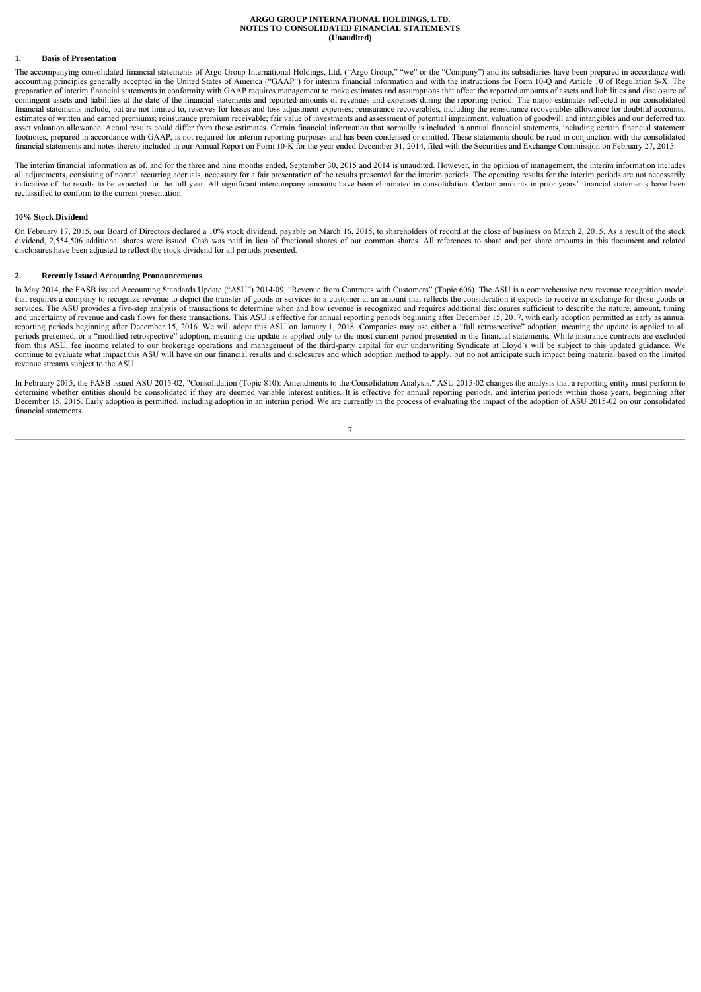#### **ARGO GROUP INTERNATIONAL HOLDINGS, LTD. NOTES TO CONSOLIDATED FINANCIAL STATEMENTS (Unaudited)**

The accompanying consolidated financial statements of Argo Group International Holdings, Ltd. ("Argo Group," "we" or the "Company") and its subsidiaries have been prepared in accordance with accounting principles generally accepted in the United States of America ("GAAP") for interim financial information and with the instructions for Form 10-Q and Article 10 of Regulation S-X. The preparation of interim financial statements in conformity with GAAP requires management to make estimates and assumptions that affect the reported amounts of assets and liabilities and disclosure of contingent assets and liabilities at the date of the financial statements and reported amounts of revenues and expenses during the reporting period. The major estimates reflected in our consolidated financial statements include, but are not limited to, reserves for losses and loss adjustment expenses; reinsurance recoverables, including the reinsurance recoverables allowance for doubtful accounts; estimates of written and earned premiums; reinsurance premium receivable; fair value of investments and assessment of potential impairment; valuation of goodwill and intangibles and our deferred tax asset valuation allowance. Actual results could differ from those estimates. Certain financial information that normally is included in annual financial statements, including certain financial statement footnotes, prepared in accordance with GAAP, is not required for interim reporting purposes and has been condensed or omitted. These statements should be read in conjunction with the consolidated financial statements and notes thereto included in our Annual Report on Form 10-K for the year ended December 31, 2014, filed with the Securities and Exchange Commission on February 27, 2015.

On February 17, 2015, our Board of Directors declared a 10% stock dividend, payable on March 16, 2015, to shareholders of record at the close of business on March 2, 2015. As a result of the stock dividend, 2,554,506 additional shares were issued. Cash was paid in lieu of fractional shares of our common shares. All references to share and per share amounts in this document and related disclosures have been adjusted to reflect the stock dividend for all periods presented.

The interim financial information as of, and for the three and nine months ended, September 30, 2015 and 2014 is unaudited. However, in the opinion of management, the interim information includes all adjustments, consisting of normal recurring accruals, necessary for a fair presentation of the results presented for the interim periods. The operating results for the interim periods are not necessarily indicative of the results to be expected for the full year. All significant intercompany amounts have been eliminated in consolidation. Certain amounts in prior years' financial statements have been reclassified to conform to the current presentation.

In May 2014, the FASB issued Accounting Standards Update ("ASU") 2014-09, "Revenue from Contracts with Customers" (Topic 606). The ASU is a comprehensive new revenue recognition model that requires a company to recognize revenue to depict the transfer of goods or services to a customer at an amount that reflects the consideration it expects to receive in exchange for those goods or services. The ASU provides a five-step analysis of transactions to determine when and how revenue is recognized and requires additional disclosures sufficient to describe the nature, amount, timing and uncertainty of revenue and cash flows for these transactions. This ASU is effective for annual reporting periods beginning after December 15, 2017, with early adoption permitted as early as annual reporting periods beginning after December 15, 2016. We will adopt this ASU on January 1, 2018. Companies may use either a "full retrospective" adoption, meaning the update is applied to all periods presented, or a "modified retrospective" adoption, meaning the update is applied only to the most current period presented in the financial statements. While insurance contracts are excluded from this ASU, fee income related to our brokerage operations and management of the third-party capital for our underwriting Syndicate at Lloyd's will be subject to this updated guidance. We continue to evaluate what impact this ASU will have on our financial results and disclosures and which adoption method to apply, but no not anticipate such impact being material based on the limited revenue streams subject to the ASU.

#### **10% Stock Dividend**

In February 2015, the FASB issued ASU 2015-02, "Consolidation (Topic 810): Amendments to the Consolidation Analysis." ASU 2015-02 changes the analysis that a reporting entity must perform to determine whether entities should be consolidated if they are deemed variable interest entities. It is effective for annual reporting periods, and interim periods within those years, beginning after December 15, 2015. Early adoption is permitted, including adoption in an interim period. We are currently in the process of evaluating the impact of the adoption of ASU 2015-02 on our consolidated financial statements.

#### **1. Basis of Presentation**

#### **2. Recently Issued Accounting Pronouncements**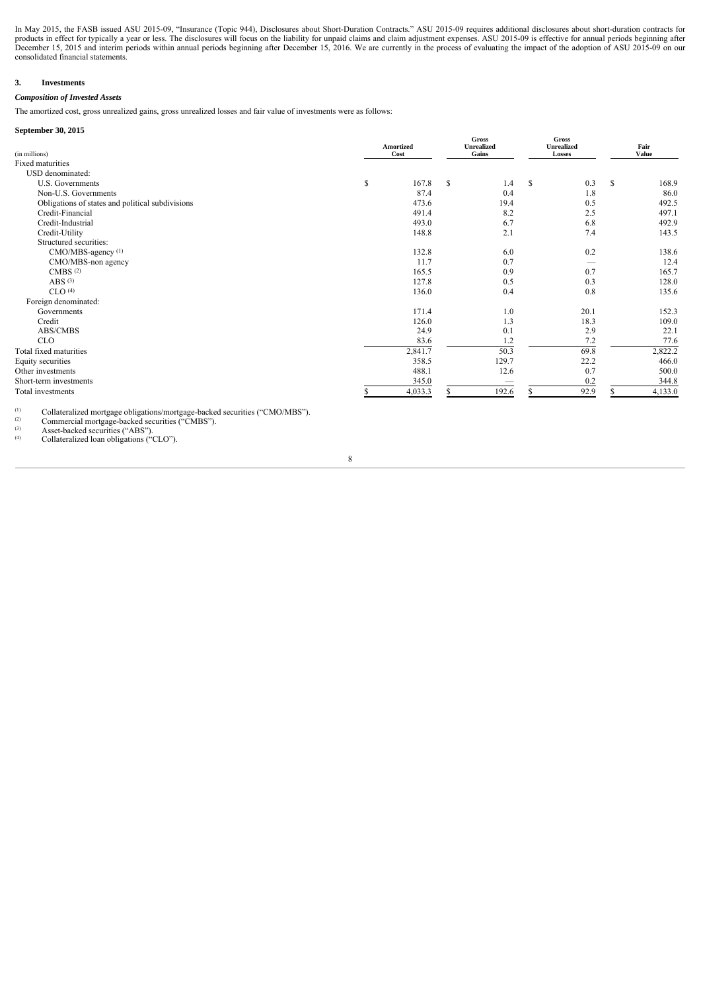In May 2015, the FASB issued ASU 2015-09, "Insurance (Topic 944), Disclosures about Short-Duration Contracts." ASU 2015-09 requires additional disclosures about short-duration contracts for products in effect for typically a year or less. The disclosures will focus on the liability for unpaid claims and claim adjustment expenses. ASU 2015-09 is effective for annual periods beginning after December 15, 2015 and interim periods within annual periods beginning after December 15, 2016. We are currently in the process of evaluating the impact of the adoption of ASU 2015-09 on our consolidated financial statements.

### *Composition of Invested Assets*

The amortized cost, gross unrealized gains, gross unrealized losses and fair value of investments were as follows:

#### **3. Investments**

#### **September 30, 2015**

| (in millions)                                    | Amortized | <b>Gross</b><br><b>Unrealized</b><br>Gains |               |                   | <b>Gross</b><br><b>Unrealized</b><br><b>Losses</b> | Fair<br><b>Value</b>     |                           |         |
|--------------------------------------------------|-----------|--------------------------------------------|---------------|-------------------|----------------------------------------------------|--------------------------|---------------------------|---------|
| Fixed maturities                                 |           |                                            |               |                   |                                                    |                          |                           |         |
| USD denominated:                                 |           |                                            |               |                   |                                                    |                          |                           |         |
| U.S. Governments                                 | \$        | 167.8                                      | <sup>\$</sup> | 1.4               | - \$                                               | 0.3                      | $\boldsymbol{\mathsf{S}}$ | 168.9   |
| Non-U.S. Governments                             |           | 87.4                                       |               | 0.4               |                                                    | 1.8                      |                           | 86.0    |
| Obligations of states and political subdivisions |           | 473.6                                      |               | 19.4              |                                                    | 0.5                      |                           | 492.5   |
| Credit-Financial                                 |           | 491.4                                      |               | 8.2               |                                                    | 2.5                      |                           | 497.1   |
| Credit-Industrial                                |           | 493.0                                      |               | 6.7               |                                                    | 6.8                      |                           | 492.9   |
| Credit-Utility                                   |           | 148.8                                      |               | 2.1               |                                                    | 7.4                      |                           | 143.5   |
| Structured securities:                           |           |                                            |               |                   |                                                    |                          |                           |         |
| CMO/MBS-agency (1)                               |           | 132.8                                      |               | 6.0               |                                                    | 0.2                      |                           | 138.6   |
| CMO/MBS-non agency                               |           | 11.7                                       |               | 0.7               |                                                    | $\overline{\phantom{a}}$ |                           | 12.4    |
| CMBS <sup>(2)</sup>                              |           | 165.5                                      |               | 0.9               |                                                    | 0.7                      |                           | 165.7   |
| $ABS$ (3)                                        |           | 127.8                                      |               | 0.5               |                                                    | 0.3                      |                           | 128.0   |
| CLO <sup>(4)</sup>                               |           | 136.0                                      |               | 0.4               |                                                    | 0.8                      |                           | 135.6   |
| Foreign denominated:                             |           |                                            |               |                   |                                                    |                          |                           |         |
| Governments                                      |           | 171.4                                      |               | 1.0               |                                                    | 20.1                     |                           | 152.3   |
| Credit                                           |           | 126.0                                      |               | 1.3               |                                                    | 18.3                     |                           | 109.0   |
| ABS/CMBS                                         |           | 24.9                                       |               | 0.1               |                                                    | 2.9                      |                           | 22.1    |
| <b>CLO</b>                                       |           | 83.6                                       |               | 1.2               |                                                    | 7.2                      |                           | 77.6    |
| Total fixed maturities                           |           | 2,841.7                                    |               | 50.3              |                                                    | 69.8                     |                           | 2,822.2 |
| Equity securities                                |           | 358.5                                      |               | 129.7             |                                                    | 22.2                     |                           | 466.0   |
| Other investments                                |           | 488.1                                      |               | 12.6              |                                                    | 0.7                      |                           | 500.0   |
| Short-term investments                           |           | 345.0                                      |               | $\hspace{0.05cm}$ |                                                    | 0.2                      |                           | 344.8   |
| Total investments                                |           | 4,033.3                                    |               | 192.6             |                                                    | 92.9                     |                           | 4,133.0 |

 $\left( 1\right)$ (1) Collateralized mortgage obligations/mortgage-backed securities ("CMO/MBS").<br>Commercial mortgage-backed securities ("CMBS").

(2) Commercial mortgage-backed securities ("CMBS").<br>Asset-backed securities ("ABS").

 $\overset{(3)}{=}$  Asset-backed securities ("ABS").<br>Collateralized loan obligations ("

Collateralized loan obligations ("CLO").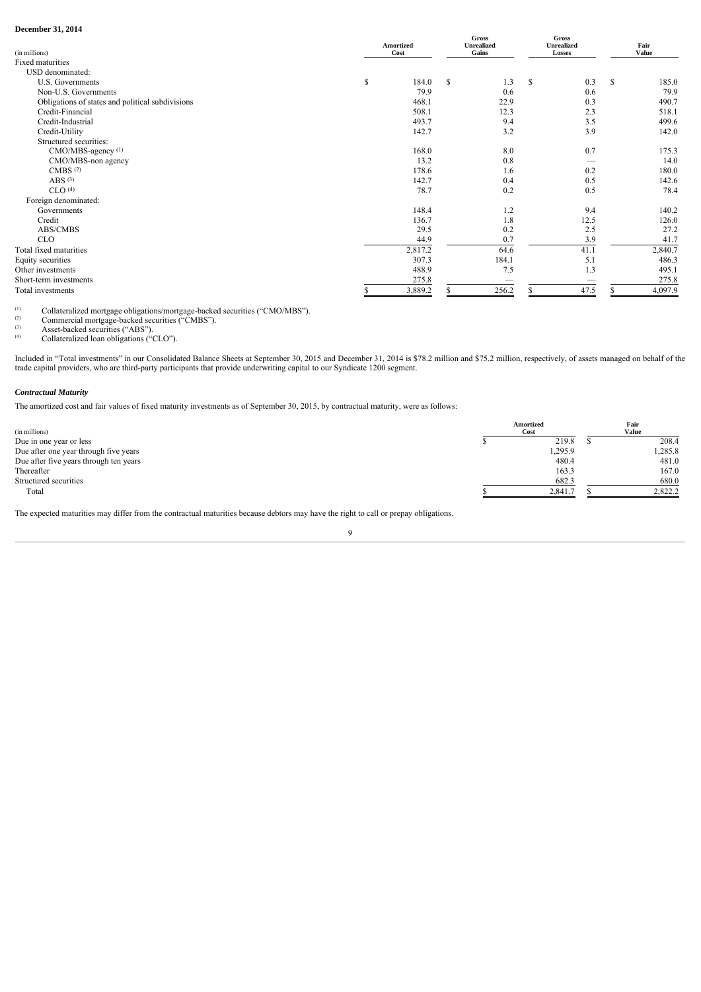Included in "Total investments" in our Consolidated Balance Sheets at September 30, 2015 and December 31, 2014 is \$78.2 million and \$75.2 million, respectively, of assets managed on behalf of the trade capital providers, who are third-party participants that provide underwriting capital to our Syndicate 1200 segment.

#### *Contractual Maturity*

The amortized cost and fair values of fixed maturity investments as of September 30, 2015, by contractual maturity, were as follows:

The expected maturities may differ from the contractual maturities because debtors may have the right to call or prepay obligations.

## 9

### **December 31, 2014**

| (in millions)                                    | <b>Amortized</b><br>Cost |         |    | <b>Gross</b><br>Unrealized<br>Gains |                           | <b>Gross</b><br>Unrealized<br><b>Losses</b> | Fair<br><b>Value</b> |         |  |
|--------------------------------------------------|--------------------------|---------|----|-------------------------------------|---------------------------|---------------------------------------------|----------------------|---------|--|
| Fixed maturities                                 |                          |         |    |                                     |                           |                                             |                      |         |  |
| USD denominated:                                 |                          |         |    |                                     |                           |                                             |                      |         |  |
| U.S. Governments                                 | $\sqrt{\ }$              | 184.0   | \$ | 1.3                                 | $\boldsymbol{\mathsf{S}}$ | 0.3                                         | $\sqrt{3}$           | 185.0   |  |
| Non-U.S. Governments                             |                          | 79.9    |    | 0.6                                 |                           | 0.6                                         |                      | 79.9    |  |
| Obligations of states and political subdivisions |                          | 468.1   |    | 22.9                                |                           | 0.3                                         |                      | 490.7   |  |
| Credit-Financial                                 |                          | 508.1   |    | 12.3                                |                           | 2.3                                         |                      | 518.1   |  |
| Credit-Industrial                                |                          | 493.7   |    | 9.4                                 |                           | 3.5                                         |                      | 499.6   |  |
| Credit-Utility                                   |                          | 142.7   |    | 3.2                                 |                           | 3.9                                         |                      | 142.0   |  |
| Structured securities:                           |                          |         |    |                                     |                           |                                             |                      |         |  |
| CMO/MBS-agency <sup>(1)</sup>                    |                          | 168.0   |    | $8.0\,$                             |                           | 0.7                                         |                      | 175.3   |  |
| CMO/MBS-non agency                               |                          | 13.2    |    | 0.8                                 |                           |                                             |                      | 14.0    |  |
| CMBS <sup>(2)</sup>                              |                          | 178.6   |    | 1.6                                 |                           | 0.2                                         |                      | 180.0   |  |
| ABS $(3)$                                        |                          | 142.7   |    | 0.4                                 |                           | 0.5                                         |                      | 142.6   |  |
| CLO <sup>(4)</sup>                               |                          | 78.7    |    | 0.2                                 |                           | 0.5                                         |                      | 78.4    |  |
| Foreign denominated:                             |                          |         |    |                                     |                           |                                             |                      |         |  |
| Governments                                      |                          | 148.4   |    | 1.2                                 |                           | 9.4                                         |                      | 140.2   |  |
| Credit                                           |                          | 136.7   |    | 1.8                                 |                           | 12.5                                        |                      | 126.0   |  |
| ABS/CMBS                                         |                          | 29.5    |    | 0.2                                 |                           | 2.5                                         |                      | 27.2    |  |
| <b>CLO</b>                                       |                          | 44.9    |    | 0.7                                 |                           | 3.9                                         |                      | 41.7    |  |
| Total fixed maturities                           |                          | 2,817.2 |    | 64.6                                |                           | 41.1                                        |                      | 2,840.7 |  |
| Equity securities                                |                          | 307.3   |    | 184.1                               |                           | 5.1                                         |                      | 486.3   |  |
| Other investments                                |                          | 488.9   |    | 7.5                                 |                           | 1.3                                         |                      | 495.1   |  |
| Short-term investments                           |                          | 275.8   |    |                                     |                           | $\overline{\phantom{a}}$                    |                      | 275.8   |  |
| Total investments                                | \$                       | 3,889.2 |    | 256.2                               | \$                        | 47.5                                        | \$                   | 4,097.9 |  |

 $(1)$ (1) Collateralized mortgage obligations/mortgage-backed securities ("CMO/MBS").<br>Commercial mortgage-backed securities ("CMBS")

(2) Commercial mortgage-backed securities ("CMBS").

(3) Asset-backed securities ("ABS").

 $^{(4)}$  Collateralized loan obligations ("CLO").

|                                        | Amortized | Fair    |              |
|----------------------------------------|-----------|---------|--------------|
| (in millions)                          |           | Cost    | <b>Value</b> |
| Due in one year or less                |           | 219.8   | 208.4        |
| Due after one year through five years  |           | ,295.9  | 1,285.8      |
| Due after five years through ten years |           | 480.4   | 481.0        |
| Thereafter                             |           | 163.3   | 167.0        |
| Structured securities                  |           | 682.3   | 680.0        |
| Total                                  |           | 2,841.7 | 2,822.2      |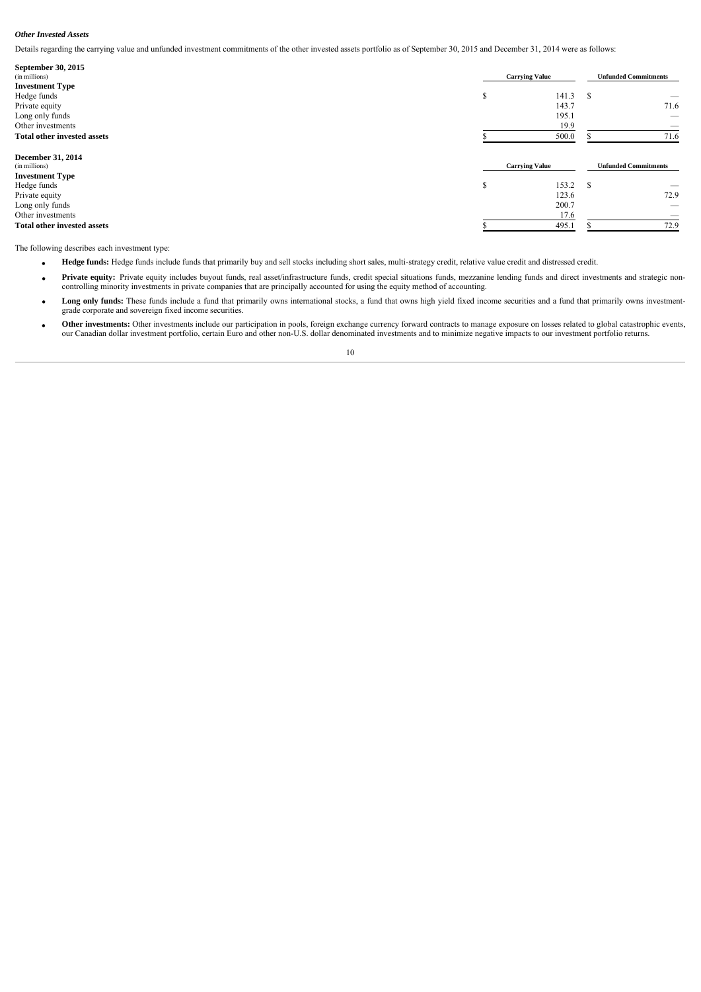#### *Other Invested Assets*

Details regarding the carrying value and unfunded investment commitments of the other invested assets portfolio as of September 30, 2015 and December 31, 2014 were as follows:

The following describes each investment type:

| <b>September 30, 2015</b>          |                       |                             |                             |  |
|------------------------------------|-----------------------|-----------------------------|-----------------------------|--|
| (in millions)                      | <b>Carrying Value</b> | <b>Unfunded Commitments</b> |                             |  |
| <b>Investment Type</b>             |                       |                             |                             |  |
| Hedge funds                        | \$<br>141.3           | <sup>\$</sup>               |                             |  |
| Private equity                     | 143.7                 |                             | 71.6                        |  |
| Long only funds                    | 195.1                 |                             |                             |  |
| Other investments                  | 19.9                  |                             |                             |  |
| <b>Total other invested assets</b> | 500.0                 |                             | 71.6                        |  |
| December 31, 2014                  |                       |                             |                             |  |
| (in millions)                      | <b>Carrying Value</b> |                             | <b>Unfunded Commitments</b> |  |
| <b>Investment Type</b>             |                       |                             |                             |  |
| Hedge funds                        | \$<br>153.2           | <sup>\$</sup>               |                             |  |
| Private equity                     | 123.6                 |                             | 72.9                        |  |
| Long only funds                    | 200.7                 |                             |                             |  |
| Other investments                  | 17.6                  |                             |                             |  |
| <b>Total other invested assets</b> | 495.1                 |                             | 72.9                        |  |

- **Hedge funds:** Hedge funds include funds that primarily buy and sell stocks including short sales, multi-strategy credit, relative value credit and distressed credit.
- Private equity: Private equity includes buyout funds, real asset/infrastructure funds, credit special situations funds, mezzanine lending funds and direct investments and strategic noncontrolling minority investments in private companies that are principally accounted for using the equity method of accounting.
- Long only funds: These funds include a fund that primarily owns international stocks, a fund that owns high yield fixed income securities and a fund that primarily owns investmentgrade corporate and sovereign fixed income securities.
- Other investments: Other investments include our participation in pools, foreign exchange currency forward contracts to manage exposure on losses related to global catastrophic events, our Canadian dollar investment portfolio, certain Euro and other non-U.S. dollar denominated investments and to minimize negative impacts to our investment portfolio returns.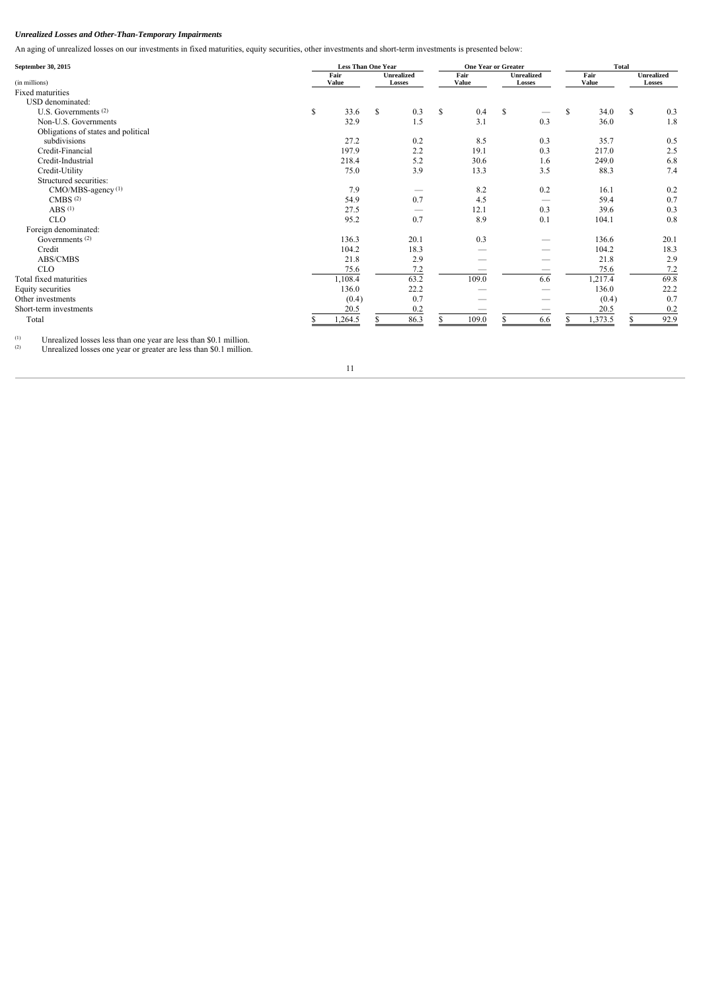## *Unrealized Losses and Other-Than-Temporary Impairments*

An aging of unrealized losses on our investments in fixed maturities, equity securities, other investments and short-term investments is presented below:

| September 30, 2015                  |              | <b>Less Than One Year</b> |    |                             | <b>One Year or Greater</b> |                      |               |                             |                      | <b>Total</b> |                             |      |  |
|-------------------------------------|--------------|---------------------------|----|-----------------------------|----------------------------|----------------------|---------------|-----------------------------|----------------------|--------------|-----------------------------|------|--|
| (in millions)                       |              | Fair<br><b>Value</b>      |    | <b>Unrealized</b><br>Losses |                            | Fair<br><b>Value</b> |               | <b>Unrealized</b><br>Losses | Fair<br><b>Value</b> |              | <b>Unrealized</b><br>Losses |      |  |
| <b>Fixed maturities</b>             |              |                           |    |                             |                            |                      |               |                             |                      |              |                             |      |  |
| USD denominated:                    |              |                           |    |                             |                            |                      |               |                             |                      |              |                             |      |  |
| U.S. Governments <sup>(2)</sup>     | $\mathbb{S}$ | 33.6                      | \$ | 0.3                         | \$                         | 0.4                  | <sup>\$</sup> |                             | \$                   | 34.0         | $\mathbf S$                 | 0.3  |  |
| Non-U.S. Governments                |              | 32.9                      |    | 1.5                         |                            | 3.1                  |               | 0.3                         |                      | 36.0         |                             | 1.8  |  |
| Obligations of states and political |              |                           |    |                             |                            |                      |               |                             |                      |              |                             |      |  |
| subdivisions                        |              | 27.2                      |    | 0.2                         |                            | 8.5                  |               | 0.3                         |                      | 35.7         |                             | 0.5  |  |
| Credit-Financial                    |              | 197.9                     |    | 2.2                         |                            | 19.1                 |               | 0.3                         |                      | 217.0        |                             | 2.5  |  |
| Credit-Industrial                   |              | 218.4                     |    | 5.2                         |                            | 30.6                 |               | 1.6                         |                      | 249.0        |                             | 6.8  |  |
| Credit-Utility                      |              | 75.0                      |    | 3.9                         |                            | 13.3                 |               | 3.5                         |                      | 88.3         |                             | 7.4  |  |
| Structured securities:              |              |                           |    |                             |                            |                      |               |                             |                      |              |                             |      |  |
| $CMO/MBS$ -agency <sup>(1)</sup>    |              | 7.9                       |    |                             |                            | 8.2                  |               | 0.2                         |                      | 16.1         |                             | 0.2  |  |
| CMBS <sup>(2)</sup>                 |              | 54.9                      |    | 0.7                         |                            | 4.5                  |               | $\hspace{0.05cm}$           |                      | 59.4         |                             | 0.7  |  |
| ABS <sup>(1)</sup>                  |              | 27.5                      |    |                             |                            | 12.1                 |               | 0.3                         |                      | 39.6         |                             | 0.3  |  |
| CLO                                 |              | 95.2                      |    | 0.7                         |                            | 8.9                  |               | 0.1                         |                      | 104.1        |                             | 0.8  |  |
| Foreign denominated:                |              |                           |    |                             |                            |                      |               |                             |                      |              |                             |      |  |
| Governments <sup>(2)</sup>          |              | 136.3                     |    | 20.1                        |                            | 0.3                  |               |                             |                      | 136.6        |                             | 20.1 |  |
| Credit                              |              | 104.2                     |    | 18.3                        |                            |                      |               |                             |                      | 104.2        |                             | 18.3 |  |
| ABS/CMBS                            |              | 21.8                      |    | 2.9                         |                            |                      |               |                             |                      | 21.8         |                             | 2.9  |  |
| <b>CLO</b>                          |              | 75.6                      |    | 7.2                         |                            |                      |               |                             |                      | 75.6         |                             | 7.2  |  |
| Total fixed maturities              |              | 1,108.4                   |    | 63.2                        |                            | 109.0                |               | 6.6                         |                      | 1,217.4      |                             | 69.8 |  |
| <b>Equity securities</b>            |              | 136.0                     |    | 22.2                        |                            |                      |               |                             |                      | 136.0        |                             | 22.2 |  |
| Other investments                   |              | (0.4)                     |    | 0.7                         |                            |                      |               |                             |                      | (0.4)        |                             | 0.7  |  |
| Short-term investments              |              | 20.5                      |    | 0.2                         |                            |                      |               |                             |                      | 20.5         |                             | 0.2  |  |
| Total                               |              | 0,264.5                   |    | 86.3                        |                            | 109.0                |               | 6.6                         |                      | 1,373.5      |                             | 92.9 |  |

 $\left(1\right)$  $(1)$  Unrealized losses less than one year are less than \$0.1 million.

 $(2)$  Unrealized losses one year or greater are less than \$0.1 million.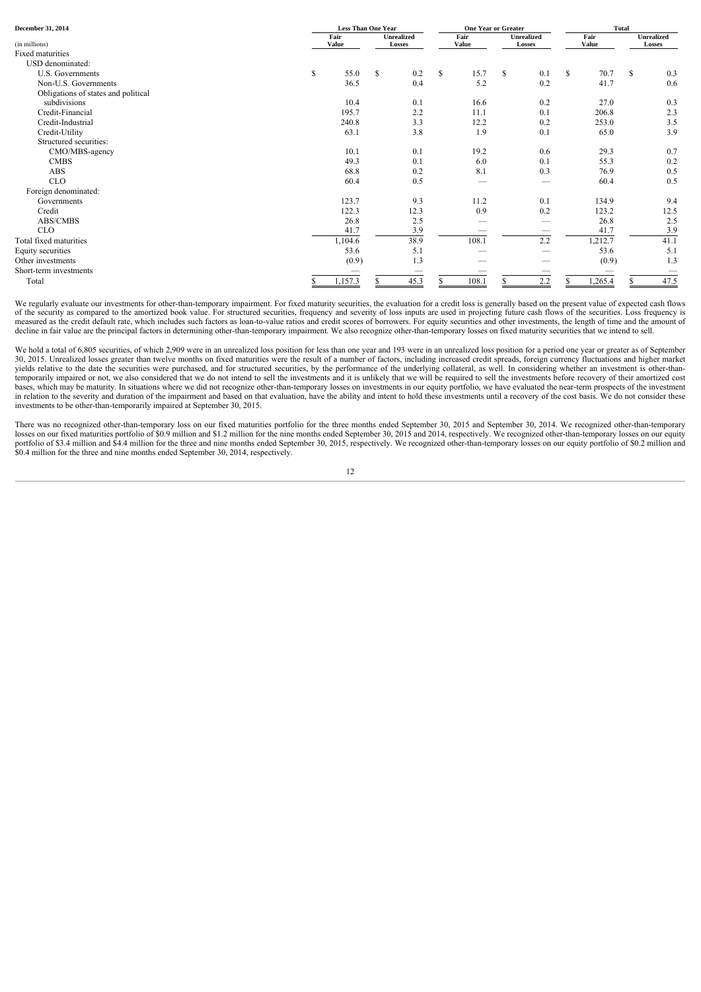We regularly evaluate our investments for other-than-temporary impairment. For fixed maturity securities, the evaluation for a credit loss is generally based on the present value of expected cash flows of the security as compared to the amortized book value. For structured securities, frequency and severity of loss inputs are used in projecting future cash flows of the securities. Loss frequency is measured as the credit default rate, which includes such factors as loan-to-value ratios and credit scores of borrowers. For equity securities and other investments, the length of time and the amount of decline in fair value are the principal factors in determining other-than-temporary impairment. We also recognize other-than-temporary losses on fixed maturity securities that we intend to sell.

We hold a total of 6,805 securities, of which 2,909 were in an unrealized loss position for less than one year and 193 were in an unrealized loss position for a period one year or greater as of September 30, 2015. Unrealized losses greater than twelve months on fixed maturities were the result of a number of factors, including increased credit spreads, foreign currency fluctuations and higher market yields relative to the date the securities were purchased, and for structured securities, by the performance of the underlying collateral, as well. In considering whether an investment is other-thantemporarily impaired or not, we also considered that we do not intend to sell the investments and it is unlikely that we will be required to sell the investments before recovery of their amortized cost bases, which may be maturity. In situations where we did not recognize other-than-temporary losses on investments in our equity portfolio, we have evaluated the near-term prospects of the investment in relation to the severity and duration of the impairment and based on that evaluation, have the ability and intent to hold these investments until a recovery of the cost basis. We do not consider these investments to be other-than-temporarily impaired at September 30, 2015.

There was no recognized other-than-temporary loss on our fixed maturities portfolio for the three months ended September 30, 2015 and September 30, 2014. We recognized other-than-temporary losses on our fixed maturities portfolio of \$0.9 million and \$1.2 million for the nine months ended September 30, 2015 and 2014, respectively. We recognized other-than-temporary losses on our equity portfolio of \$3.4 million and \$4.4 million for the three and nine months ended September 30, 2015, respectively. We recognized other-than-temporary losses on our equity portfolio of \$0.2 million and \$0.4 million for the three and nine months ended September 30, 2014, respectively.

| December 31, 2014                   | <b>Less Than One Year</b> |    |                             |              | <b>One Year or Greater</b> |    | <b>Total</b>                |               |         |                             |      |
|-------------------------------------|---------------------------|----|-----------------------------|--------------|----------------------------|----|-----------------------------|---------------|---------|-----------------------------|------|
| (in millions)                       | Fair<br><b>Value</b>      |    | <b>Unrealized</b><br>Losses |              | Fair<br><b>Value</b>       |    | <b>Unrealized</b><br>Losses | Fair<br>Value |         | <b>Unrealized</b><br>Losses |      |
| Fixed maturities                    |                           |    |                             |              |                            |    |                             |               |         |                             |      |
| USD denominated:                    |                           |    |                             |              |                            |    |                             |               |         |                             |      |
| U.S. Governments                    | \$<br>55.0                | \$ | 0.2                         | $\mathbb{S}$ | 15.7                       | \$ | 0.1                         | \$            | 70.7    | \$                          | 0.3  |
| Non-U.S. Governments                | 36.5                      |    | 0.4                         |              | 5.2                        |    | 0.2                         |               | 41.7    |                             | 0.6  |
| Obligations of states and political |                           |    |                             |              |                            |    |                             |               |         |                             |      |
| subdivisions                        | 10.4                      |    | 0.1                         |              | 16.6                       |    | 0.2                         |               | 27.0    |                             | 0.3  |
| Credit-Financial                    | 195.7                     |    | 2.2                         |              | 11.1                       |    | 0.1                         |               | 206.8   |                             | 2.3  |
| Credit-Industrial                   | 240.8                     |    | 3.3                         |              | 12.2                       |    | 0.2                         |               | 253.0   |                             | 3.5  |
| Credit-Utility                      | 63.1                      |    | 3.8                         |              | 1.9                        |    | 0.1                         |               | 65.0    |                             | 3.9  |
| Structured securities:              |                           |    |                             |              |                            |    |                             |               |         |                             |      |
| CMO/MBS-agency                      | 10.1                      |    | 0.1                         |              | 19.2                       |    | 0.6                         |               | 29.3    |                             | 0.7  |
| <b>CMBS</b>                         | 49.3                      |    | 0.1                         |              | 6.0                        |    | 0.1                         |               | 55.3    |                             | 0.2  |
| <b>ABS</b>                          | 68.8                      |    | 0.2                         |              | 8.1                        |    | 0.3                         |               | 76.9    |                             | 0.5  |
| CLO                                 | 60.4                      |    | 0.5                         |              |                            |    |                             |               | 60.4    |                             | 0.5  |
| Foreign denominated:                |                           |    |                             |              |                            |    |                             |               |         |                             |      |
| Governments                         | 123.7                     |    | 9.3                         |              | 11.2                       |    | 0.1                         |               | 134.9   |                             | 9.4  |
| Credit                              | 122.3                     |    | 12.3                        |              | 0.9                        |    | 0.2                         |               | 123.2   |                             | 12.5 |
| ABS/CMBS                            | 26.8                      |    | 2.5                         |              |                            |    |                             |               | 26.8    |                             | 2.5  |
| <b>CLO</b>                          | 41.7                      |    | 3.9                         |              |                            |    |                             |               | 41.7    |                             | 3.9  |
| Total fixed maturities              | 1,104.6                   |    | 38.9                        |              | 108.1                      |    | 2.2                         |               | 1,212.7 |                             | 41.1 |
| Equity securities                   | 53.6                      |    | 5.1                         |              |                            |    |                             |               | 53.6    |                             | 5.1  |
| Other investments                   | (0.9)                     |    | 1.3                         |              |                            |    |                             |               | (0.9)   |                             | 1.3  |
| Short-term investments              |                           |    |                             |              |                            |    |                             |               |         |                             |      |
| Total                               | 1,157.3                   |    | 45.3                        |              | 108.1                      |    | 2.2                         | \$            | 1,265.4 |                             | 47.5 |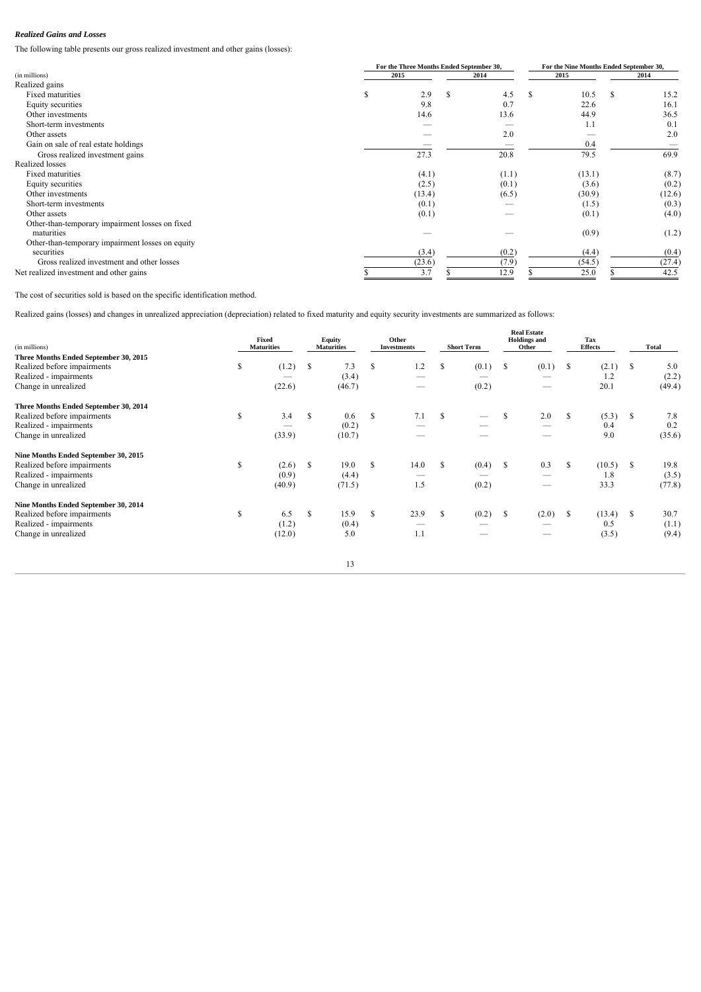### *Realized Gains and Losses*

The following table presents our gross realized investment and other gains (losses):

The cost of securities sold is based on the specific identification method.

Realized gains (losses) and changes in unrealized appreciation (depreciation) related to fixed maturity and equity security investments are summarized as follows:

|                                                  |     | For the Three Months Ended September 30, | For the Nine Months Ended September 30, |       |                      |        |  |
|--------------------------------------------------|-----|------------------------------------------|-----------------------------------------|-------|----------------------|--------|--|
| (in millions)                                    |     | 2015                                     |                                         | 2014  | 2015                 | 2014   |  |
| Realized gains                                   |     |                                          |                                         |       |                      |        |  |
| Fixed maturities                                 | ĴЪ. | 2.9                                      |                                         | 4.5   | 10.5<br><sup>S</sup> | 15.2   |  |
| Equity securities                                |     | 9.8                                      |                                         | 0.7   | 22.6                 | 16.1   |  |
| Other investments                                |     | 14.6                                     |                                         | 13.6  | 44.9                 | 36.5   |  |
| Short-term investments                           |     |                                          |                                         |       | 1.1                  | 0.1    |  |
| Other assets                                     |     |                                          |                                         | 2.0   |                      | 2.0    |  |
| Gain on sale of real estate holdings             |     |                                          |                                         |       | 0.4                  |        |  |
| Gross realized investment gains                  |     | 27.3                                     |                                         | 20.8  | 79.5                 | 69.9   |  |
| Realized losses                                  |     |                                          |                                         |       |                      |        |  |
| <b>Fixed maturities</b>                          |     | (4.1)                                    |                                         | (1.1) | (13.1)               | (8.7)  |  |
| Equity securities                                |     | (2.5)                                    |                                         | (0.1) | (3.6)                | (0.2)  |  |
| Other investments                                |     | (13.4)                                   |                                         | (6.5) | (30.9)               | (12.6) |  |
| Short-term investments                           |     | (0.1)                                    |                                         |       | (1.5)                | (0.3)  |  |
| Other assets                                     |     | (0.1)                                    |                                         |       | (0.1)                | (4.0)  |  |
| Other-than-temporary impairment losses on fixed  |     |                                          |                                         |       |                      |        |  |
| maturities                                       |     |                                          |                                         |       | (0.9)                | (1.2)  |  |
| Other-than-temporary impairment losses on equity |     |                                          |                                         |       |                      |        |  |
| securities                                       |     | (3.4)                                    |                                         | (0.2) | (4.4)                | (0.4)  |  |
| Gross realized investment and other losses       |     | (23.6)                                   |                                         | (7.9) | (54.5)               | (27.4) |  |
| Net realized investment and other gains          |     | 3.7                                      |                                         | 12.9  | 25.0                 | 42.5   |  |

| (in millions)                                                        | Fixed<br><b>Maturities</b> |                           | <b>Equity</b><br><b>Maturities</b> |               | Other<br><b>Investments</b> |              | <b>Short Term</b> |              | <b>Real Estate</b><br><b>Holdings and</b><br>Other |               | Tax<br><b>Effects</b> |               | <b>Total</b> |
|----------------------------------------------------------------------|----------------------------|---------------------------|------------------------------------|---------------|-----------------------------|--------------|-------------------|--------------|----------------------------------------------------|---------------|-----------------------|---------------|--------------|
| Three Months Ended September 30, 2015<br>Realized before impairments | \$<br>(1.2)                | \$                        | 7.3                                | \$            | 1.2                         | \$           | (0.1)             | \$           | (0.1)                                              | \$            | (2.1)                 | -S            | 5.0          |
| Realized - impairments                                               |                            |                           | (3.4)                              |               |                             |              |                   |              |                                                    |               | 1.2                   |               | (2.2)        |
| Change in unrealized                                                 | (22.6)                     |                           | (46.7)                             |               |                             |              | (0.2)             |              |                                                    |               | 20.1                  |               | (49.4)       |
| Three Months Ended September 30, 2014                                |                            |                           |                                    |               |                             |              |                   |              |                                                    |               |                       |               |              |
| Realized before impairments                                          | \$<br>3.4                  | \$                        | 0.6                                | $\mathcal{S}$ | 7.1                         | $\mathbb{S}$ |                   | \$           | 2.0                                                | $\mathcal{S}$ | (5.3)                 | $\mathcal{S}$ | 7.8          |
| Realized - impairments                                               |                            |                           | (0.2)                              |               |                             |              |                   |              | $\overbrace{\hspace{25mm}}^{}$                     |               | 0.4                   |               | 0.2          |
| Change in unrealized                                                 | (33.9)                     |                           | (10.7)                             |               |                             |              |                   |              |                                                    |               | 9.0                   |               | (35.6)       |
| Nine Months Ended September 30, 2015                                 |                            |                           |                                    |               |                             |              |                   |              |                                                    |               |                       |               |              |
| Realized before impairments                                          | \$<br>(2.6)                | $\boldsymbol{\mathsf{S}}$ | 19.0                               | \$            | 14.0                        | \$           | (0.4)             | \$           | 0.3                                                | \$            | (10.5)                | <sup>\$</sup> | 19.8         |
| Realized - impairments                                               | (0.9)                      |                           | (4.4)                              |               |                             |              |                   |              |                                                    |               | 1.8                   |               | (3.5)        |
| Change in unrealized                                                 | (40.9)                     |                           | (71.5)                             |               | 1.5                         |              | (0.2)             |              |                                                    |               | 33.3                  |               | (77.8)       |
| Nine Months Ended September 30, 2014                                 |                            |                           |                                    |               |                             |              |                   |              |                                                    |               |                       |               |              |
| Realized before impairments                                          | \$<br>6.5                  | \$                        | 15.9                               | \$            | 23.9                        | $\mathbb{S}$ | (0.2)             | $\mathbb{S}$ | (2.0)                                              | $\mathbb{S}$  | (13.4)                | -S            | 30.7         |
| Realized - impairments                                               | (1.2)                      |                           | (0.4)                              |               |                             |              |                   |              |                                                    |               | 0.5                   |               | (1.1)        |
| Change in unrealized                                                 | (12.0)                     |                           | 5.0                                |               | 1.1                         |              |                   |              |                                                    |               | (3.5)                 |               | (9.4)        |
|                                                                      |                            |                           | 13                                 |               |                             |              |                   |              |                                                    |               |                       |               |              |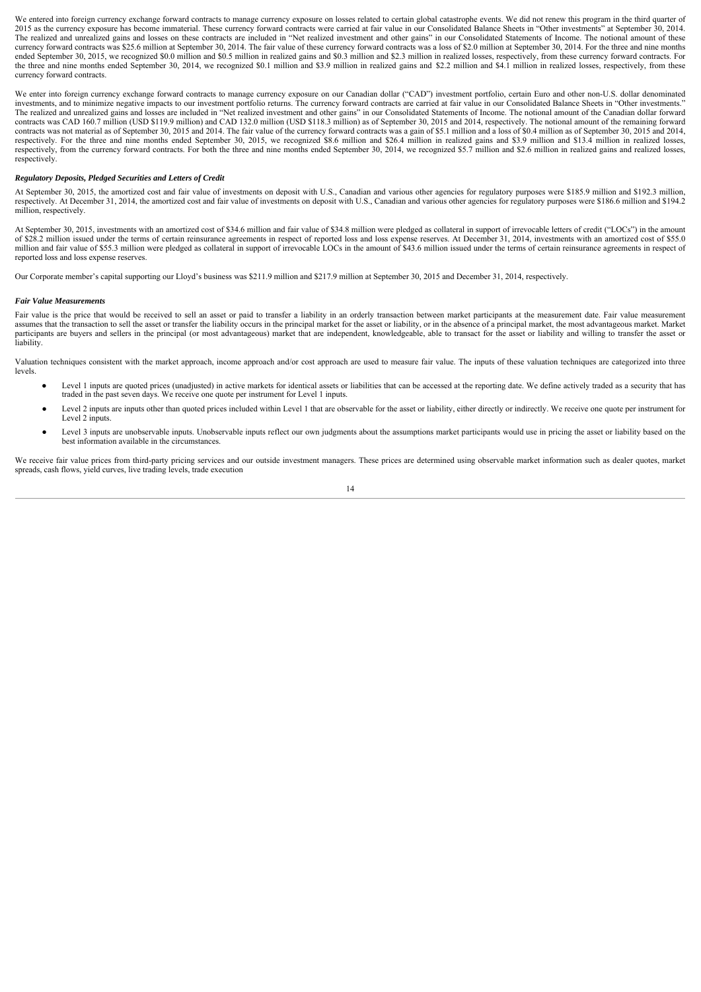We entered into foreign currency exchange forward contracts to manage currency exposure on losses related to certain global catastrophe events. We did not renew this program in the third quarter of 2015 as the currency exposure has become immaterial. These currency forward contracts were carried at fair value in our Consolidated Balance Sheets in "Other investments" at September 30, 2014. The realized and unrealized gains and losses on these contracts are included in "Net realized investment and other gains" in our Consolidated Statements of Income. The notional amount of these currency forward contracts was \$25.6 million at September 30, 2014. The fair value of these currency forward contracts was a loss of \$2.0 million at September 30, 2014. For the three and nine months ended September 30, 2015, we recognized \$0.0 million and \$0.5 million in realized gains and \$0.3 million and \$2.3 million in realized losses, respectively, from these currency forward contracts. For the three and nine months ended September 30, 2014, we recognized \$0.1 million and \$3.9 million in realized gains and \$2.2 million and \$4.1 million in realized losses, respectively, from these currency forward contracts.

We enter into foreign currency exchange forward contracts to manage currency exposure on our Canadian dollar ("CAD") investment portfolio, certain Euro and other non-U.S. dollar denominated investments, and to minimize negative impacts to our investment portfolio returns. The currency forward contracts are carried at fair value in our Consolidated Balance Sheets in "Other investments." The realized and unrealized gains and losses are included in "Net realized investment and other gains" in our Consolidated Statements of Income. The notional amount of the Canadian dollar forward contracts was CAD 160.7 million (USD \$119.9 million) and CAD 132.0 million (USD \$118.3 million) as of September 30, 2015 and 2014, respectively. The notional amount of the remaining forward contracts was not material as of September 30, 2015 and 2014. The fair value of the currency forward contracts was a gain of \$5.1 million and a loss of \$0.4 million as of September 30, 2015 and 2014, respectively. For the three and nine months ended September 30, 2015, we recognized \$8.6 million and \$26.4 million in realized gains and \$3.9 million and \$13.4 million in realized losses, respectively, from the currency forward contracts. For both the three and nine months ended September 30, 2014, we recognized \$5.7 million and \$2.6 million in realized gains and realized losses, respectively.

At September 30, 2015, the amortized cost and fair value of investments on deposit with U.S., Canadian and various other agencies for regulatory purposes were \$185.9 million and \$192.3 million, respectively. At December 31, 2014, the amortized cost and fair value of investments on deposit with U.S., Canadian and various other agencies for regulatory purposes were \$186.6 million and \$194.2 million, respectively.

At September 30, 2015, investments with an amortized cost of \$34.6 million and fair value of \$34.8 million were pledged as collateral in support of irrevocable letters of credit ("LOCs") in the amount of \$28.2 million issued under the terms of certain reinsurance agreements in respect of reported loss and loss expense reserves. At December 31, 2014, investments with an amortized cost of \$55.0 million and fair value of \$55.3 million were pledged as collateral in support of irrevocable LOCs in the amount of \$43.6 million issued under the terms of certain reinsurance agreements in respect of reported loss and loss expense reserves.

Fair value is the price that would be received to sell an asset or paid to transfer a liability in an orderly transaction between market participants at the measurement date. Fair value measurement assumes that the transaction to sell the asset or transfer the liability occurs in the principal market for the asset or liability, or in the absence of a principal market, the most advantageous market. Market participants are buyers and sellers in the principal (or most advantageous) market that are independent, knowledgeable, able to transact for the asset or liability and willing to transfer the asset or liability.

We receive fair value prices from third-party pricing services and our outside investment managers. These prices are determined using observable market information such as dealer quotes, market spreads, cash flows, yield curves, live trading levels, trade execution

### *Regulatory Deposits, Pledged Securities and Letters of Credit*

Our Corporate member's capital supporting our Lloyd's business was \$211.9 million and \$217.9 million at September 30, 2015 and December 31, 2014, respectively.

### *Fair Value Measurements*

Valuation techniques consistent with the market approach, income approach and/or cost approach are used to measure fair value. The inputs of these valuation techniques are categorized into three levels.



- Level 1 inputs are quoted prices (unadjusted) in active markets for identical assets or liabilities that can be accessed at the reporting date. We define actively traded as a security that has traded in the past seven days. We receive one quote per instrument for Level 1 inputs.
- Level 2 inputs are inputs other than quoted prices included within Level 1 that are observable for the asset or liability, either directly or indirectly. We receive one quote per instrument for Level 2 inputs.
- Level 3 inputs are unobservable inputs. Unobservable inputs reflect our own judgments about the assumptions market participants would use in pricing the asset or liability based on the best information available in the circumstances.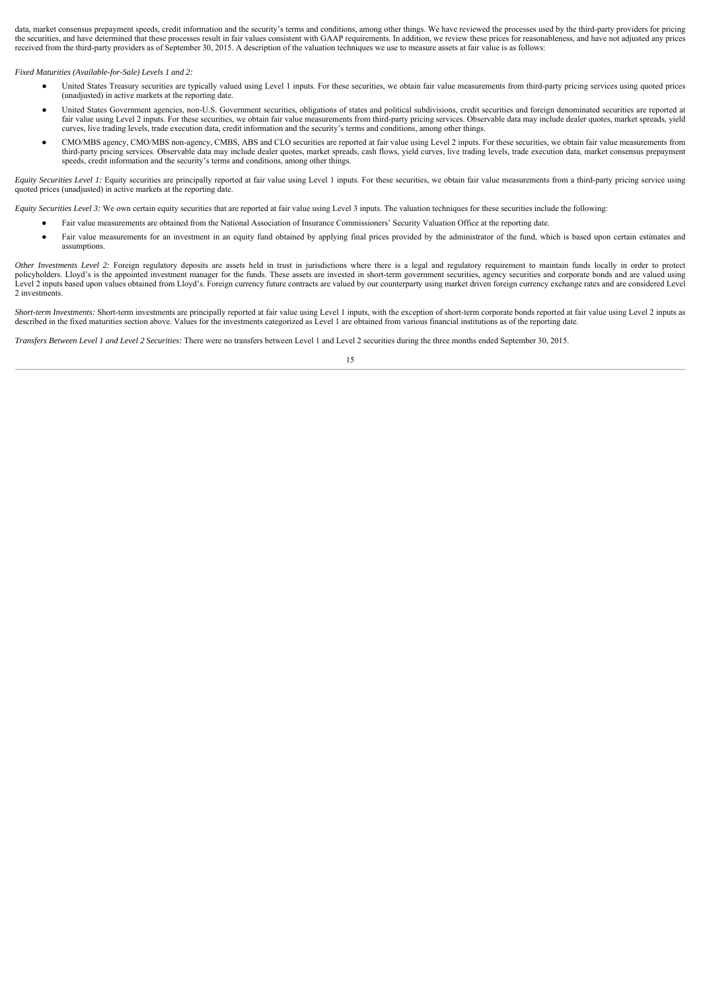*Equity Securities Level 1:* Equity securities are principally reported at fair value using Level 1 inputs. For these securities, we obtain fair value measurements from a third-party pricing service using quoted prices (unadjusted) in active markets at the reporting date.

*Equity Securities Level 3:* We own certain equity securities that are reported at fair value using Level 3 inputs. The valuation techniques for these securities include the following:

data, market consensus prepayment speeds, credit information and the security's terms and conditions, among other things. We have reviewed the processes used by the third-party providers for pricing the securities, and have determined that these processes result in fair values consistent with GAAP requirements. In addition, we review these prices for reasonableness, and have not adjusted any prices received from the third-party providers as of September 30, 2015. A description of the valuation techniques we use to measure assets at fair value is as follows:

*Fixed Maturities (Available-for-Sale) Levels 1 and 2:* 

*Other Investments Level 2:* Foreign regulatory deposits are assets held in trust in jurisdictions where there is a legal and regulatory requirement to maintain funds locally in order to protect policyholders. Lloyd's is the appointed investment manager for the funds. These assets are invested in short-term government securities, agency securities and corporate bonds and are valued using Level 2 inputs based upon values obtained from Lloyd's. Foreign currency future contracts are valued by our counterparty using market driven foreign currency exchange rates and are considered Level 2 investments.

*Short-term Investments:* Short-term investments are principally reported at fair value using Level 1 inputs, with the exception of short-term corporate bonds reported at fair value using Level 2 inputs as described in the fixed maturities section above. Values for the investments categorized as Level 1 are obtained from various financial institutions as of the reporting date.

*Transfers Between Level 1 and Level 2 Securities:* There were no transfers between Level 1 and Level 2 securities during the three months ended September 30, 2015.

- United States Treasury securities are typically valued using Level 1 inputs. For these securities, we obtain fair value measurements from third-party pricing services using quoted prices (unadjusted) in active markets at the reporting date.
- United States Government agencies, non-U.S. Government securities, obligations of states and political subdivisions, credit securities and foreign denominated securities are reported at fair value using Level 2 inputs. For these securities, we obtain fair value measurements from third-party pricing services. Observable data may include dealer quotes, market spreads, yield curves, live trading levels, trade execution data, credit information and the security's terms and conditions, among other things.
- CMO/MBS agency, CMO/MBS non-agency, CMBS, ABS and CLO securities are reported at fair value using Level 2 inputs. For these securities, we obtain fair value measurements from third-party pricing services. Observable data may include dealer quotes, market spreads, cash flows, yield curves, live trading levels, trade execution data, market consensus prepayment speeds, credit information and the security's terms and conditions, among other things.

- Fair value measurements are obtained from the National Association of Insurance Commissioners' Security Valuation Office at the reporting date.
- Fair value measurements for an investment in an equity fund obtained by applying final prices provided by the administrator of the fund, which is based upon certain estimates and assumptions.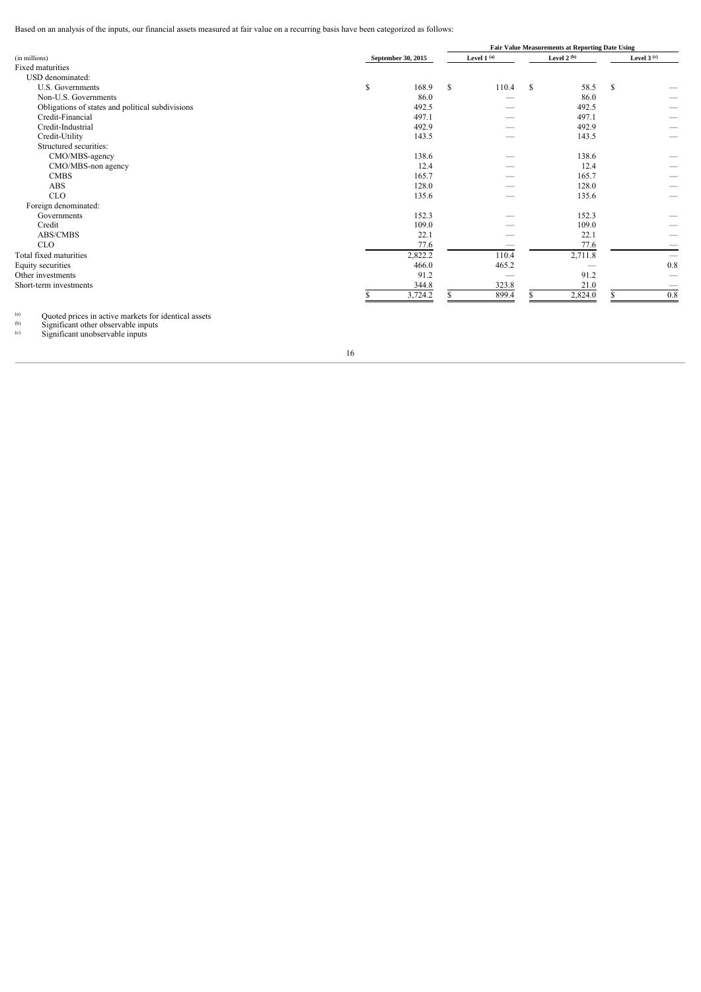Based on an analysis of the inputs, our financial assets measured at fair value on a recurring basis have been categorized as follows:

(a)<br>(b) (a) Quoted prices in active markets for identical assets

|                                                  |                      |             | <b>Fair Value Measurements at Reporting Date Using</b> |               |  |  |  |
|--------------------------------------------------|----------------------|-------------|--------------------------------------------------------|---------------|--|--|--|
| (in millions)                                    | September 30, 2015   | Level 1 (a) | Level 2 (b)                                            | Level $3(c)$  |  |  |  |
| Fixed maturities                                 |                      |             |                                                        |               |  |  |  |
| USD denominated:                                 |                      |             |                                                        |               |  |  |  |
| U.S. Governments                                 | $\mathbb S$<br>168.9 | \$<br>110.4 | $\mathbb{S}$<br>58.5                                   | \$            |  |  |  |
| Non-U.S. Governments                             | 86.0                 |             | 86.0                                                   |               |  |  |  |
| Obligations of states and political subdivisions | 492.5                |             | 492.5                                                  |               |  |  |  |
| Credit-Financial                                 | 497.1                |             | 497.1                                                  |               |  |  |  |
| Credit-Industrial                                | 492.9                |             | 492.9                                                  |               |  |  |  |
| Credit-Utility                                   | 143.5                |             | 143.5                                                  |               |  |  |  |
| Structured securities:                           |                      |             |                                                        |               |  |  |  |
| CMO/MBS-agency                                   | 138.6                |             | 138.6                                                  |               |  |  |  |
| CMO/MBS-non agency                               | 12.4                 |             | 12.4                                                   |               |  |  |  |
| <b>CMBS</b>                                      | 165.7                |             | 165.7                                                  |               |  |  |  |
| ABS                                              | 128.0                |             | 128.0                                                  |               |  |  |  |
| <b>CLO</b>                                       | 135.6                |             | 135.6                                                  |               |  |  |  |
| Foreign denominated:                             |                      |             |                                                        |               |  |  |  |
| Governments                                      | 152.3                |             | 152.3                                                  |               |  |  |  |
| Credit                                           | 109.0                |             | 109.0                                                  |               |  |  |  |
| ABS/CMBS                                         | 22.1                 |             | 22.1                                                   |               |  |  |  |
| <b>CLO</b>                                       | 77.6                 |             | 77.6                                                   |               |  |  |  |
| Total fixed maturities                           | 2,822.2              | 110.4       | 2,711.8                                                |               |  |  |  |
| Equity securities                                | 466.0                | 465.2       |                                                        | 0.8           |  |  |  |
| Other investments                                | 91.2                 |             | 91.2                                                   |               |  |  |  |
| Short-term investments                           | 344.8                | 323.8       | 21.0                                                   |               |  |  |  |
|                                                  | 3,724.2              | 899.4       | 2,824.0<br>S                                           | $0.8\,$<br>S. |  |  |  |

(b) Significant other observable inputs

(c) Significant unobservable inputs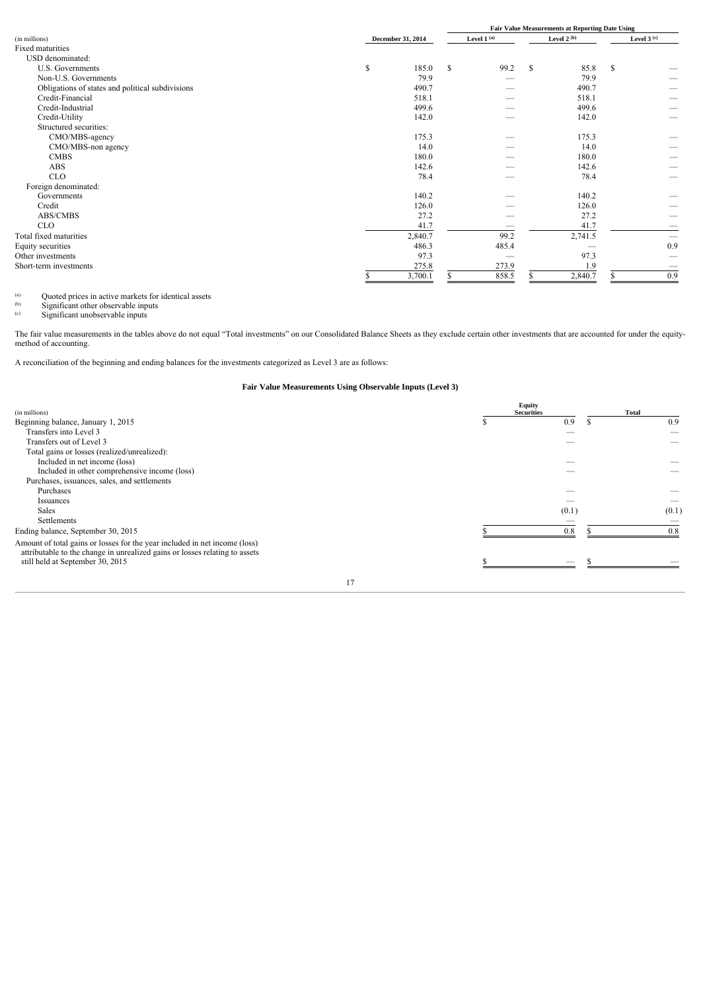The fair value measurements in the tables above do not equal "Total investments" on our Consolidated Balance Sheets as they exclude certain other investments that are accounted for under the equitymethod of accounting.

A reconciliation of the beginning and ending balances for the investments categorized as Level 3 are as follows:

## **Fair Value Measurements Using Observable Inputs (Level 3)**

 $\left( \mathbf{a}\right)$ (a) Quoted prices in active markets for identical assets

(b) Significant other observable inputs

|                                                  |                   |               | <b>Fair Value Measurements at Reporting Date Using</b> |                           |  |
|--------------------------------------------------|-------------------|---------------|--------------------------------------------------------|---------------------------|--|
| (in millions)                                    | December 31, 2014 | Level 1 $(a)$ | Level 2 $(b)$                                          | Level $3(c)$              |  |
| Fixed maturities                                 |                   |               |                                                        |                           |  |
| USD denominated:                                 |                   |               |                                                        |                           |  |
| U.S. Governments                                 | \$<br>185.0       | \$<br>99.2    | 85.8<br>\$                                             | $\boldsymbol{\mathsf{S}}$ |  |
| Non-U.S. Governments                             | 79.9              |               | 79.9                                                   |                           |  |
| Obligations of states and political subdivisions | 490.7             |               | 490.7                                                  |                           |  |
| Credit-Financial                                 | 518.1             |               | 518.1                                                  |                           |  |
| Credit-Industrial                                | 499.6             |               | 499.6                                                  |                           |  |
| Credit-Utility                                   | 142.0             |               | 142.0                                                  |                           |  |
| Structured securities:                           |                   |               |                                                        |                           |  |
| CMO/MBS-agency                                   | 175.3             |               | 175.3                                                  |                           |  |
| CMO/MBS-non agency                               | 14.0              |               | 14.0                                                   |                           |  |
| <b>CMBS</b>                                      | 180.0             |               | 180.0                                                  |                           |  |
| <b>ABS</b>                                       | 142.6             |               | 142.6                                                  |                           |  |
| CLO                                              | 78.4              |               | 78.4                                                   |                           |  |
| Foreign denominated:                             |                   |               |                                                        |                           |  |
| Governments                                      | 140.2             |               | 140.2                                                  |                           |  |
| Credit                                           | 126.0             |               | 126.0                                                  |                           |  |
| ABS/CMBS                                         | 27.2              |               | 27.2                                                   |                           |  |
| CLO                                              | 41.7              |               | 41.7                                                   |                           |  |
| Total fixed maturities                           | 2,840.7           | 99.2          | 2,741.5                                                | المستحق                   |  |
| Equity securities                                | 486.3             | 485.4         |                                                        | 0.9                       |  |
| Other investments                                | 97.3              |               | 97.3                                                   |                           |  |
| Short-term investments                           | 275.8             | 273.9         | 1.9                                                    |                           |  |
|                                                  | 3,700.1           | 858.5         | 2,840.7                                                | 0.9<br>\$                 |  |

| (in millions)                                                                                                                                             | <b>Equity</b><br><b>Securities</b> | <b>Total</b> |
|-----------------------------------------------------------------------------------------------------------------------------------------------------------|------------------------------------|--------------|
| Beginning balance, January 1, 2015                                                                                                                        | 0.9                                | 0.9          |
| Transfers into Level 3                                                                                                                                    |                                    |              |
| Transfers out of Level 3                                                                                                                                  |                                    |              |
| Total gains or losses (realized/unrealized):                                                                                                              |                                    |              |
| Included in net income (loss)                                                                                                                             |                                    |              |
| Included in other comprehensive income (loss)                                                                                                             |                                    |              |
| Purchases, issuances, sales, and settlements                                                                                                              |                                    |              |
| Purchases                                                                                                                                                 |                                    |              |
| <i>Issuances</i>                                                                                                                                          |                                    |              |
| <b>Sales</b>                                                                                                                                              | (0.1)                              | (0.1)        |
| Settlements                                                                                                                                               |                                    |              |
| Ending balance, September 30, 2015                                                                                                                        | 0.8                                | 0.8          |
| Amount of total gains or losses for the year included in net income (loss)<br>attributable to the change in unrealized gains or losses relating to assets |                                    |              |
| still held at September 30, 2015                                                                                                                          |                                    |              |
|                                                                                                                                                           |                                    |              |

(c) Significant unobservable inputs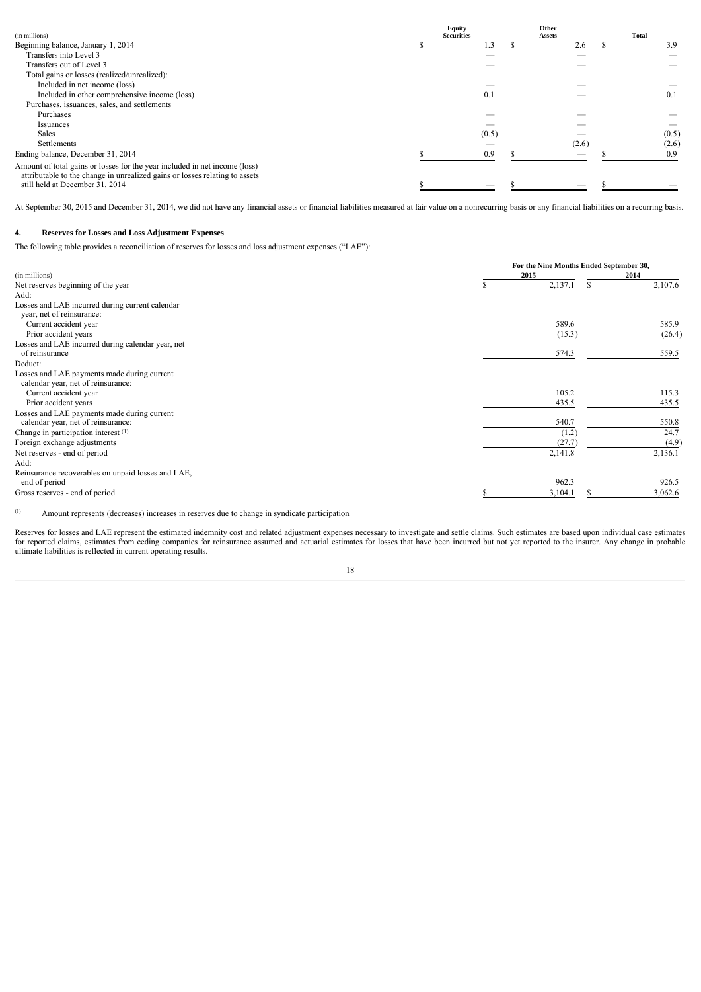The following table provides a reconciliation of reserves for losses and loss adjustment expenses ("LAE"):

Reserves for losses and LAE represent the estimated indemnity cost and related adjustment expenses necessary to investigate and settle claims. Such estimates are based upon individual case estimates for reported claims, estimates from ceding companies for reinsurance assumed and actuarial estimates for losses that have been incurred but not yet reported to the insurer. Any change in probable ultimate liabilities is reflected in current operating results.

18

| (in millions)                                                                                                                                             | <b>Equity</b><br><b>Securities</b> |       | Other<br><b>Assets</b> | <b>Total</b> |
|-----------------------------------------------------------------------------------------------------------------------------------------------------------|------------------------------------|-------|------------------------|--------------|
| Beginning balance, January 1, 2014                                                                                                                        |                                    | .3    | 2.6                    | 3.9          |
| Transfers into Level 3                                                                                                                                    |                                    |       |                        |              |
| Transfers out of Level 3                                                                                                                                  |                                    |       |                        |              |
| Total gains or losses (realized/unrealized):                                                                                                              |                                    |       |                        |              |
| Included in net income (loss)                                                                                                                             |                                    |       |                        |              |
| Included in other comprehensive income (loss)                                                                                                             |                                    | 0.1   |                        | 0.1          |
| Purchases, issuances, sales, and settlements                                                                                                              |                                    |       |                        |              |
| Purchases                                                                                                                                                 |                                    |       |                        |              |
| <i>Issuances</i>                                                                                                                                          |                                    |       |                        |              |
| <b>Sales</b>                                                                                                                                              |                                    | (0.5) |                        | (0.5)        |
| Settlements                                                                                                                                               |                                    |       | (2.6)                  | (2.6)        |
| Ending balance, December 31, 2014                                                                                                                         |                                    | 0.9   |                        | 0.9          |
| Amount of total gains or losses for the year included in net income (loss)<br>attributable to the change in unrealized gains or losses relating to assets |                                    |       |                        |              |
| still held at December 31, 2014                                                                                                                           |                                    |       |                        |              |

At September 30, 2015 and December 31, 2014, we did not have any financial assets or financial liabilities measured at fair value on a nonrecurring basis or any financial liabilities on a recurring basis.

 $\left( 1\right)$ (1) Amount represents (decreases) increases in reserves due to change in syndicate participation

## **4. Reserves for Losses and Loss Adjustment Expenses**

|                                                    |         | For the Nine Months Ended September 30, |  |  |  |  |  |  |  |
|----------------------------------------------------|---------|-----------------------------------------|--|--|--|--|--|--|--|
| (in millions)                                      | 2015    | 2014                                    |  |  |  |  |  |  |  |
| Net reserves beginning of the year                 | 2,137.1 | 2,107.6<br>$\mathbb{S}$                 |  |  |  |  |  |  |  |
| Add:                                               |         |                                         |  |  |  |  |  |  |  |
| Losses and LAE incurred during current calendar    |         |                                         |  |  |  |  |  |  |  |
| year, net of reinsurance:                          |         |                                         |  |  |  |  |  |  |  |
| Current accident year                              | 589.6   | 585.9                                   |  |  |  |  |  |  |  |
| Prior accident years                               | (15.3)  | (26.4)                                  |  |  |  |  |  |  |  |
| Losses and LAE incurred during calendar year, net  |         |                                         |  |  |  |  |  |  |  |
| of reinsurance                                     | 574.3   | 559.5                                   |  |  |  |  |  |  |  |
| Deduct:                                            |         |                                         |  |  |  |  |  |  |  |
| Losses and LAE payments made during current        |         |                                         |  |  |  |  |  |  |  |
| calendar year, net of reinsurance:                 |         |                                         |  |  |  |  |  |  |  |
| Current accident year                              | 105.2   | 115.3                                   |  |  |  |  |  |  |  |
| Prior accident years                               | 435.5   | 435.5                                   |  |  |  |  |  |  |  |
| Losses and LAE payments made during current        |         |                                         |  |  |  |  |  |  |  |
| calendar year, net of reinsurance:                 | 540.7   | 550.8                                   |  |  |  |  |  |  |  |
| Change in participation interest (1)               | (1.2)   | 24.7                                    |  |  |  |  |  |  |  |
| Foreign exchange adjustments                       | (27.7)  | (4.9)                                   |  |  |  |  |  |  |  |
| Net reserves - end of period                       | 2,141.8 | 2,136.1                                 |  |  |  |  |  |  |  |
| Add:                                               |         |                                         |  |  |  |  |  |  |  |
| Reinsurance recoverables on unpaid losses and LAE, |         |                                         |  |  |  |  |  |  |  |
| end of period                                      | 962.3   | 926.5                                   |  |  |  |  |  |  |  |
| Gross reserves - end of period                     | 3,104.1 | 3,062.6                                 |  |  |  |  |  |  |  |
|                                                    |         |                                         |  |  |  |  |  |  |  |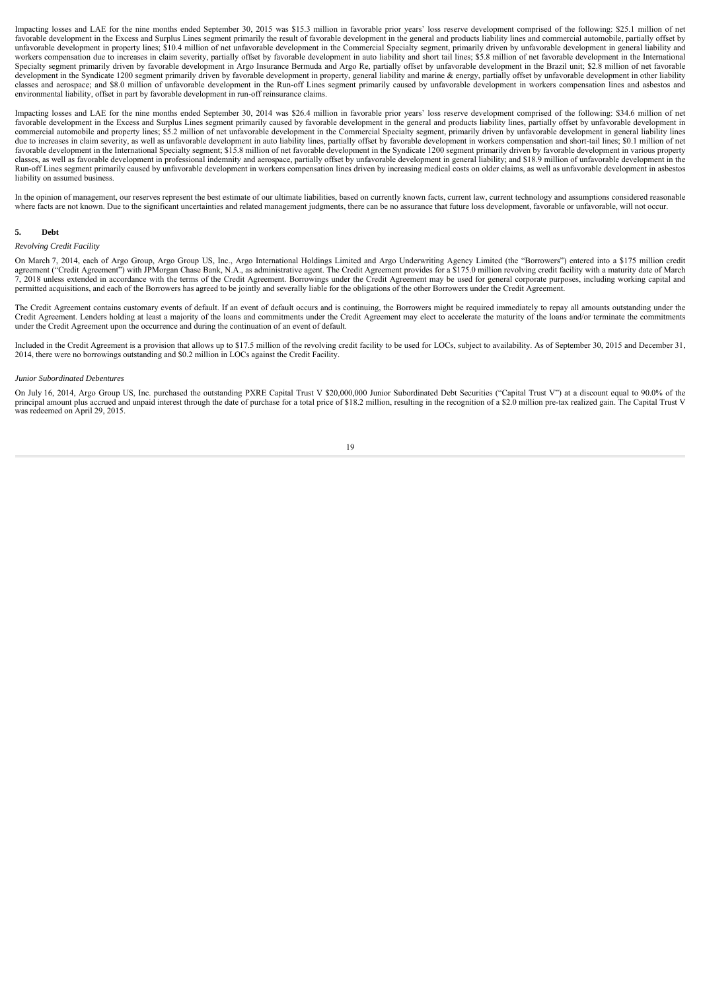Impacting losses and LAE for the nine months ended September 30, 2015 was \$15.3 million in favorable prior years' loss reserve development comprised of the following: \$25.1 million of net favorable development in the Excess and Surplus Lines segment primarily the result of favorable development in the general and products liability lines and commercial automobile, partially offset by unfavorable development in property lines; \$10.4 million of net unfavorable development in the Commercial Specialty segment, primarily driven by unfavorable development in general liability and workers compensation due to increases in claim severity, partially offset by favorable development in auto liability and short tail lines; \$5.8 million of net favorable development in the International Specialty segment primarily driven by favorable development in Argo Insurance Bermuda and Argo Re, partially offset by unfavorable development in the Brazil unit; \$2.8 million of net favorable development in the Syndicate 1200 segment primarily driven by favorable development in property, general liability and marine & energy, partially offset by unfavorable development in other liability classes and aerospace; and \$8.0 million of unfavorable development in the Run-off Lines segment primarily caused by unfavorable development in workers compensation lines and asbestos and environmental liability, offset in part by favorable development in run-off reinsurance claims.

Impacting losses and LAE for the nine months ended September 30, 2014 was \$26.4 million in favorable prior years' loss reserve development comprised of the following: \$34.6 million of net favorable development in the Excess and Surplus Lines segment primarily caused by favorable development in the general and products liability lines, partially offset by unfavorable development in commercial automobile and property lines; \$5.2 million of net unfavorable development in the Commercial Specialty segment, primarily driven by unfavorable development in general liability lines due to increases in claim severity, as well as unfavorable development in auto liability lines, partially offset by favorable development in workers compensation and short-tail lines; \$0.1 million of net favorable development in the International Specialty segment; \$15.8 million of net favorable development in the Syndicate 1200 segment primarily driven by favorable development in various property classes, as well as favorable development in professional indemnity and aerospace, partially offset by unfavorable development in general liability; and \$18.9 million of unfavorable development in the Run-off Lines segment primarily caused by unfavorable development in workers compensation lines driven by increasing medical costs on older claims, as well as unfavorable development in asbestos liability on assumed business.

In the opinion of management, our reserves represent the best estimate of our ultimate liabilities, based on currently known facts, current law, current technology and assumptions considered reasonable where facts are not known. Due to the significant uncertainties and related management judgments, there can be no assurance that future loss development, favorable or unfavorable, will not occur.

On July 16, 2014, Argo Group US, Inc. purchased the outstanding PXRE Capital Trust V \$20,000,000 Junior Subordinated Debt Securities ("Capital Trust V") at a discount equal to 90.0% of the principal amount plus accrued and unpaid interest through the date of purchase for a total price of \$18.2 million, resulting in the recognition of a \$2.0 million pre-tax realized gain. The Capital Trust V was redeemed on April 29, 2015.

#### *Revolving Credit Facility*

On March 7, 2014, each of Argo Group, Argo Group US, Inc., Argo International Holdings Limited and Argo Underwriting Agency Limited (the "Borrowers") entered into a \$175 million credit agreement ("Credit Agreement") with JPMorgan Chase Bank, N.A., as administrative agent. The Credit Agreement provides for a \$175.0 million revolving credit facility with a maturity date of March 7, 2018 unless extended in accordance with the terms of the Credit Agreement. Borrowings under the Credit Agreement may be used for general corporate purposes, including working capital and permitted acquisitions, and each of the Borrowers has agreed to be jointly and severally liable for the obligations of the other Borrowers under the Credit Agreement.

The Credit Agreement contains customary events of default. If an event of default occurs and is continuing, the Borrowers might be required immediately to repay all amounts outstanding under the Credit Agreement. Lenders holding at least a majority of the loans and commitments under the Credit Agreement may elect to accelerate the maturity of the loans and/or terminate the commitments under the Credit Agreement upon the occurrence and during the continuation of an event of default.

Included in the Credit Agreement is a provision that allows up to \$17.5 million of the revolving credit facility to be used for LOCs, subject to availability. As of September 30, 2015 and December 31, 2014, there were no borrowings outstanding and \$0.2 million in LOCs against the Credit Facility.

#### *Junior Subordinated Debentures*

#### **5. Debt**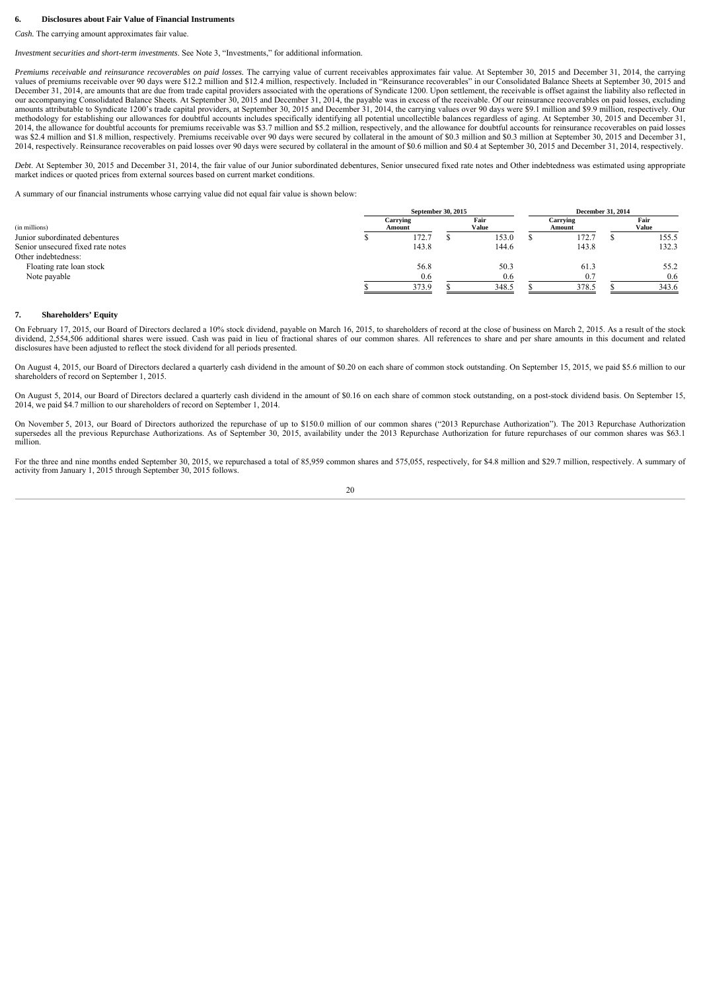*Cash.* The carrying amount approximates fair value.

*Investment securities and short-term investments*. See Note 3, "Investments," for additional information.

*Premiums receivable and reinsurance recoverables on paid losses.* The carrying value of current receivables approximates fair value. At September 30, 2015 and December 31, 2014, the carrying values of premiums receivable over 90 days were \$12.2 million and \$12.4 million, respectively. Included in "Reinsurance recoverables" in our Consolidated Balance Sheets at September 30, 2015 and December 31, 2014, are amounts that are due from trade capital providers associated with the operations of Syndicate 1200. Upon settlement, the receivable is offset against the liability also reflected in our accompanying Consolidated Balance Sheets. At September 30, 2015 and December 31, 2014, the payable was in excess of the receivable. Of our reinsurance recoverables on paid losses, excluding amounts attributable to Syndicate 1200's trade capital providers, at September 30, 2015 and December 31, 2014, the carrying values over 90 days were \$9.1 million and \$9.9 million, respectively. Our methodology for establishing our allowances for doubtful accounts includes specifically identifying all potential uncollectible balances regardless of aging. At September 30, 2015 and December 31, 2014, the allowance for doubtful accounts for premiums receivable was \$3.7 million and \$5.2 million, respectively, and the allowance for doubtful accounts for reinsurance recoverables on paid losses was \$2.4 million and \$1.8 million, respectively. Premiums receivable over 90 days were secured by collateral in the amount of \$0.3 million and \$0.3 million at September 30, 2015 and December 31, 2014, respectively. Reinsurance recoverables on paid losses over 90 days were secured by collateral in the amount of \$0.6 million and \$0.4 at September 30, 2015 and December 31, 2014, respectively.

*Debt*. At September 30, 2015 and December 31, 2014, the fair value of our Junior subordinated debentures, Senior unsecured fixed rate notes and Other indebtedness was estimated using appropriate market indices or quoted prices from external sources based on current market conditions.

On February 17, 2015, our Board of Directors declared a 10% stock dividend, payable on March 16, 2015, to shareholders of record at the close of business on March 2, 2015. As a result of the stock dividend, 2,554,506 additional shares were issued. Cash was paid in lieu of fractional shares of our common shares. All references to share and per share amounts in this document and related disclosures have been adjusted to reflect the stock dividend for all periods presented.

For the three and nine months ended September 30, 2015, we repurchased a total of 85,959 common shares and 575,055, respectively, for \$4.8 million and \$29.7 million, respectively. A summary of activity from January 1, 2015 through September 30, 2015 follows.

A summary of our financial instruments whose carrying value did not equal fair value is shown below:

On August 4, 2015, our Board of Directors declared a quarterly cash dividend in the amount of \$0.20 on each share of common stock outstanding. On September 15, 2015, we paid \$5.6 million to our shareholders of record on September 1, 2015.

On August 5, 2014, our Board of Directors declared a quarterly cash dividend in the amount of \$0.16 on each share of common stock outstanding, on a post-stock dividend basis. On September 15, 2014, we paid \$4.7 million to our shareholders of record on September 1, 2014.

On November 5, 2013, our Board of Directors authorized the repurchase of up to \$150.0 million of our common shares ("2013 Repurchase Authorization"). The 2013 Repurchase Authorization supersedes all the previous Repurchase Authorizations. As of September 30, 2015, availability under the 2013 Repurchase Authorization for future repurchases of our common shares was \$63.1 million.



#### **6. Disclosures about Fair Value of Financial Instruments**

|                                   | September 30, 2015 |       |  |               |  |                    | <b>December 31, 2014</b> |                      |  |  |  |  |
|-----------------------------------|--------------------|-------|--|---------------|--|--------------------|--------------------------|----------------------|--|--|--|--|
| (in millions)                     | Carrying<br>Amount |       |  | Fair<br>Value |  | Carrying<br>Amount |                          | Fair<br><b>Value</b> |  |  |  |  |
| Junior subordinated debentures    |                    | 172.7 |  | 153.0         |  | 172.7              |                          | 155.5                |  |  |  |  |
| Senior unsecured fixed rate notes |                    | 143.8 |  | 144.6         |  | 143.8              |                          | 132.3                |  |  |  |  |
| Other indebtedness:               |                    |       |  |               |  |                    |                          |                      |  |  |  |  |
| Floating rate loan stock          |                    | 56.8  |  | 50.3          |  | 61.3               |                          | 55.2                 |  |  |  |  |
| Note payable                      |                    | 0.6   |  | 0.6           |  | 0.7                |                          | 0.6                  |  |  |  |  |
|                                   |                    | 373.9 |  | 348.5         |  | 378.5              |                          | 343.6                |  |  |  |  |

#### **7. Shareholders' Equity**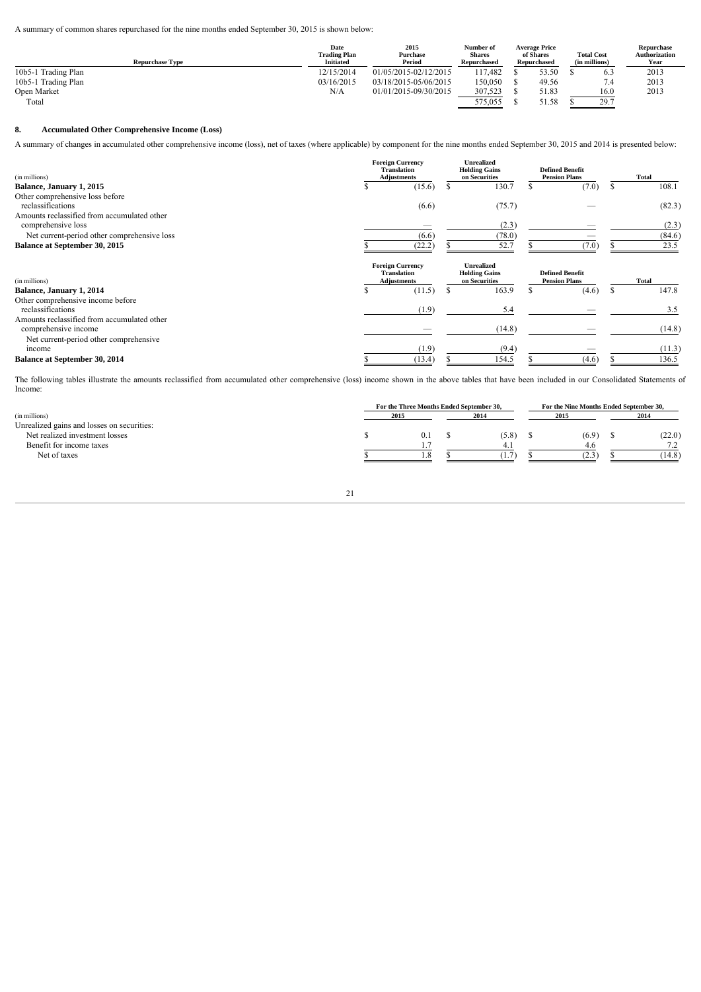A summary of common shares repurchased for the nine months ended September 30, 2015 is shown below:

A summary of changes in accumulated other comprehensive income (loss), net of taxes (where applicable) by component for the nine months ended September 30, 2015 and 2014 is presented below:

The following tables illustrate the amounts reclassified from accumulated other comprehensive (loss) income shown in the above tables that have been included in our Consolidated Statements of Income:

| <b>Repurchase Type</b> | Date<br><b>Trading Plan</b><br><b>Initiated</b> | 2015<br><b>Purchase</b><br>Period | Number of<br><b>Shares</b><br><b>Repurchased</b> | <b>Average Price</b><br>of Shares<br><b>Repurchased</b> | <b>Total Cost</b><br>(in millions) | Repurchase<br><b>Authorization</b><br>Year |
|------------------------|-------------------------------------------------|-----------------------------------|--------------------------------------------------|---------------------------------------------------------|------------------------------------|--------------------------------------------|
| 10b5-1 Trading Plan    | 12/15/2014                                      | 01/05/2015-02/12/2015             | 117,482                                          | 53.50                                                   | 0.3                                | 2013                                       |
| 10b5-1 Trading Plan    | 03/16/2015                                      | 03/18/2015-05/06/2015             | 150,050                                          | 49.56                                                   |                                    | 2013                                       |
| Open Market            | N/A                                             | 01/01/2015-09/30/2015             | 307,523                                          | 51.83                                                   | 16.0                               | 2013                                       |
| Total                  |                                                 |                                   | 575,055                                          | 51.58                                                   | 29.7                               |                                            |

## **8. Accumulated Other Comprehensive Income (Loss)**

| (in millions)                                                       | <b>Foreign Currency</b><br><b>Translation</b><br><b>Adjustments</b> |                                                              |     | <b>Unrealized</b><br><b>Holding Gains</b><br>on Securities |    | <b>Defined Benefit</b><br><b>Pension Plans</b> |    | <b>Total</b>    |
|---------------------------------------------------------------------|---------------------------------------------------------------------|--------------------------------------------------------------|-----|------------------------------------------------------------|----|------------------------------------------------|----|-----------------|
| Balance, January 1, 2015                                            | \$                                                                  | (15.6)                                                       | -\$ | 130.7                                                      | S. | (7.0)                                          | S. | 108.1           |
| Other comprehensive loss before                                     |                                                                     |                                                              |     |                                                            |    |                                                |    |                 |
| reclassifications                                                   |                                                                     | (6.6)                                                        |     | (75.7)                                                     |    |                                                |    | (82.3)          |
| Amounts reclassified from accumulated other                         |                                                                     |                                                              |     |                                                            |    |                                                |    |                 |
| comprehensive loss                                                  |                                                                     |                                                              |     | (2.3)                                                      |    |                                                |    | (2.3)           |
| Net current-period other comprehensive loss                         |                                                                     | (6.6)                                                        |     | (78.0)                                                     |    |                                                |    | (84.6)          |
| <b>Balance at September 30, 2015</b>                                |                                                                     | (22.2)                                                       |     | 52.7                                                       |    | (7.0)                                          |    | 23.5            |
|                                                                     |                                                                     |                                                              |     |                                                            |    |                                                |    |                 |
| (in millions)                                                       |                                                                     | <b>Foreign Currency</b><br><b>Translation</b><br>Adjustments |     | <b>Unrealized</b><br><b>Holding Gains</b><br>on Securities |    | <b>Defined Benefit</b><br><b>Pension Plans</b> |    | <b>Total</b>    |
| <b>Balance, January 1, 2014</b>                                     | S                                                                   | (11.5)                                                       | -S  | 163.9                                                      |    | (4.6)                                          |    | 147.8           |
| Other comprehensive income before<br>reclassifications              |                                                                     | (1.9)                                                        |     | 5.4                                                        |    |                                                |    | 3.5             |
| Amounts reclassified from accumulated other<br>comprehensive income |                                                                     |                                                              |     | (14.8)                                                     |    |                                                |    | (14.8)          |
| Net current-period other comprehensive<br>income                    |                                                                     | (1.9)<br>(13.4)                                              |     | (9.4)<br>154.5                                             |    | (4.6)                                          |    | (11.3)<br>136.5 |

|                                            | For the Three Months Ended September 30, |  |           |  |       | For the Nine Months Ended September 30, |        |  |  |  |
|--------------------------------------------|------------------------------------------|--|-----------|--|-------|-----------------------------------------|--------|--|--|--|
| (in millions)                              | 2015                                     |  | 2014      |  | 2015  | 2014                                    |        |  |  |  |
| Unrealized gains and losses on securities: |                                          |  |           |  |       |                                         |        |  |  |  |
| Net realized investment losses             | 0.1                                      |  | (5.8)     |  | (6.9) |                                         | (22.0) |  |  |  |
| Benefit for income taxes                   |                                          |  |           |  | 4.6   |                                         |        |  |  |  |
| Net of taxes                               | l.8                                      |  | <b>L.</b> |  | (2.3) |                                         | (14.8) |  |  |  |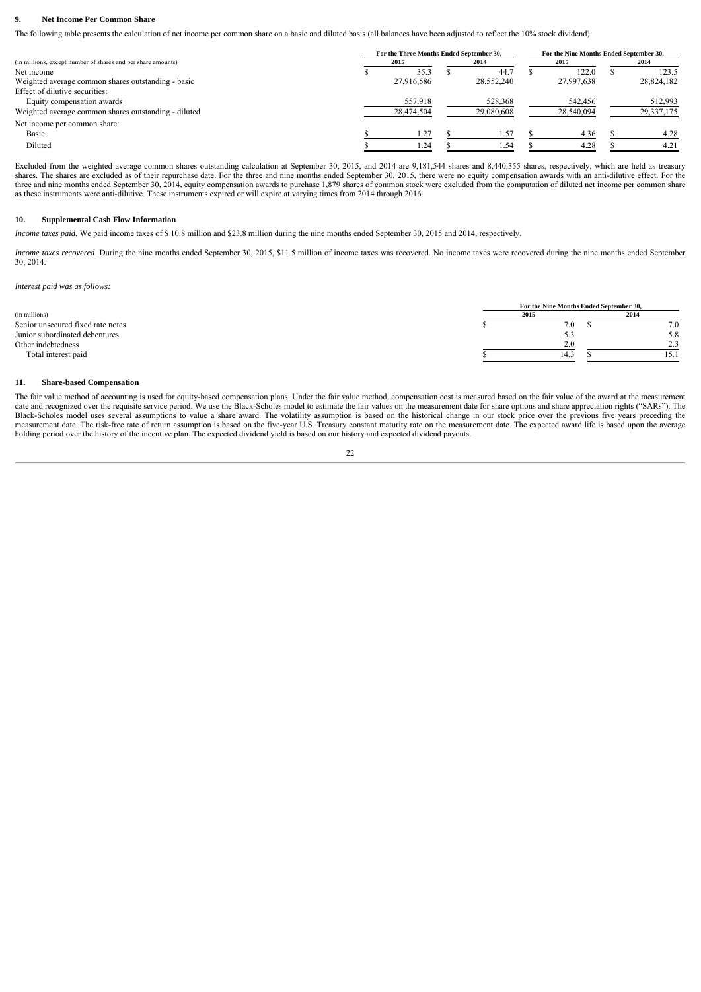The following table presents the calculation of net income per common share on a basic and diluted basis (all balances have been adjusted to reflect the 10% stock dividend):

Excluded from the weighted average common shares outstanding calculation at September 30, 2015, and 2014 are 9,181,544 shares and 8,440,355 shares, respectively, which are held as treasury shares. The shares are excluded as of their repurchase date. For the three and nine months ended September 30, 2015, there were no equity compensation awards with an anti-dilutive effect. For the three and nine months ended September 30, 2014, equity compensation awards to purchase 1,879 shares of common stock were excluded from the computation of diluted net income per common share as these instruments were anti-dilutive. These instruments expired or will expire at varying times from 2014 through 2016.

*Income taxes paid.* We paid income taxes of \$ 10.8 million and \$23.8 million during the nine months ended September 30, 2015 and 2014, respectively.

The fair value method of accounting is used for equity-based compensation plans. Under the fair value method, compensation cost is measured based on the fair value of the award at the measurement date and recognized over the requisite service period. We use the Black-Scholes model to estimate the fair values on the measurement date for share options and share appreciation rights ("SARs"). The Black-Scholes model uses several assumptions to value a share award. The volatility assumption is based on the historical change in our stock price over the previous five years preceding the measurement date. The risk-free rate of return assumption is based on the five-year U.S. Treasury constant maturity rate on the measurement date. The expected award life is based upon the average holding period over the history of the incentive plan. The expected dividend yield is based on our history and expected dividend payouts.

*Income taxes recovered*. During the nine months ended September 30, 2015, \$11.5 million of income taxes was recovered. No income taxes were recovered during the nine months ended September 30, 2014.

*Interest paid was as follows:*

#### **9. Net Income Per Common Share**

|                                                              | For the Three Months Ended September 30, |            |  |            |  | For the Nine Months Ended September 30, |      |            |  |  |
|--------------------------------------------------------------|------------------------------------------|------------|--|------------|--|-----------------------------------------|------|------------|--|--|
| (in millions, except number of shares and per share amounts) | 2015                                     |            |  | 2014       |  | 2015                                    | 2014 |            |  |  |
| Net income                                                   |                                          | 35.3       |  | 44.7       |  | 122.0                                   |      | 123.5      |  |  |
| Weighted average common shares outstanding - basic           |                                          | 27,916,586 |  | 28,552,240 |  | 27,997,638                              |      | 28,824,182 |  |  |
| Effect of dilutive securities:                               |                                          |            |  |            |  |                                         |      |            |  |  |
| Equity compensation awards                                   |                                          | 557,918    |  | 528,368    |  | 542,456                                 |      | 512,993    |  |  |
| Weighted average common shares outstanding - diluted         |                                          | 28,474,504 |  | 29,080,608 |  | 28,540,094                              |      | 29,337,175 |  |  |
| Net income per common share:                                 |                                          |            |  |            |  |                                         |      |            |  |  |
| Basic                                                        |                                          | .27        |  | 1.57       |  | 4.36                                    |      | 4.28       |  |  |
| Diluted                                                      |                                          | .24        |  | .54        |  | 4.28                                    |      | 4.21       |  |  |

#### **10. Supplemental Cash Flow Information**

|                                   | For the Nine Months Ended September 30, |  |             |  |  |  |  |  |
|-----------------------------------|-----------------------------------------|--|-------------|--|--|--|--|--|
| (in millions)                     | 2015                                    |  | 2014        |  |  |  |  |  |
| Senior unsecured fixed rate notes | 7.0                                     |  | 7.0         |  |  |  |  |  |
| Junior subordinated debentures    | J.J                                     |  | 5.8         |  |  |  |  |  |
| Other indebtedness                | 2.0                                     |  |             |  |  |  |  |  |
| Total interest paid               | 14.                                     |  | 151<br>19.1 |  |  |  |  |  |

#### **11. Share-based Compensation**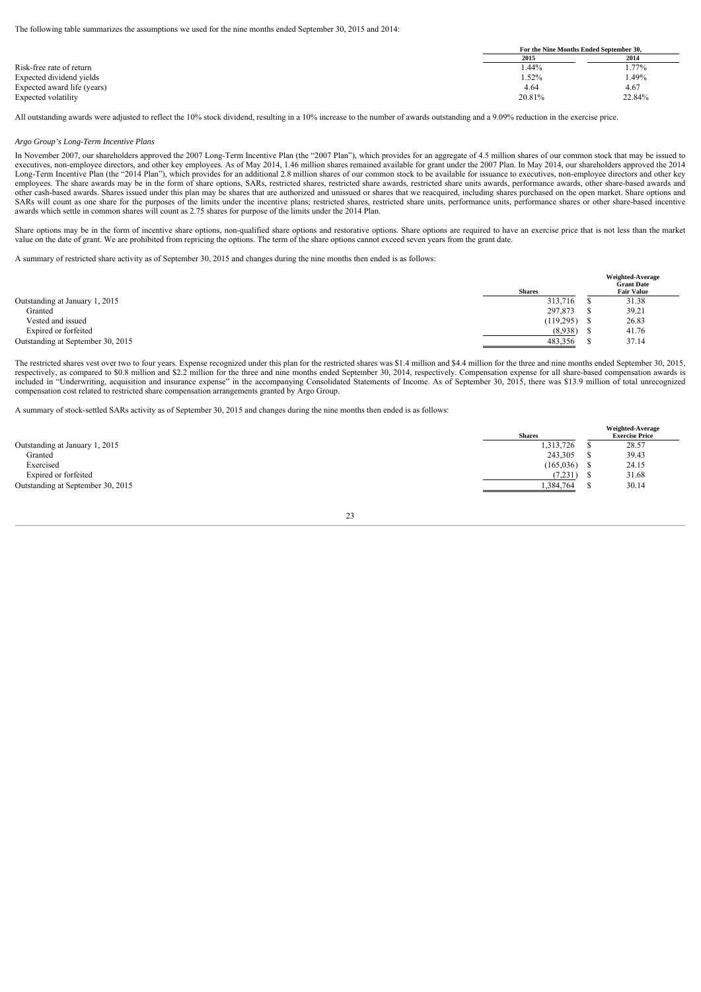The following table summarizes the assumptions we used for the nine months ended September 30, 2015 and 2014:

#### *Argo Group's Long-Term Incentive Plans*

In November 2007, our shareholders approved the 2007 Long-Term Incentive Plan (the "2007 Plan"), which provides for an aggregate of 4.5 million shares of our common stock that may be issued to executives, non-employee directors, and other key employees. As of May 2014, 1.46 million shares remained available for grant under the 2007 Plan. In May 2014, our shareholders approved the 2014 Long-Term Incentive Plan (the "2014 Plan"), which provides for an additional 2.8 million shares of our common stock to be available for issuance to executives, non-employee directors and other key employees. The share awards may be in the form of share options, SARs, restricted shares, restricted share awards, restricted share units awards, performance awards, other share-based awards and other cash-based awards. Shares issued under this plan may be shares that are authorized and unissued or shares that we reacquired, including shares purchased on the open market. Share options and SARs will count as one share for the purposes of the limits under the incentive plans; restricted shares, restricted share units, performance units, performance shares or other share-based incentive awards which settle in common shares will count as 2.75 shares for purpose of the limits under the 2014 Plan.

The restricted shares vest over two to four years. Expense recognized under this plan for the restricted shares was \$1.4 million and \$4.4 million for the three and nine months ended September 30, 2015, respectively, as compared to \$0.8 million and \$2.2 million for the three and nine months ended September 30, 2014, respectively. Compensation expense for all share-based compensation awards is included in "Underwriting, acquisition and insurance expense" in the accompanying Consolidated Statements of Income. As of September 30, 2015, there was \$13.9 million of total unrecognized compensation cost related to restricted share compensation arrangements granted by Argo Group.

Share options may be in the form of incentive share options, non-qualified share options and restorative options. Share options are required to have an exercise price that is not less than the market value on the date of grant. We are prohibited from repricing the options. The term of the share options cannot exceed seven years from the grant date.

A summary of restricted share activity as of September 30, 2015 and changes during the nine months then ended is as follows:

A summary of stock-settled SARs activity as of September 30, 2015 and changes during the nine months then ended is as follows:

23

|                             | For the Nine Months Ended September 30, |        |
|-----------------------------|-----------------------------------------|--------|
|                             | 2015                                    | 2014   |
| Risk-free rate of return    | $.44\%$                                 | 1.77%  |
| Expected dividend yields    | .52%                                    | .49%   |
| Expected award life (years) | 4.64                                    | 4.67   |
| Expected volatility         | 20.81%                                  | 22.84% |

All outstanding awards were adjusted to reflect the 10% stock dividend, resulting in a 10% increase to the number of awards outstanding and a 9.09% reduction in the exercise price.

| <b>Shares</b> | <b>Weighted-Average</b><br><b>Grant Date</b><br><b>Fair Value</b> |
|---------------|-------------------------------------------------------------------|
| 313,716       | 31.38                                                             |
| 297,873       | 39.21                                                             |
| (119,295)     | 26.83                                                             |
| (8,938)       | 41.76                                                             |
| 483,356       | 37.14                                                             |
|               |                                                                   |

|                                   | <b>Shares</b> | <b>Weighted-Average</b><br><b>Exercise Price</b> |
|-----------------------------------|---------------|--------------------------------------------------|
| Outstanding at January 1, 2015    | 1,313,726     | 28.57                                            |
| Granted                           | 243,305       | 39.43                                            |
| Exercised                         | (165, 036)    | 24.15                                            |
| Expired or forfeited              | (7, 231)      | 31.68                                            |
| Outstanding at September 30, 2015 | .384,764      | 30.14                                            |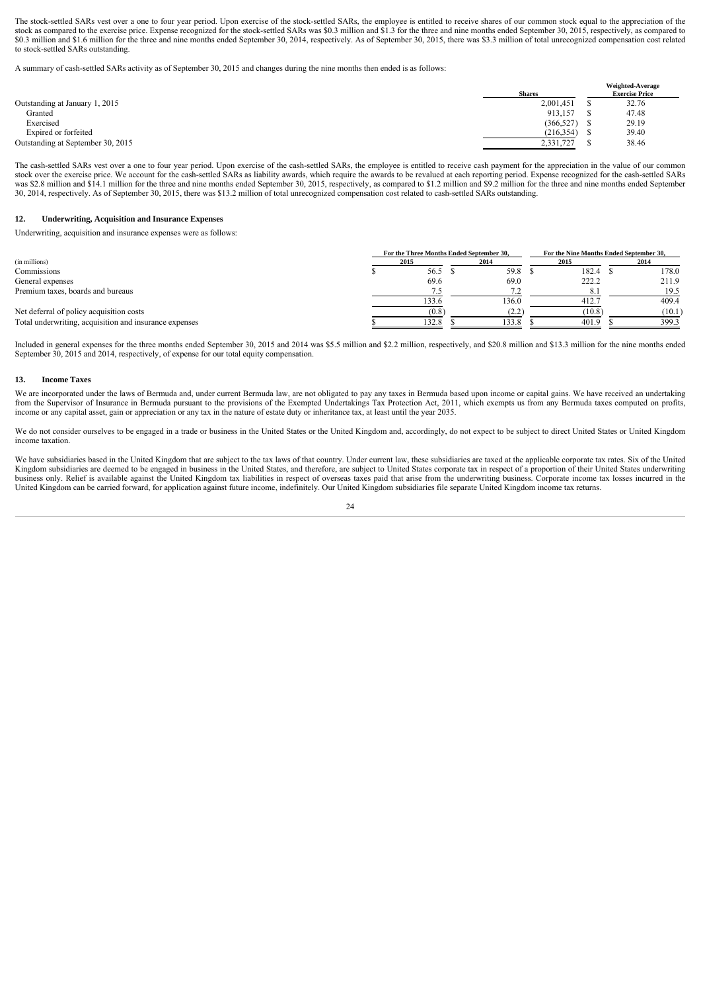The stock-settled SARs vest over a one to four year period. Upon exercise of the stock-settled SARs, the employee is entitled to receive shares of our common stock equal to the appreciation of the stock as compared to the exercise price. Expense recognized for the stock-settled SARs was \$0.3 million and \$1.3 for the three and nine months ended September 30, 2015, respectively, as compared to \$0.3 million and \$1.6 million for the three and nine months ended September 30, 2014, respectively. As of September 30, 2015, there was \$3.3 million of total unrecognized compensation cost related to stock-settled SARs outstanding.

A summary of cash-settled SARs activity as of September 30, 2015 and changes during the nine months then ended is as follows:

The cash-settled SARs vest over a one to four year period. Upon exercise of the cash-settled SARs, the employee is entitled to receive cash payment for the appreciation in the value of our common stock over the exercise price. We account for the cash-settled SARs as liability awards, which require the awards to be revalued at each reporting period. Expense recognized for the cash-settled SARs was \$2.8 million and \$14.1 million for the three and nine months ended September 30, 2015, respectively, as compared to \$1.2 million and \$9.2 million for the three and nine months ended September 30, 2014, respectively. As of September 30, 2015, there was \$13.2 million of total unrecognized compensation cost related to cash-settled SARs outstanding.

We are incorporated under the laws of Bermuda and, under current Bermuda law, are not obligated to pay any taxes in Bermuda based upon income or capital gains. We have received an undertaking from the Supervisor of Insurance in Bermuda pursuant to the provisions of the Exempted Undertakings Tax Protection Act, 2011, which exempts us from any Bermuda taxes computed on profits, income or any capital asset, gain or appreciation or any tax in the nature of estate duty or inheritance tax, at least until the year 2035.

We do not consider ourselves to be engaged in a trade or business in the United States or the United Kingdom and, accordingly, do not expect to be subject to direct United States or United Kingdom income taxation.

Underwriting, acquisition and insurance expenses were as follows:

Included in general expenses for the three months ended September 30, 2015 and 2014 was \$5.5 million and \$2.2 million, respectively, and \$20.8 million and \$13.3 million for the nine months ended September 30, 2015 and 2014, respectively, of expense for our total equity compensation.

We have subsidiaries based in the United Kingdom that are subject to the tax laws of that country. Under current law, these subsidiaries are taxed at the applicable corporate tax rates. Six of the United Kingdom subsidiaries are deemed to be engaged in business in the United States, and therefore, are subject to United States corporate tax in respect of a proportion of their United States underwriting business only. Relief is available against the United Kingdom tax liabilities in respect of overseas taxes paid that arise from the underwriting business. Corporate income tax losses incurred in the United Kingdom can be carried forward, for application against future income, indefinitely. Our United Kingdom subsidiaries file separate United Kingdom income tax returns.

|                                   | <b>Shares</b> | Weighted-Average<br><b>Exercise Price</b> |
|-----------------------------------|---------------|-------------------------------------------|
| Outstanding at January 1, 2015    | 2,001,451     | 32.76                                     |
| Granted                           | 913,157       | 47.48                                     |
| Exercised                         | (366, 527)    | 29.19                                     |
| Expired or forfeited              | (216, 354)    | 39.40                                     |
| Outstanding at September 30, 2015 | 2,331,727     | 38.46                                     |

#### **12. Underwriting, Acquisition and Insurance Expenses**

|                                                        | For the Three Months Ended September 30, |       |  |         |  | For the Nine Months Ended September 30, |      |        |  |
|--------------------------------------------------------|------------------------------------------|-------|--|---------|--|-----------------------------------------|------|--------|--|
| (in millions)                                          |                                          | 2015  |  | 2014    |  | 2015                                    | 2014 |        |  |
| Commissions                                            |                                          | 56.5  |  | 59.8 \$ |  | 182.4                                   |      | 178.0  |  |
| General expenses                                       |                                          | 69.6  |  | 69.0    |  | 222.2                                   |      | 211.9  |  |
| Premium taxes, boards and bureaus                      |                                          |       |  |         |  |                                         |      | 19.5   |  |
|                                                        |                                          | 133.6 |  | 136.0   |  | 412.7                                   |      | 409.4  |  |
| Net deferral of policy acquisition costs               |                                          | (0.8) |  | (2.2)   |  | (10.8)                                  |      | (10.1) |  |
| Total underwriting, acquisition and insurance expenses |                                          | 132.8 |  | 133.8   |  | 401.9                                   |      | 399.3  |  |

#### **13. Income Taxes**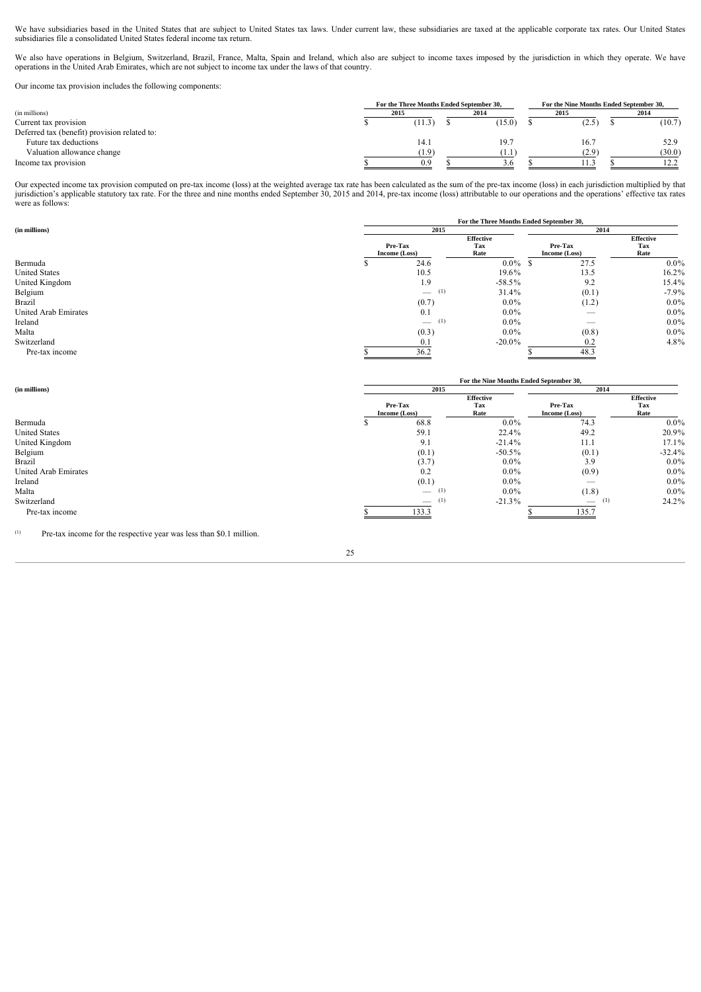We have subsidiaries based in the United States that are subject to United States tax laws. Under current law, these subsidiaries are taxed at the applicable corporate tax rates. Our United States subsidiaries file a consolidated United States federal income tax return.

We also have operations in Belgium, Switzerland, Brazil, France, Malta, Spain and Ireland, which also are subject to income taxes imposed by the jurisdiction in which they operate. We have operations in the United Arab Emirates, which are not subject to income tax under the laws of that country.

Our expected income tax provision computed on pre-tax income (loss) at the weighted average tax rate has been calculated as the sum of the pre-tax income (loss) in each jurisdiction multiplied by that jurisdiction's applicable statutory tax rate. For the three and nine months ended September 30, 2015 and 2014, pre-tax income (loss) attributable to our operations and the operations' effective tax rates were as follows:

Our income tax provision includes the following components:

|                                              |  |  | For the Three Months Ended September 30, |  |        |  |       |  | For the Nine Months Ended September 30, |  |  |  |
|----------------------------------------------|--|--|------------------------------------------|--|--------|--|-------|--|-----------------------------------------|--|--|--|
| (in millions)                                |  |  | 2015                                     |  | 2014   |  | 2015  |  | 2014                                    |  |  |  |
| Current tax provision                        |  |  | (11.3)                                   |  | (15.0) |  | (2.5) |  | (10.7)                                  |  |  |  |
| Deferred tax (benefit) provision related to: |  |  |                                          |  |        |  |       |  |                                         |  |  |  |
| Future tax deductions                        |  |  | 14.1                                     |  | 19.    |  | 16.7  |  | 52.9                                    |  |  |  |
| Valuation allowance change                   |  |  | $1.9^{\circ}$                            |  |        |  | (2.9) |  | (30.0)                                  |  |  |  |
| Income tax provision                         |  |  | 0.9                                      |  | 3.6    |  |       |  | 12.2                                    |  |  |  |

|                      | For the Three Months Ended September 30, |                     |                  |               |                  |  |  |  |  |
|----------------------|------------------------------------------|---------------------|------------------|---------------|------------------|--|--|--|--|
| (in millions)        | 2014<br>2015                             |                     |                  |               |                  |  |  |  |  |
|                      |                                          |                     | <b>Effective</b> |               | <b>Effective</b> |  |  |  |  |
|                      |                                          | Pre-Tax             | Tax              | Pre-Tax       | Tax              |  |  |  |  |
|                      |                                          | Income (Loss)       | Rate             | Income (Loss) | Rate             |  |  |  |  |
| Bermuda              |                                          | 24.6                | $0.0\%$ \$       | 27.5          | $0.0\%$          |  |  |  |  |
| <b>United States</b> |                                          | 10.5                | 19.6%            | 13.5          | 16.2%            |  |  |  |  |
| United Kingdom       |                                          | 1.9                 | $-58.5\%$        | 9.2           | 15.4%            |  |  |  |  |
| Belgium              |                                          | $\qquad \qquad$ (1) | 31.4%            | (0.1)         | $-7.9\%$         |  |  |  |  |
| <b>Brazil</b>        |                                          | (0.7)               | $0.0\%$          | (1.2)         | $0.0\%$          |  |  |  |  |
| United Arab Emirates |                                          | 0.1                 | $0.0\%$          | __            | $0.0\%$          |  |  |  |  |
| Ireland              |                                          | $\qquad \qquad$ (1) | $0.0\%$          |               | $0.0\%$          |  |  |  |  |
| Malta                |                                          | (0.3)               | $0.0\%$          | (0.8)         | $0.0\%$          |  |  |  |  |
| Switzerland          |                                          | 0.1                 | $-20.0\%$        | 0.2           | 4.8%             |  |  |  |  |
| Pre-tax income       |                                          | 36.2                |                  | 48.3          |                  |  |  |  |  |

|                             | For the Nine Months Ended September 30, |                                        |                          |                          |  |  |  |  |  |
|-----------------------------|-----------------------------------------|----------------------------------------|--------------------------|--------------------------|--|--|--|--|--|
| (in millions)               | 2014<br>2015                            |                                        |                          |                          |  |  |  |  |  |
|                             | Pre-Tax<br>Income (Loss)                | <b>Effective</b><br><b>Tax</b><br>Rate | Pre-Tax<br>Income (Loss) | Effective<br>Tax<br>Rate |  |  |  |  |  |
| Bermuda                     | 68.8                                    | $0.0\%$                                | 74.3                     | $0.0\%$                  |  |  |  |  |  |
| <b>United States</b>        | 59.1                                    | 22.4%                                  | 49.2                     | 20.9%                    |  |  |  |  |  |
| United Kingdom              | 9.1                                     | $-21.4%$                               | 11.1                     | 17.1%                    |  |  |  |  |  |
| Belgium                     | (0.1)                                   | $-50.5\%$                              | (0.1)                    | $-32.4%$                 |  |  |  |  |  |
| <b>Brazil</b>               | (3.7)                                   | $0.0\%$                                | 3.9                      | $0.0\%$                  |  |  |  |  |  |
| <b>United Arab Emirates</b> | 0.2                                     | $0.0\%$                                | (0.9)                    | $0.0\%$                  |  |  |  |  |  |
| Ireland                     | (0.1)                                   | $0.0\%$                                |                          | $0.0\%$                  |  |  |  |  |  |
| Malta                       | (1)                                     | $0.0\%$                                | (1.8)                    | $0.0\%$                  |  |  |  |  |  |
| Switzerland                 | $\qquad \qquad$ (1)                     | $-21.3\%$                              | (1)                      | 24.2%                    |  |  |  |  |  |
| Pre-tax income              | 133.3                                   |                                        | 135.7                    |                          |  |  |  |  |  |
|                             |                                         |                                        |                          |                          |  |  |  |  |  |

(1) Pre-tax income for the respective year was less than \$0.1 million.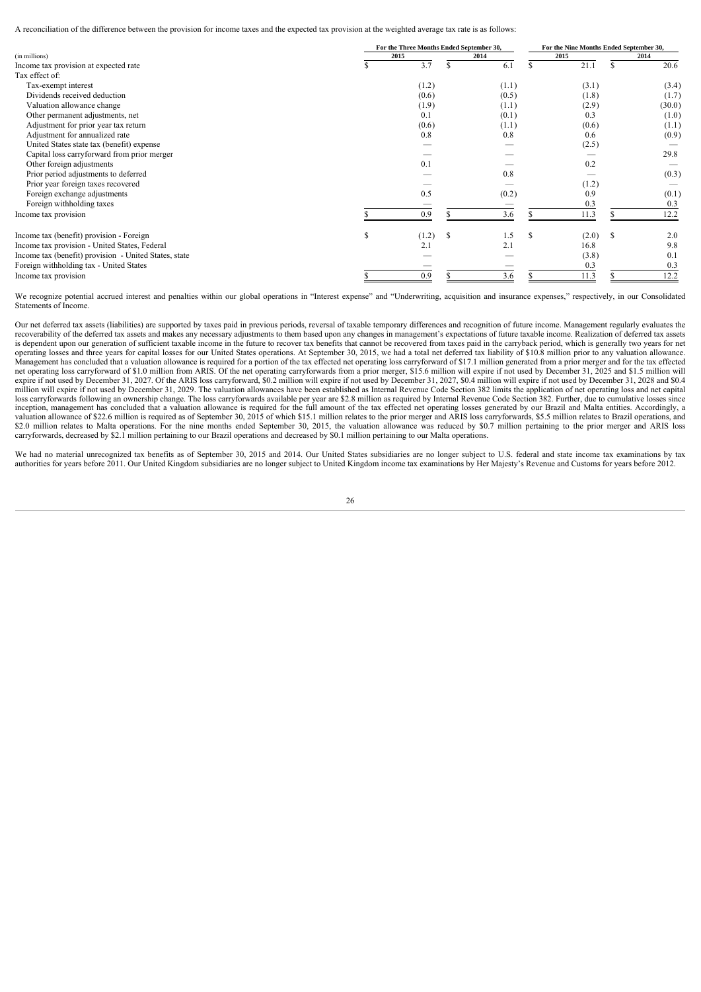A reconciliation of the difference between the provision for income taxes and the expected tax provision at the weighted average tax rate is as follows:

We recognize potential accrued interest and penalties within our global operations in "Interest expense" and "Underwriting, acquisition and insurance expenses," respectively, in our Consolidated Statements of Income.

Our net deferred tax assets (liabilities) are supported by taxes paid in previous periods, reversal of taxable temporary differences and recognition of future income. Management regularly evaluates the recoverability of the deferred tax assets and makes any necessary adjustments to them based upon any changes in management's expectations of future taxable income. Realization of deferred tax assets is dependent upon our generation of sufficient taxable income in the future to recover tax benefits that cannot be recovered from taxes paid in the carryback period, which is generally two years for net operating losses and three years for capital losses for our United States operations. At September 30, 2015, we had a total net deferred tax liability of \$10.8 million prior to any valuation allowance. Management has concluded that a valuation allowance is required for a portion of the tax effected net operating loss carryforward of \$17.1 million generated from a prior merger and for the tax effected net operating loss carryforward of \$1.0 million from ARIS. Of the net operating carryforwards from a prior merger, \$15.6 million will expire if not used by December 31, 2025 and \$1.5 million will expire if not used by December 31, 2027. Of the ARIS loss carryforward, \$0.2 million will expire if not used by December 31, 2027, \$0.4 million will expire if not used by December 31, 2028 and \$0.4 million will expire if not used by December 31, 2029. The valuation allowances have been established as Internal Revenue Code Section 382 limits the application of net operating loss and net capital loss carryforwards following an ownership change. The loss carryforwards available per year are \$2.8 million as required by Internal Revenue Code Section 382. Further, due to cumulative losses since inception, management has concluded that a valuation allowance is required for the full amount of the tax effected net operating losses generated by our Brazil and Malta entities. Accordingly, a valuation allowance of \$22.6 million is required as of September 30, 2015 of which \$15.1 million relates to the prior merger and ARIS loss carryforwards, \$5.5 million relates to Brazil operations, and \$2.0 million relates to Malta operations. For the nine months ended September 30, 2015, the valuation allowance was reduced by \$0.7 million pertaining to the prior merger and ARIS loss carryforwards, decreased by \$2.1 million pertaining to our Brazil operations and decreased by \$0.1 million pertaining to our Malta operations.

We had no material unrecognized tax benefits as of September 30, 2015 and 2014. Our United States subsidiaries are no longer subject to U.S. federal and state income tax examinations by tax authorities for years before 2011. Our United Kingdom subsidiaries are no longer subject to United Kingdom income tax examinations by Her Majesty's Revenue and Customs for years before 2012.

|                                                       | For the Three Months Ended September 30,<br>For the Nine Months Ended September 30, |    |       |               |       |    |        |  |
|-------------------------------------------------------|-------------------------------------------------------------------------------------|----|-------|---------------|-------|----|--------|--|
| (in millions)                                         | 2015                                                                                |    |       | 2015          |       |    | 2014   |  |
| Income tax provision at expected rate                 | 3.7                                                                                 |    | 6.1   |               | 21.1  |    | 20.6   |  |
| Tax effect of:                                        |                                                                                     |    |       |               |       |    |        |  |
| Tax-exempt interest                                   | (1.2)                                                                               |    | (1.1) |               | (3.1) |    | (3.4)  |  |
| Dividends received deduction                          | (0.6)                                                                               |    | (0.5) |               | (1.8) |    | (1.7)  |  |
| Valuation allowance change                            | (1.9)                                                                               |    | (1.1) |               | (2.9) |    | (30.0) |  |
| Other permanent adjustments, net                      | 0.1                                                                                 |    | (0.1) |               | 0.3   |    | (1.0)  |  |
| Adjustment for prior year tax return                  | (0.6)                                                                               |    | (1.1) |               | (0.6) |    | (1.1)  |  |
| Adjustment for annualized rate                        | 0.8                                                                                 |    | 0.8   |               | 0.6   |    | (0.9)  |  |
| United States state tax (benefit) expense             |                                                                                     |    |       |               | (2.5) |    |        |  |
| Capital loss carryforward from prior merger           |                                                                                     |    |       |               |       |    | 29.8   |  |
| Other foreign adjustments                             | 0.1                                                                                 |    |       |               | 0.2   |    |        |  |
| Prior period adjustments to deferred                  |                                                                                     |    | 0.8   |               |       |    | (0.3)  |  |
| Prior year foreign taxes recovered                    |                                                                                     |    |       |               | (1.2) |    |        |  |
| Foreign exchange adjustments                          | 0.5                                                                                 |    | (0.2) |               | 0.9   |    | (0.1)  |  |
| Foreign withholding taxes                             |                                                                                     |    |       |               | 0.3   |    | 0.3    |  |
| Income tax provision                                  | 0.9                                                                                 |    | 3.6   |               | 11.3  |    | 12.2   |  |
| Income tax (benefit) provision - Foreign              | \$<br>(1.2)                                                                         | -S | 1.5   | <sup>\$</sup> | (2.0) | -S | 2.0    |  |
| Income tax provision - United States, Federal         | 2.1                                                                                 |    | 2.1   |               | 16.8  |    | 9.8    |  |
| Income tax (benefit) provision - United States, state |                                                                                     |    |       |               | (3.8) |    | 0.1    |  |
| Foreign withholding tax - United States               |                                                                                     |    |       |               | 0.3   |    | 0.3    |  |
| Income tax provision                                  | 0.9                                                                                 |    | 3.6   |               | 11.3  |    | 12.2   |  |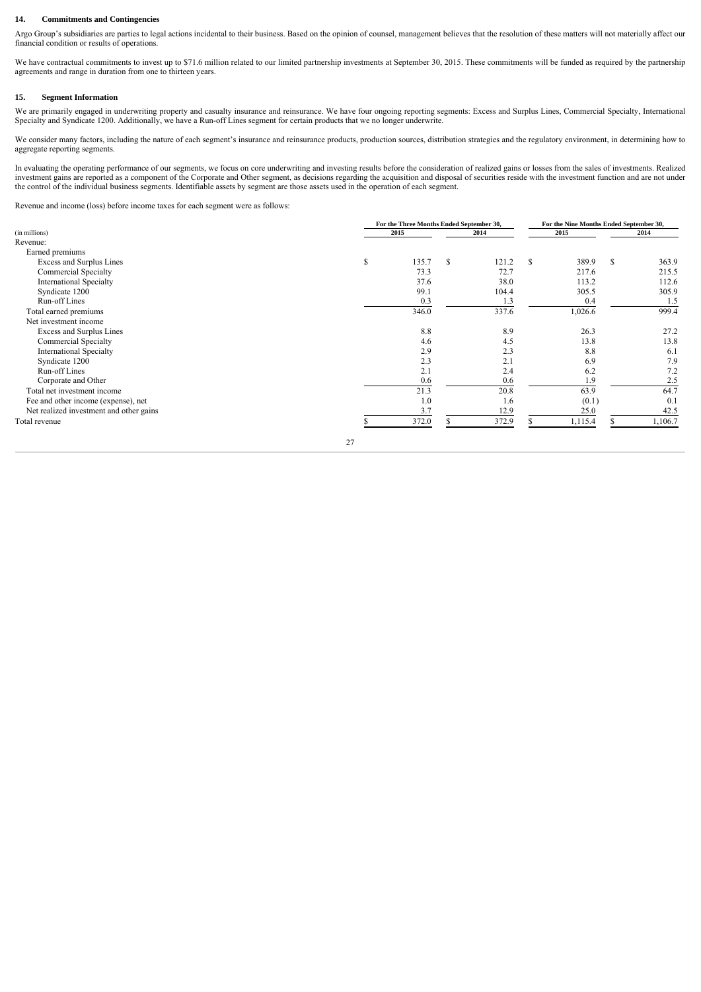Argo Group's subsidiaries are parties to legal actions incidental to their business. Based on the opinion of counsel, management believes that the resolution of these matters will not materially affect our financial condition or results of operations.

We have contractual commitments to invest up to \$71.6 million related to our limited partnership investments at September 30, 2015. These commitments will be funded as required by the partnership agreements and range in duration from one to thirteen years.

We are primarily engaged in underwriting property and casualty insurance and reinsurance. We have four ongoing reporting segments: Excess and Surplus Lines, Commercial Specialty, International Specialty and Syndicate 1200. Additionally, we have a Run-off Lines segment for certain products that we no longer underwrite.

We consider many factors, including the nature of each segment's insurance and reinsurance products, production sources, distribution strategies and the regulatory environment, in determining how to aggregate reporting segments.

In evaluating the operating performance of our segments, we focus on core underwriting and investing results before the consideration of realized gains or losses from the sales of investments. Realized investment gains are reported as a component of the Corporate and Other segment, as decisions regarding the acquisition and disposal of securities reside with the investment function and are not under the control of the individual business segments. Identifiable assets by segment are those assets used in the operation of each segment.

Revenue and income (loss) before income taxes for each segment were as follows:

27

#### **14. Commitments and Contingencies**

#### **15. Segment Information**

| For the Three Months Ended September 30, |    |              |     |       | For the Nine Months Ended September 30, |         |    |         |  |
|------------------------------------------|----|--------------|-----|-------|-----------------------------------------|---------|----|---------|--|
| (in millions)                            |    | 2015<br>2014 |     |       | 2015                                    |         |    | 2014    |  |
| Revenue:                                 |    |              |     |       |                                         |         |    |         |  |
| Earned premiums                          |    |              |     |       |                                         |         |    |         |  |
| <b>Excess and Surplus Lines</b>          | \$ | 135.7        | \$. | 121.2 | <sup>\$</sup>                           | 389.9   | \$ | 363.9   |  |
| <b>Commercial Specialty</b>              |    | 73.3         |     | 72.7  |                                         | 217.6   |    | 215.5   |  |
| <b>International Specialty</b>           |    | 37.6         |     | 38.0  |                                         | 113.2   |    | 112.6   |  |
| Syndicate 1200                           |    | 99.1         |     | 104.4 |                                         | 305.5   |    | 305.9   |  |
| Run-off Lines                            |    | 0.3          |     | 1.3   |                                         | 0.4     |    | 1.5     |  |
| Total earned premiums                    |    | 346.0        |     | 337.6 |                                         | 1,026.6 |    | 999.4   |  |
| Net investment income                    |    |              |     |       |                                         |         |    |         |  |
| <b>Excess and Surplus Lines</b>          |    | 8.8          |     | 8.9   |                                         | 26.3    |    | 27.2    |  |
| <b>Commercial Specialty</b>              |    | 4.6          |     | 4.5   |                                         | 13.8    |    | 13.8    |  |
| <b>International Specialty</b>           |    | 2.9          |     | 2.3   |                                         | 8.8     |    | 6.1     |  |
| Syndicate 1200                           |    | 2.3          |     | 2.1   |                                         | 6.9     |    | 7.9     |  |
| Run-off Lines                            |    | 2.1          |     | 2.4   |                                         | 6.2     |    | 7.2     |  |
| Corporate and Other                      |    | 0.6          |     | 0.6   |                                         | 1.9     |    | 2.5     |  |
| Total net investment income              |    | 21.3         |     | 20.8  |                                         | 63.9    |    | 64.7    |  |
| Fee and other income (expense), net      |    | 1.0          |     | 1.6   |                                         | (0.1)   |    | 0.1     |  |
| Net realized investment and other gains  |    | 3.7          |     | 12.9  |                                         | 25.0    |    | 42.5    |  |
| Total revenue                            |    | 372.0        |     | 372.9 |                                         | 1,115.4 |    | 1,106.7 |  |
|                                          |    |              |     |       |                                         |         |    |         |  |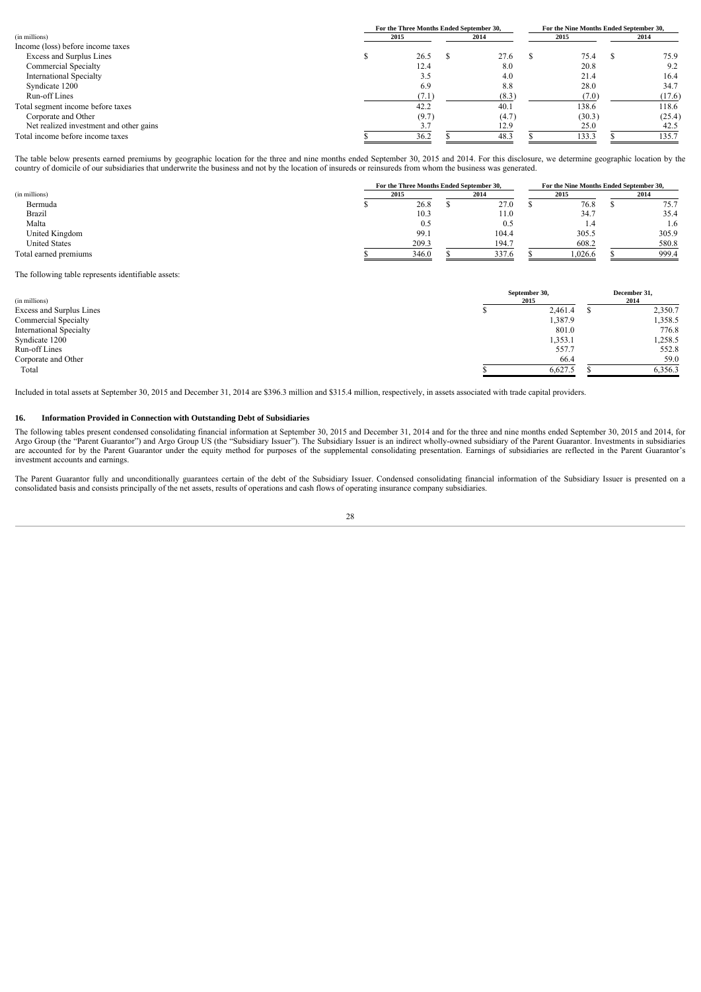The table below presents earned premiums by geographic location for the three and nine months ended September 30, 2015 and 2014. For this disclosure, we determine geographic location by the country of domicile of our subsidiaries that underwrite the business and not by the location of insureds or reinsureds from whom the business was generated.

The following table represents identifiable assets:

Included in total assets at September 30, 2015 and December 31, 2014 are \$396.3 million and \$315.4 million, respectively, in assets associated with trade capital providers.

The following tables present condensed consolidating financial information at September 30, 2015 and December 31, 2014 and for the three and nine months ended September 30, 2015 and 2014, for Argo Group (the "Parent Guarantor") and Argo Group US (the "Subsidiary Issuer"). The Subsidiary Issuer is an indirect wholly-owned subsidiary of the Parent Guarantor. Investments in subsidiaries are accounted for by the Parent Guarantor under the equity method for purposes of the supplemental consolidating presentation. Earnings of subsidiaries are reflected in the Parent Guarantor's investment accounts and earnings.

The Parent Guarantor fully and unconditionally guarantees certain of the debt of the Subsidiary Issuer. Condensed consolidating financial information of the Subsidiary Issuer is presented on a consolidated basis and consists principally of the net assets, results of operations and cash flows of operating insurance company subsidiaries.

28

|                                         | For the Three Months Ended September 30, |       |  |       |      |        | For the Nine Months Ended September 30, |        |  |  |
|-----------------------------------------|------------------------------------------|-------|--|-------|------|--------|-----------------------------------------|--------|--|--|
| (in millions)                           | 2015                                     |       |  | 2014  | 2015 |        | 2014                                    |        |  |  |
| Income (loss) before income taxes       |                                          |       |  |       |      |        |                                         |        |  |  |
| Excess and Surplus Lines                |                                          | 26.5  |  | 27.6  |      | 75.4   |                                         | 75.9   |  |  |
| Commercial Specialty                    |                                          | 12.4  |  | 8.0   |      | 20.8   |                                         | 9.2    |  |  |
| <b>International Specialty</b>          |                                          | 3.5   |  | 4.0   |      | 21.4   |                                         | 16.4   |  |  |
| Syndicate 1200                          |                                          | 6.9   |  | 8.8   |      | 28.0   |                                         | 34.7   |  |  |
| Run-off Lines                           |                                          | 7.1   |  | (8.3) |      | (7.0)  |                                         | (17.6) |  |  |
| Total segment income before taxes       |                                          | 42.2  |  | 40.1  |      | 138.6  |                                         | 118.6  |  |  |
| Corporate and Other                     |                                          | (9.7) |  | (4.7) |      | (30.3) |                                         | (25.4) |  |  |
| Net realized investment and other gains |                                          |       |  | 12.9  |      | 25.0   |                                         | 42.5   |  |  |
| Total income before income taxes        |                                          | 36.2  |  | 48.3  |      | 133.3  |                                         | 135.7  |  |  |

|                       | For the Three Months Ended September 30, |       |  |       | For the Nine Months Ended September 30, |         |  |       |
|-----------------------|------------------------------------------|-------|--|-------|-----------------------------------------|---------|--|-------|
| (in millions)         |                                          | 2015  |  | 2014  |                                         | 2015    |  | 2014  |
| Bermuda               |                                          | 26.8  |  | 27.0  |                                         | 76.8    |  | 75.7  |
| <b>Brazil</b>         |                                          | 10.3  |  | 11.0  |                                         | 34.7    |  | 35.4  |
| Malta                 |                                          | 0.5   |  | 0.5   |                                         | 1.4     |  | 1.6   |
| United Kingdom        |                                          | 99.1  |  | 104.4 |                                         | 305.5   |  | 305.9 |
| <b>United States</b>  |                                          | 209.3 |  | 194.7 |                                         | 608.2   |  | 580.8 |
| Total earned premiums |                                          | 346.0 |  | 337.6 |                                         | 1,026.6 |  | 999.4 |

| (in millions)                  | September 30,<br>2015 | December 31,<br>2014 |  |         |  |
|--------------------------------|-----------------------|----------------------|--|---------|--|
| Excess and Surplus Lines       |                       | 2,461.4              |  | 2,350.7 |  |
| Commercial Specialty           |                       | 1,387.9              |  | 1,358.5 |  |
| <b>International Specialty</b> |                       | 801.0                |  | 776.8   |  |
| Syndicate 1200                 |                       | 1,353.1              |  | 1,258.5 |  |
| Run-off Lines                  |                       | 557.7                |  | 552.8   |  |
| Corporate and Other            |                       | 66.4                 |  | 59.0    |  |
| Total                          |                       | 6,627.5              |  | 6,356.3 |  |

## **16. Information Provided in Connection with Outstanding Debt of Subsidiaries**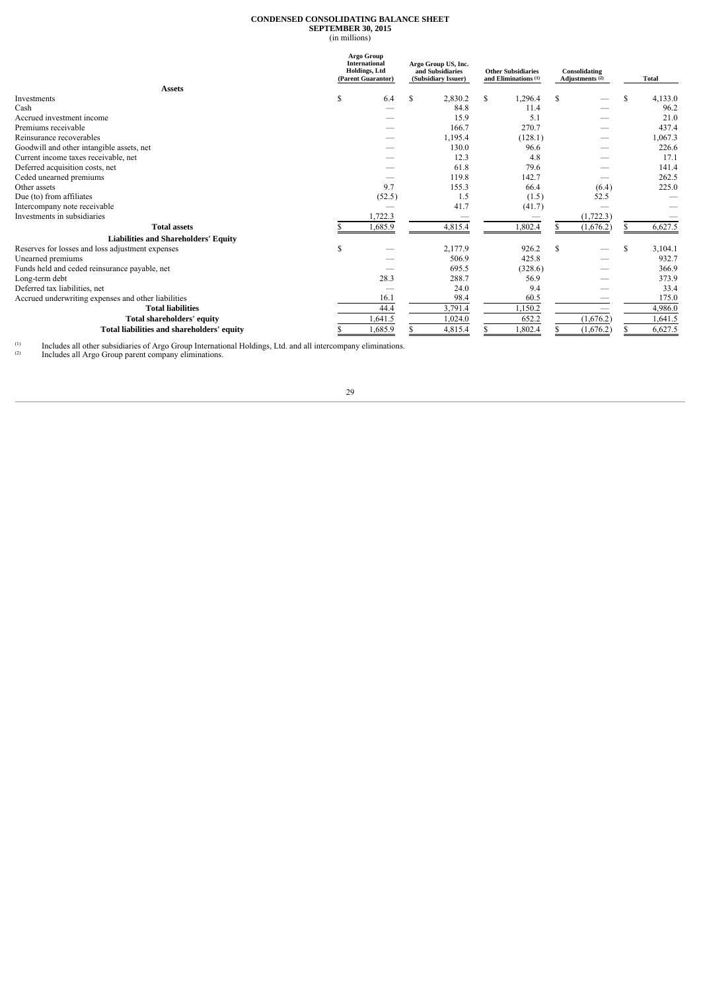#### **CONDENSED CONSOLIDATING BALANCE SHEET SEPTEMBER 30, 2015**  (in millions)

29

|                                                     | <b>Argo Group</b><br><b>International</b><br>Holdings, Ltd<br>(Parent Guarantor) |               | Argo Group US, Inc.<br>and Subsidiaries<br>(Subsidiary Issuer) | <b>Other Subsidiaries</b><br>and Eliminations $(1)$ |    | Consolidating<br>Adjustments $(2)$ |               | <b>Total</b> |
|-----------------------------------------------------|----------------------------------------------------------------------------------|---------------|----------------------------------------------------------------|-----------------------------------------------------|----|------------------------------------|---------------|--------------|
| <b>Assets</b>                                       |                                                                                  |               |                                                                |                                                     |    |                                    |               |              |
| Investments                                         | \$<br>6.4                                                                        | <sup>\$</sup> | 2,830.2                                                        | \$<br>1,296.4                                       | S. |                                    | <sup>\$</sup> | 4,133.0      |
| Cash                                                |                                                                                  |               | 84.8                                                           | 11.4                                                |    |                                    |               | 96.2         |
| Accrued investment income                           |                                                                                  |               | 15.9                                                           | 5.1                                                 |    |                                    |               | 21.0         |
| Premiums receivable                                 |                                                                                  |               | 166.7                                                          | 270.7                                               |    |                                    |               | 437.4        |
| Reinsurance recoverables                            |                                                                                  |               | 1,195.4                                                        | (128.1)                                             |    |                                    |               | 1,067.3      |
| Goodwill and other intangible assets, net           |                                                                                  |               | 130.0                                                          | 96.6                                                |    |                                    |               | 226.6        |
| Current income taxes receivable, net                |                                                                                  |               | 12.3                                                           | 4.8                                                 |    |                                    |               | 17.1         |
| Deferred acquisition costs, net                     |                                                                                  |               | 61.8                                                           | 79.6                                                |    |                                    |               | 141.4        |
| Ceded unearned premiums                             |                                                                                  |               | 119.8                                                          | 142.7                                               |    |                                    |               | 262.5        |
| Other assets                                        | 9.7                                                                              |               | 155.3                                                          | 66.4                                                |    | (6.4)                              |               | 225.0        |
| Due (to) from affiliates                            | (52.5)                                                                           |               | 1.5                                                            | (1.5)                                               |    | 52.5                               |               |              |
| Intercompany note receivable                        |                                                                                  |               | 41.7                                                           | (41.7)                                              |    |                                    |               |              |
| Investments in subsidiaries                         | 1,722.3                                                                          |               |                                                                |                                                     |    | (1,722.3)                          |               |              |
| <b>Total assets</b>                                 | 1,685.9                                                                          |               | 4,815.4                                                        | ,802.4                                              |    | (1,676.2)                          |               | 6,627.5      |
| <b>Liabilities and Shareholders' Equity</b>         |                                                                                  |               |                                                                |                                                     |    |                                    |               |              |
| Reserves for losses and loss adjustment expenses    | \$                                                                               |               | 2,177.9                                                        | 926.2                                               | \$ |                                    | <sup>\$</sup> | 3,104.1      |
| Unearned premiums                                   |                                                                                  |               | 506.9                                                          | 425.8                                               |    |                                    |               | 932.7        |
| Funds held and ceded reinsurance payable, net       |                                                                                  |               | 695.5                                                          | (328.6)                                             |    |                                    |               | 366.9        |
| Long-term debt                                      | 28.3                                                                             |               | 288.7                                                          | 56.9                                                |    |                                    |               | 373.9        |
| Deferred tax liabilities, net                       |                                                                                  |               | 24.0                                                           | 9.4                                                 |    |                                    |               | 33.4         |
| Accrued underwriting expenses and other liabilities | 16.1                                                                             |               | 98.4                                                           | 60.5                                                |    |                                    |               | 175.0        |
| <b>Total liabilities</b>                            | 44.4                                                                             |               | 3,791.4                                                        | ,150.2                                              |    |                                    |               | 4,986.0      |
| <b>Total shareholders' equity</b>                   | ,641.5                                                                           |               | 1,024.0                                                        | 652.2                                               |    | (1,676.2)                          |               | 1,641.5      |
| Total liabilities and shareholders' equity          | 1,685.9                                                                          |               | 4,815.4                                                        | ,802.4                                              |    | (1,676.2)                          |               | 6,627.5      |

(1) Includes all other subsidiaries of Argo Group International Holdings, Ltd. and all intercompany eliminations.

(2) Includes all Argo Group parent company eliminations.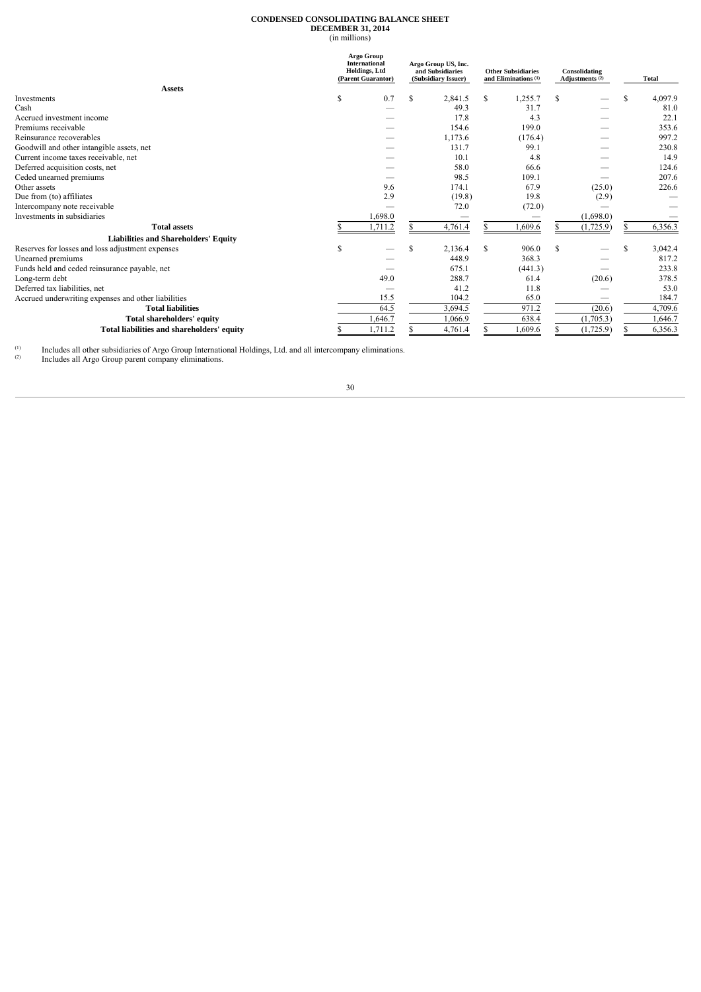#### **CONDENSED CONSOLIDATING BALANCE SHEET DECEMBER 31, 2014**  (in millions)

30

**Argo Group International Holdings, Ltd (Parent Guarantor) Argo Group US, Inc. and Subsidiaries (Subsidiary Issuer) Other Subsidiaries and Eliminations (1) Consolidating Adjustments (2) Total Assets**   $100$  Investments and the set of  $1,255.7$   $1,255.7$   $1,255.7$   $1,255.7$   $1,255.7$   $1,255.7$   $1,255.7$   $1,255.7$   $1,255.7$   $1,255.7$   $1,255.7$   $1,255.7$   $1,255.7$   $1,255.7$   $1,255.7$   $1,255.7$   $1,255.7$   $1,255.7$   $1,255.7$  $\frac{1}{2}$  Cash  $\frac{31.7}{31.7}$   $\frac{1}{2}$  81.0 Cash<br>
Accrued investment income<br>
Accrued investment income<br>
Premiums receivable<br>
Reinsurance recoverables<br>
Reinsurance recoverables<br>
Goodwill and other intangible assets, net<br>
Current income taxes receivable, net<br>
— 131.7 Premiums receivable — 353.6 — 154.6 199.0 — 353.6 Reinsurance recoverables — 1,173.6 (176.4) — 997.2 Goodwill and other intangible assets, net  $-$  131.7 99.1  $-$  230.8 Current income taxes receivable, net 14.9 and 14.9 and 14.9 and 14.9 and 14.9 and 14.9 and 14.9 and 14.9 and 14.9 and 14.9 and 14.9 and 14.9 and 14.9 and 14.9 and 14.9 and 14.9 and 14.9 and 14.9 and 14.9 and 14.9 and 14.9 Deferred acquisition costs, net 124.6 and the set of the set of the set of the set of the set of the set of the set of the set of the set of the set of the set of the set of the set of the set of the set of the set of the Ceded unearned premiums 207.6 and the celebration of the celebration of the celebration of the celebration of the celebration of the celebration of the celebration of the celebration of the celebration of the celebration o Other assets 226.6 174.1 67.9 (25.0) 226.6 Due from (to) affiliates (2.9)  $19.8$  (2.9) Intercompany note receivable  $\qquad \qquad$   $\qquad$   $(72.0)$   $\qquad$   $\qquad$   $\qquad$   $\qquad$ Investments in subsidiaries  $1,698.0$   $(1,698.0)$   $-$ **Total assets** \$ 1,711.2 \$ 4,761.4\$ 1,609.6 \$ (1,725.9) \$ 6,356.3 **Liabilities and Shareholders' Equity**  Reserves for losses and loss adjustment expenses  $\begin{array}{ccc} \text{S} & - & \text{S} & 2,136.4 & \text{S} & 906.0 & \text{S} & - & \text{S} & 3,042.4 \end{array}$ Unearned premiums — 448.9 368.3 — 817.2<br>
Funds held and ceded reinsurance pavable, net 233.8 233.8 233.8 233.8 Funds held and ceded reinsurance payable, net <br>  $-$  675.1 (441.3)  $-$  233.8 Long-term debt (20.6) 378.5 (20.6) 49.0 288.7 (20.6) 378.5 Deferred tax liabilities, net — 53.0 Accrued underwriting expenses and other liabilities 15.5 104.2 104.2 65.0 <del>101.2 184.7</del> 184.7 **Total liabilities 64.5** 3,694.5 **971.2** (20.6) 4,709.6 **Total shareholders' equity 1,646.7** 1,066.9 **638.4** (1,705.3) 1,646.7 **Total liabilities and shareholders' equity** \$ 1,711.2 \$ 4,761.4\$ 1,609.6 \$ (1,725.9) \$ 6,356.3

 $(1)$ (1) Includes all other subsidiaries of Argo Group International Holdings, Ltd. and all intercompany eliminations.<br>(2) Includes all Argo Group parent company eliminations

Includes all Argo Group parent company eliminations.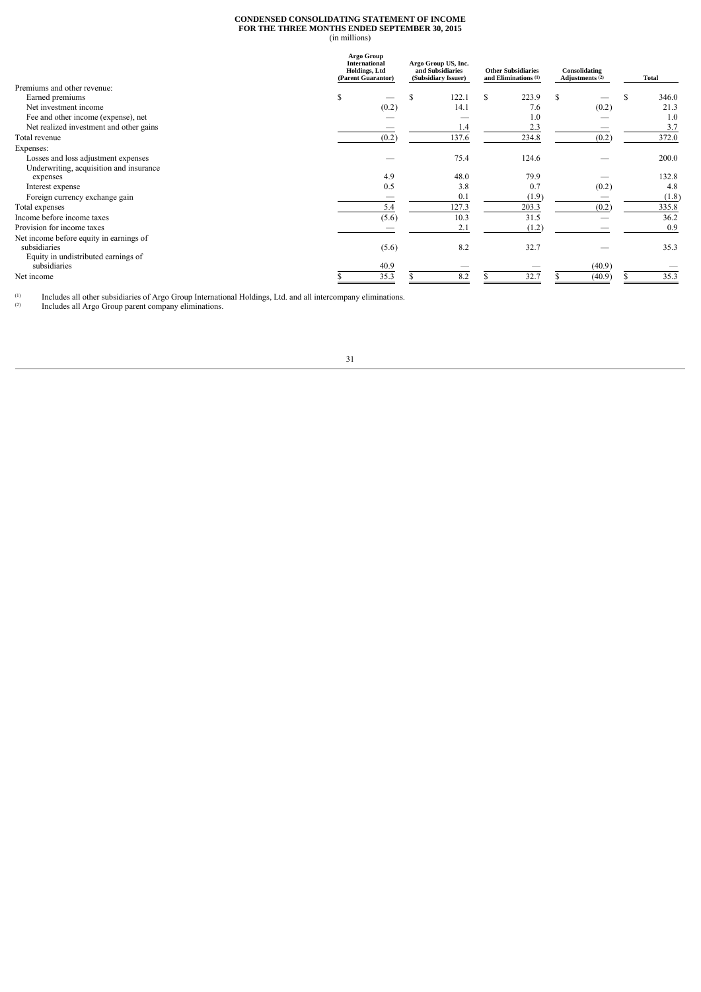#### **CONDENSED CONSOLIDATING STATEMENT OF INCOME FOR THE THREE MONTHS ENDED SEPTEMBER 30, 2015**  (in millions)

 $\left( 1\right)$ (1) Includes all other subsidiaries of Argo Group International Holdings, Ltd. and all intercompany eliminations.

|                                         | <b>Argo Group</b><br><b>International</b><br>Holdings, Ltd<br>(Parent Guarantor) | Argo Group US, Inc.<br>and Subsidiaries<br>(Subsidiary Issuer) | <b>Other Subsidiaries</b><br>and Eliminations $(1)$ | Consolidating<br>Adjustments <sup>(2)</sup> | <b>Total</b> |
|-----------------------------------------|----------------------------------------------------------------------------------|----------------------------------------------------------------|-----------------------------------------------------|---------------------------------------------|--------------|
| Premiums and other revenue:             |                                                                                  |                                                                |                                                     |                                             |              |
| Earned premiums                         | \$                                                                               | 122.1                                                          | 223.9                                               | <sup>\$</sup>                               | 346.0        |
| Net investment income                   | (0.2)                                                                            | 14.1                                                           | 7.6                                                 | (0.2)                                       | 21.3         |
| Fee and other income (expense), net     |                                                                                  |                                                                | 1.0                                                 |                                             | 1.0          |
| Net realized investment and other gains |                                                                                  | 1.4                                                            | 2.3                                                 |                                             | 3.7          |
| Total revenue                           | (0.2)                                                                            | 137.6                                                          | 234.8                                               | (0.2)                                       | 372.0        |
| Expenses:                               |                                                                                  |                                                                |                                                     |                                             |              |
| Losses and loss adjustment expenses     |                                                                                  | 75.4                                                           | 124.6                                               |                                             | 200.0        |
| Underwriting, acquisition and insurance |                                                                                  |                                                                |                                                     |                                             |              |
| expenses                                | 4.9                                                                              | 48.0                                                           | 79.9                                                |                                             | 132.8        |
| Interest expense                        | 0.5                                                                              | 3.8                                                            | 0.7                                                 | (0.2)                                       | 4.8          |
| Foreign currency exchange gain          |                                                                                  | 0.1                                                            | (1.9)                                               |                                             | (1.8)        |
| Total expenses                          | 5.4                                                                              | 127.3                                                          | 203.3                                               | (0.2)                                       | 335.8        |
| Income before income taxes              | (5.6)                                                                            | 10.3                                                           | 31.5                                                |                                             | 36.2         |
| Provision for income taxes              |                                                                                  | 2.1                                                            | (1.2)                                               |                                             | 0.9          |
| Net income before equity in earnings of |                                                                                  |                                                                |                                                     |                                             |              |
| subsidiaries                            | (5.6)                                                                            | 8.2                                                            | 32.7                                                |                                             | 35.3         |
| Equity in undistributed earnings of     |                                                                                  |                                                                |                                                     |                                             |              |
| subsidiaries                            | 40.9                                                                             |                                                                |                                                     | (40.9)                                      |              |
| Net income                              | 35.3                                                                             | 8.2                                                            | 32.7                                                | (40.9)                                      | 35.3         |

(2) Includes all Argo Group parent company eliminations.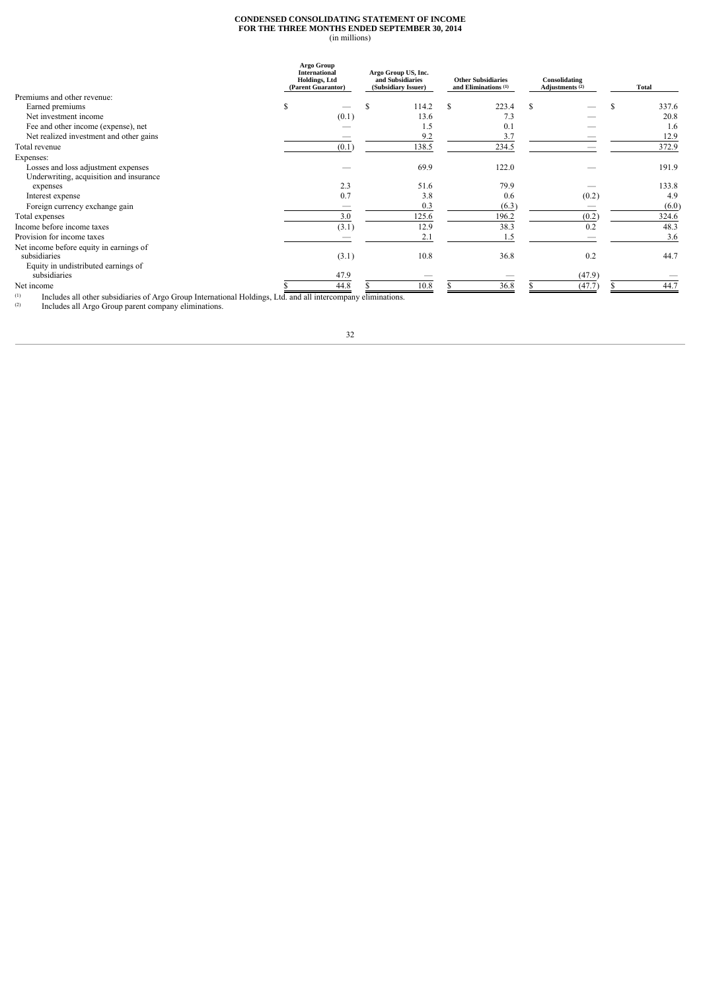#### **CONDENSED CONSOLIDATING STATEMENT OF INCOME FOR THE THREE MONTHS ENDED SEPTEMBER 30, 2014**  (in millions)

|                                         | Argo Group<br><b>International</b><br>Holdings, Ltd<br>(Parent Guarantor) | Argo Group US, Inc.<br>and Subsidiaries<br>(Subsidiary Issuer) | <b>Other Subsidiaries</b><br>and Eliminations $(1)$ | Consolidating<br>Adjustments <sup>(2)</sup> | <b>Total</b> |
|-----------------------------------------|---------------------------------------------------------------------------|----------------------------------------------------------------|-----------------------------------------------------|---------------------------------------------|--------------|
| Premiums and other revenue:             |                                                                           |                                                                |                                                     |                                             |              |
| Earned premiums                         | S                                                                         | 114.2                                                          | 223.4                                               |                                             | 337.6        |
| Net investment income                   | (0.1)                                                                     | 13.6                                                           | 7.3                                                 |                                             | 20.8         |
| Fee and other income (expense), net     |                                                                           | 1.5                                                            | 0.1                                                 |                                             | 1.6          |
| Net realized investment and other gains |                                                                           | 9.2                                                            | 3.7                                                 |                                             | 12.9         |
| Total revenue                           | (0.1)                                                                     | 138.5                                                          | 234.5                                               |                                             | 372.9        |
| Expenses:                               |                                                                           |                                                                |                                                     |                                             |              |
| Losses and loss adjustment expenses     |                                                                           | 69.9                                                           | 122.0                                               |                                             | 191.9        |
| Underwriting, acquisition and insurance |                                                                           |                                                                |                                                     |                                             |              |
| expenses                                | 2.3                                                                       | 51.6                                                           | 79.9                                                |                                             | 133.8        |
| Interest expense                        | 0.7                                                                       | 3.8                                                            | 0.6                                                 | (0.2)                                       | 4.9          |
| Foreign currency exchange gain          |                                                                           | 0.3                                                            | (6.3)                                               |                                             | (6.0)        |
| Total expenses                          | 3.0                                                                       | 125.6                                                          | 196.2                                               | (0.2)                                       | 324.6        |
| Income before income taxes              | (3.1)                                                                     | 12.9                                                           | 38.3                                                | 0.2                                         | 48.3         |
| Provision for income taxes              |                                                                           | 2.1                                                            | 1.5                                                 |                                             | 3.6          |
| Net income before equity in earnings of |                                                                           |                                                                |                                                     |                                             |              |
| subsidiaries                            | (3.1)                                                                     | 10.8                                                           | 36.8                                                | 0.2                                         | 44.7         |
| Equity in undistributed earnings of     |                                                                           |                                                                |                                                     |                                             |              |
| subsidiaries                            | 47.9                                                                      |                                                                |                                                     | (47.9)                                      |              |
| Net income                              | 44.8                                                                      | 10.8                                                           | 36.8                                                | (47.7)                                      | 44.7         |

(1) Includes all other subsidiaries of Argo Group International Holdings, Ltd. and all intercompany eliminations.

(2) Includes all Argo Group parent company eliminations.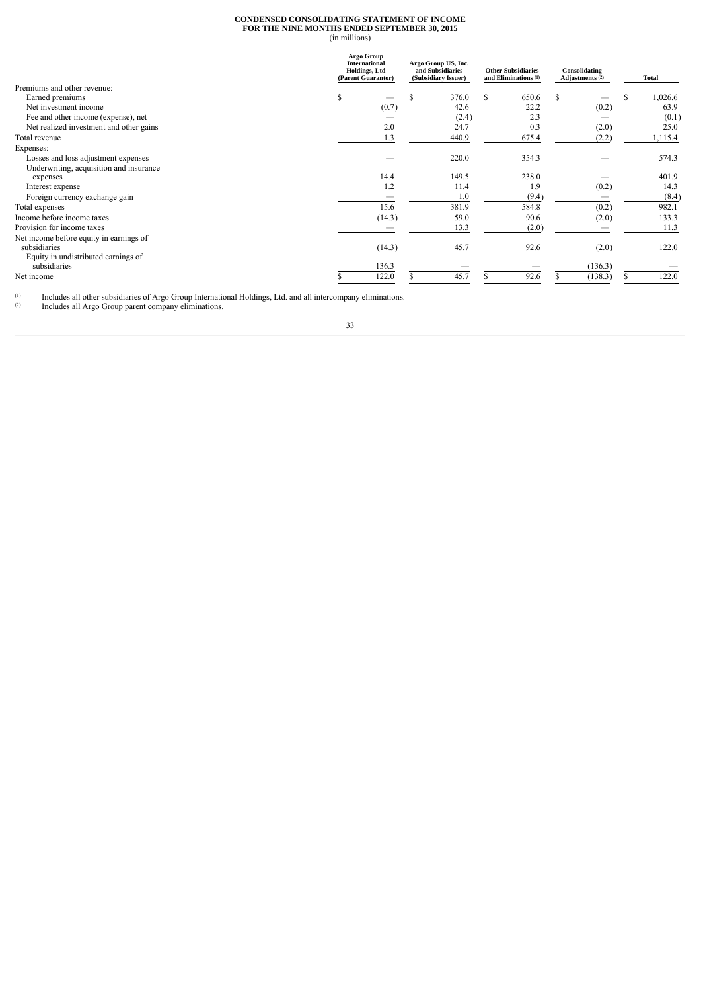#### **CONDENSED CONSOLIDATING STATEMENT OF INCOME FOR THE NINE MONTHS ENDED SEPTEMBER 30, 2015**  (in millions)

**Argo Group International Holdings, Ltd (Parent Guarantor) Argo Group US, Inc. and Subsidiaries (Subsidiary Issuer) Other Subsidiaries and Eliminations (1) Consolidating Adjustments (2) Total**  Premiums and other revenue: Earned premiums  $\begin{array}{cccccccccccccc} 1,026.6 & & & & \end{array}$ Net investment income (0.7) 42.6 22.2 (0.2) 63.9 Fee and other income (expense), net  $-$  (2.4) 2.3  $-$  (0.1) Net realized investment and other gains 2.0 24.7 0.3 (2.0) 25.0 Total revenue 2.2 and 1.3 440.9 675.4 (2.2) 1,115.4 Expenses: Losses and loss adjustment expenses — 220.0 354.3 — 574.3 Underwriting, acquisition and insurance expenses and the set of the set of the set of the set of the set of the set of the set of the set of the set of the set of the set of the set of the set of the set of the set of the set of the set of the set of the set of Interest expense 1.2 11.4 1.9 (0.2) 14.3 Foreign currency exchange gain  $\frac{1}{15.6}$   $\frac{1.0}{381.9}$   $\frac{(9.4)}{584.8}$   $\frac{1}{(0.2)}$   $\frac{1}{982.1}$ Total expenses 6 15.6 15.6 381.9 584.8 (0.2) 982.1 Income before income taxes (14.3) 59.0 90.6 (2.0) 133.3 Provision for income taxes  $\frac{13.3}{2} \quad \frac{13.3}{2} \quad \frac{13.3}{2} \quad \frac{13.3}{2} \quad \frac{11.3}{2}$ Net income before equity in earnings of subsidiaries (14.3) 45.7 92.6 (2.0) 122.0 Equity in undistributed earnings of subsidiaries  $136.3$   $(136.3)$   $-$ Net income the same state of the state of the state of the state of the state of the state of the state of the state of the state of the state of the state of the state of the state of the state of the state of the state o

 $\left(1\right)$  $\frac{(1)}{(2)}$  Includes all other subsidiaries of Argo Group International Holdings, Ltd. and all intercompany eliminations.<br>Includes all Argo Group parent company eliminations

Includes all Argo Group parent company eliminations.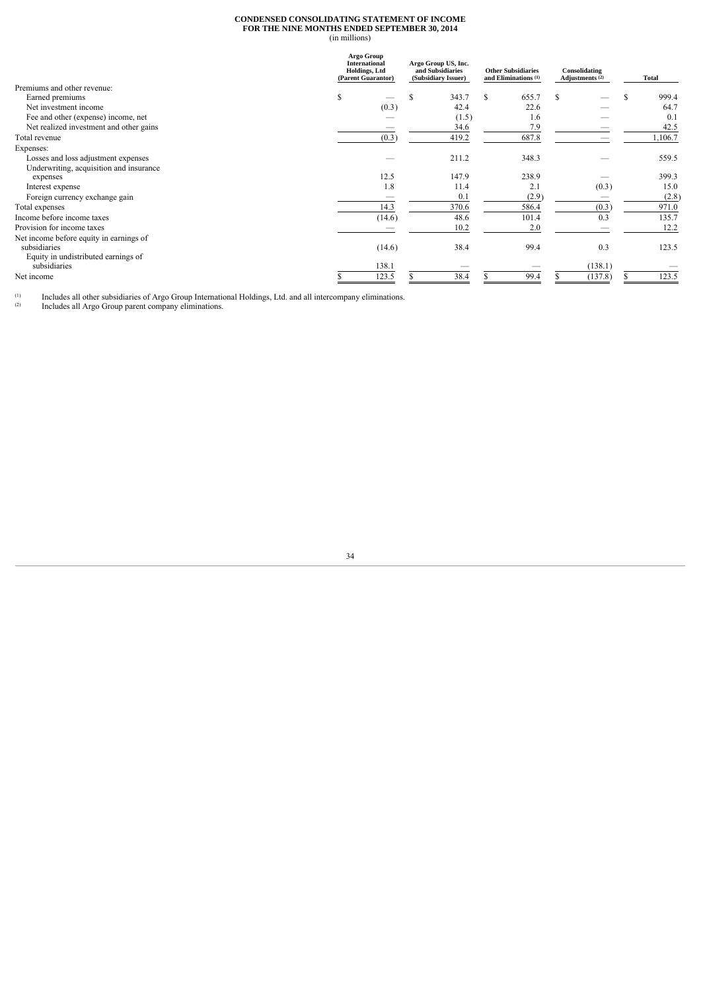#### **CONDENSED CONSOLIDATING STATEMENT OF INCOME FOR THE NINE MONTHS ENDED SEPTEMBER 30, 2014**  (in millions)

 $\left( 1\right)$ (1) Includes all other subsidiaries of Argo Group International Holdings, Ltd. and all intercompany eliminations.

|                                         | <b>Argo Group</b><br><b>International</b><br>Holdings, Ltd<br>(Parent Guarantor) | Argo Group US, Inc.<br>and Subsidiaries<br>(Subsidiary Issuer) | <b>Other Subsidiaries</b><br>and Eliminations $(1)$ | Consolidating<br>Adjustments <sup>(2)</sup> | <b>Total</b> |
|-----------------------------------------|----------------------------------------------------------------------------------|----------------------------------------------------------------|-----------------------------------------------------|---------------------------------------------|--------------|
| Premiums and other revenue:             |                                                                                  |                                                                |                                                     |                                             |              |
| Earned premiums                         | \$                                                                               | \$<br>343.7                                                    | 655.7                                               |                                             | S<br>999.4   |
| Net investment income                   | (0.3)                                                                            | 42.4                                                           | 22.6                                                |                                             | 64.7         |
| Fee and other (expense) income, net     |                                                                                  | (1.5)                                                          | 1.6                                                 |                                             | 0.1          |
| Net realized investment and other gains |                                                                                  | 34.6                                                           | 7.9                                                 |                                             | 42.5         |
| Total revenue                           | (0.3)                                                                            | 419.2                                                          | 687.8                                               |                                             | 1,106.7      |
| Expenses:                               |                                                                                  |                                                                |                                                     |                                             |              |
| Losses and loss adjustment expenses     |                                                                                  | 211.2                                                          | 348.3                                               |                                             | 559.5        |
| Underwriting, acquisition and insurance |                                                                                  |                                                                |                                                     |                                             |              |
| expenses                                | 12.5                                                                             | 147.9                                                          | 238.9                                               |                                             | 399.3        |
| Interest expense                        | 1.8                                                                              | 11.4                                                           | 2.1                                                 | (0.3)                                       | 15.0         |
| Foreign currency exchange gain          |                                                                                  | 0.1                                                            | (2.9)                                               |                                             | (2.8)        |
| Total expenses                          | 14.3                                                                             | 370.6                                                          | 586.4                                               | (0.3)                                       | 971.0        |
| Income before income taxes              | (14.6)                                                                           | 48.6                                                           | 101.4                                               | 0.3                                         | 135.7        |
| Provision for income taxes              |                                                                                  | 10.2                                                           | 2.0                                                 |                                             | 12.2         |
| Net income before equity in earnings of |                                                                                  |                                                                |                                                     |                                             |              |
| subsidiaries                            | (14.6)                                                                           | 38.4                                                           | 99.4                                                | 0.3                                         | 123.5        |
| Equity in undistributed earnings of     |                                                                                  |                                                                |                                                     |                                             |              |
| subsidiaries                            | 138.1                                                                            |                                                                |                                                     | (138.1)                                     |              |
| Net income                              | 123.5                                                                            | 38.4                                                           | 99.4                                                | (137.8)                                     | 123.5        |

(2) Includes all Argo Group parent company eliminations.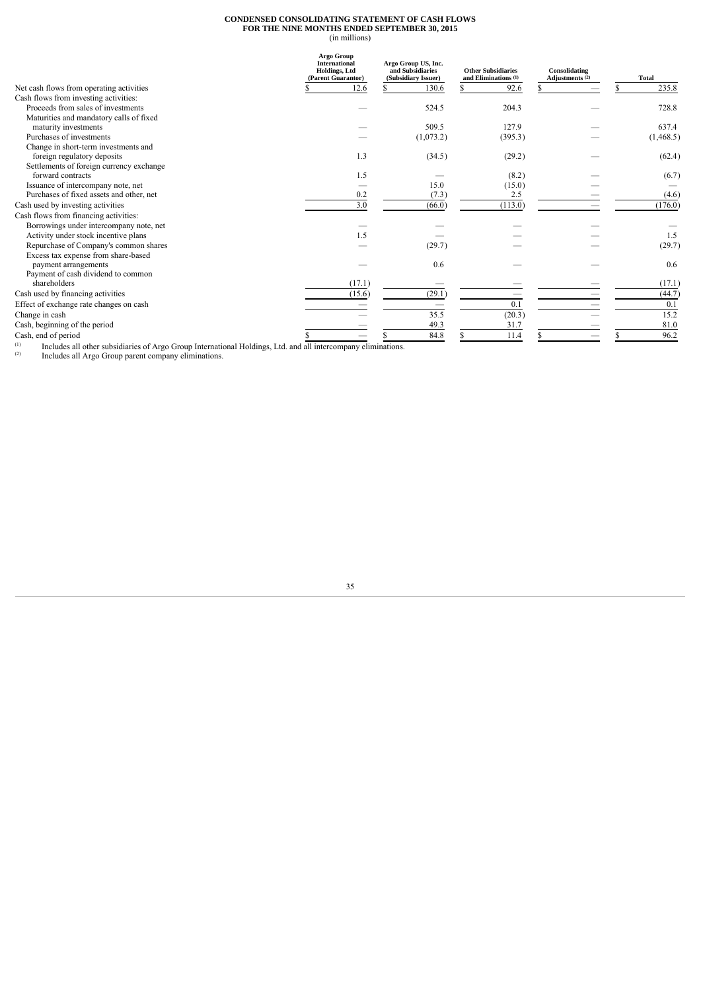## **CONDENSED CONSOLIDATING STATEMENT OF CASH FLOWS FOR THE NINE MONTHS ENDED SEPTEMBER 30, 2015**

(in millions)

35

|                                          | <b>Argo Group</b><br><b>International</b><br>Holdings, Ltd<br>(Parent Guarantor) | Argo Group US, Inc.<br>and Subsidiaries<br>(Subsidiary Issuer) | <b>Other Subsidiaries</b><br>and Eliminations $(1)$ | Consolidating<br>Adjustments $(2)$ | <b>Total</b> |
|------------------------------------------|----------------------------------------------------------------------------------|----------------------------------------------------------------|-----------------------------------------------------|------------------------------------|--------------|
| Net cash flows from operating activities | 12.6                                                                             | 130.6                                                          | 92.6                                                |                                    | 235.8        |
| Cash flows from investing activities:    |                                                                                  |                                                                |                                                     |                                    |              |
| Proceeds from sales of investments       |                                                                                  | 524.5                                                          | 204.3                                               |                                    | 728.8        |
| Maturities and mandatory calls of fixed  |                                                                                  |                                                                |                                                     |                                    |              |
| maturity investments                     |                                                                                  | 509.5                                                          | 127.9                                               |                                    | 637.4        |
| Purchases of investments                 |                                                                                  | (1,073.2)                                                      | (395.3)                                             |                                    | (1,468.5)    |
| Change in short-term investments and     |                                                                                  |                                                                |                                                     |                                    |              |
| foreign regulatory deposits              | 1.3                                                                              | (34.5)                                                         | (29.2)                                              |                                    | (62.4)       |
| Settlements of foreign currency exchange |                                                                                  |                                                                |                                                     |                                    |              |
| forward contracts                        | 1.5                                                                              |                                                                | (8.2)                                               |                                    | (6.7)        |
| Issuance of intercompany note, net       |                                                                                  | 15.0                                                           | (15.0)                                              |                                    |              |
| Purchases of fixed assets and other, net | 0.2                                                                              | (7.3)                                                          | 2.5                                                 |                                    | (4.6)        |
| Cash used by investing activities        | 3.0                                                                              | (66.0)                                                         | (113.0)                                             |                                    | (176.0)      |
| Cash flows from financing activities:    |                                                                                  |                                                                |                                                     |                                    |              |
| Borrowings under intercompany note, net  |                                                                                  |                                                                |                                                     |                                    |              |
| Activity under stock incentive plans     | 1.5                                                                              |                                                                |                                                     |                                    | 1.5          |
| Repurchase of Company's common shares    |                                                                                  | (29.7)                                                         |                                                     |                                    | (29.7)       |
| Excess tax expense from share-based      |                                                                                  |                                                                |                                                     |                                    |              |
| payment arrangements                     |                                                                                  | 0.6                                                            |                                                     |                                    | 0.6          |
| Payment of cash dividend to common       |                                                                                  |                                                                |                                                     |                                    |              |
| shareholders                             | (17.1)                                                                           |                                                                |                                                     |                                    | (17.1)       |
| Cash used by financing activities        | (15.6)                                                                           | (29.1)                                                         |                                                     |                                    | (44.7)       |
| Effect of exchange rate changes on cash  |                                                                                  |                                                                | 0.1                                                 |                                    | 0.1          |
| Change in cash                           |                                                                                  | 35.5                                                           | (20.3)                                              |                                    | 15.2         |
| Cash, beginning of the period            |                                                                                  | 49.3                                                           | 31.7                                                |                                    | 81.0         |
| Cash, end of period                      |                                                                                  | 84.8                                                           | 11.4                                                |                                    | 96.2         |

(1) Includes all other subsidiaries of Argo Group International Holdings, Ltd. and all intercompany eliminations.

 $\Omega$  Includes all Argo Group parent company eliminations.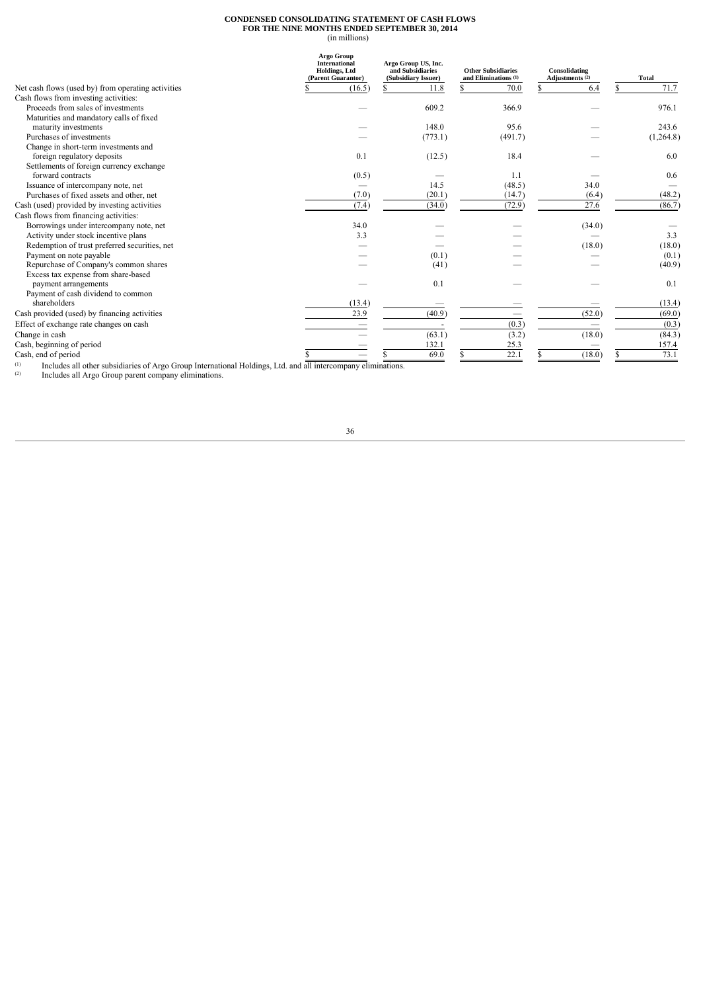## **CONDENSED CONSOLIDATING STATEMENT OF CASH FLOWS FOR THE NINE MONTHS ENDED SEPTEMBER 30, 2014**

(in millions)

|                                                    | <b>Argo Group</b><br><b>International</b><br><b>Holdings</b> , Ltd<br>(Parent Guarantor) | Argo Group US, Inc.<br>and Subsidiaries<br>(Subsidiary Issuer) | <b>Other Subsidiaries</b><br>and Eliminations <sup>(1)</sup> | Consolidating<br>Adjustments $(2)$ | <b>Total</b> |
|----------------------------------------------------|------------------------------------------------------------------------------------------|----------------------------------------------------------------|--------------------------------------------------------------|------------------------------------|--------------|
| Net cash flows (used by) from operating activities | (16.5)                                                                                   | 11.8                                                           | 70.0                                                         | 6.4                                | 71.7         |
| Cash flows from investing activities:              |                                                                                          |                                                                |                                                              |                                    |              |
| Proceeds from sales of investments                 |                                                                                          | 609.2                                                          | 366.9                                                        |                                    | 976.1        |
| Maturities and mandatory calls of fixed            |                                                                                          |                                                                |                                                              |                                    |              |
| maturity investments                               |                                                                                          | 148.0                                                          | 95.6                                                         |                                    | 243.6        |
| Purchases of investments                           |                                                                                          | (773.1)                                                        | (491.7)                                                      |                                    | (1,264.8)    |
| Change in short-term investments and               |                                                                                          |                                                                |                                                              |                                    |              |
| foreign regulatory deposits                        | 0.1                                                                                      | (12.5)                                                         | 18.4                                                         |                                    | 6.0          |
| Settlements of foreign currency exchange           |                                                                                          |                                                                |                                                              |                                    |              |
| forward contracts                                  | (0.5)                                                                                    |                                                                | 1.1                                                          |                                    | 0.6          |
| Issuance of intercompany note, net                 |                                                                                          | 14.5                                                           | (48.5)                                                       | 34.0                               |              |
| Purchases of fixed assets and other, net           | (7.0)                                                                                    | (20.1)                                                         | (14.7)                                                       | (6.4)                              | (48.2)       |
| Cash (used) provided by investing activities       | (7.4)                                                                                    | (34.0)                                                         | (72.9)                                                       | 27.6                               | (86.7)       |
| Cash flows from financing activities:              |                                                                                          |                                                                |                                                              |                                    |              |
| Borrowings under intercompany note, net            | 34.0                                                                                     |                                                                |                                                              | (34.0)                             |              |
| Activity under stock incentive plans               | 3.3                                                                                      |                                                                |                                                              |                                    | 3.3          |
| Redemption of trust preferred securities, net      |                                                                                          |                                                                |                                                              | (18.0)                             | (18.0)       |
| Payment on note payable                            |                                                                                          | (0.1)                                                          |                                                              |                                    | (0.1)        |
| Repurchase of Company's common shares              |                                                                                          | (41)                                                           |                                                              |                                    | (40.9)       |
| Excess tax expense from share-based                |                                                                                          |                                                                |                                                              |                                    |              |
| payment arrangements                               |                                                                                          | 0.1                                                            |                                                              |                                    | 0.1          |
| Payment of cash dividend to common                 |                                                                                          |                                                                |                                                              |                                    |              |
| shareholders                                       | (13.4)                                                                                   |                                                                |                                                              |                                    | (13.4)       |
| Cash provided (used) by financing activities       | 23.9                                                                                     | (40.9)                                                         | $\frac{1}{2}$                                                | (52.0)                             | (69.0)       |
| Effect of exchange rate changes on cash            |                                                                                          |                                                                | (0.3)                                                        |                                    | (0.3)        |
| Change in cash                                     |                                                                                          | (63.1)                                                         | (3.2)                                                        | (18.0)                             | (84.3)       |
| Cash, beginning of period                          |                                                                                          | 132.1                                                          | 25.3                                                         |                                    | 157.4        |
| Cash, end of period                                |                                                                                          | 69.0<br><sup>\$</sup>                                          | 22.1<br>S                                                    | (18.0)                             | 73.1<br>\$   |

(1) Includes all other subsidiaries of Argo Group International Holdings, Ltd. and all intercompany eliminations.

 $\Omega$  Includes all Argo Group parent company eliminations.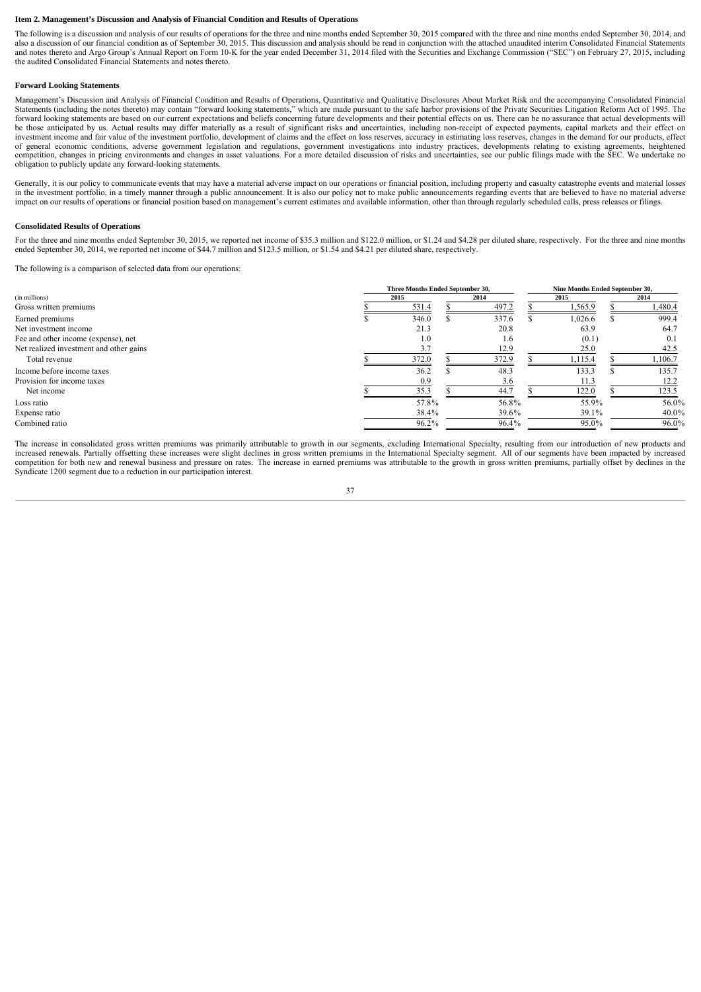#### **Item 2. Management's Discussion and Analysis of Financial Condition and Results of Operations**

The following is a discussion and analysis of our results of operations for the three and nine months ended September 30, 2015 compared with the three and nine months ended September 30, 2014, and also a discussion of our financial condition as of September 30, 2015. This discussion and analysis should be read in conjunction with the attached unaudited interim Consolidated Financial Statements and notes thereto and Argo Group's Annual Report on Form 10-K for the year ended December 31, 2014 filed with the Securities and Exchange Commission ("SEC") on February 27, 2015, including the audited Consolidated Financial Statements and notes thereto.

#### **Forward Looking Statements**

Generally, it is our policy to communicate events that may have a material adverse impact on our operations or financial position, including property and casualty catastrophe events and material losses in the investment portfolio, in a timely manner through a public announcement. It is also our policy not to make public announcements regarding events that are believed to have no material adverse impact on our results of operations or financial position based on management's current estimates and available information, other than through regularly scheduled calls, press releases or filings.

Management's Discussion and Analysis of Financial Condition and Results of Operations, Quantitative and Qualitative Disclosures About Market Risk and the accompanying Consolidated Financial Statements (including the notes thereto) may contain "forward looking statements," which are made pursuant to the safe harbor provisions of the Private Securities Litigation Reform Act of 1995. The forward looking statements are based on our current expectations and beliefs concerning future developments and their potential effects on us. There can be no assurance that actual developments will be those anticipated by us. Actual results may differ materially as a result of significant risks and uncertainties, including non-receipt of expected payments, capital markets and their effect on investment income and fair value of the investment portfolio, development of claims and the effect on loss reserves, accuracy in estimating loss reserves, changes in the demand for our products, effect of general economic conditions, adverse government legislation and regulations, government investigations into industry practices, developments relating to existing agreements, heightened competition, changes in pricing environments and changes in asset valuations. For a more detailed discussion of risks and uncertainties, see our public filings made with the SEC. We undertake no obligation to publicly update any forward-looking statements.

For the three and nine months ended September 30, 2015, we reported net income of \$35.3 million and \$122.0 million, or \$1.24 and \$4.28 per diluted share, respectively. For the three and nine months ended September 30, 2014, we reported net income of \$44.7 million and \$123.5 million, or \$1.54 and \$4.21 per diluted share, respectively.

#### **Consolidated Results of Operations**

The following is a comparison of selected data from our operations:

The increase in consolidated gross written premiums was primarily attributable to growth in our segments, excluding International Specialty, resulting from our introduction of new products and increased renewals. Partially offsetting these increases were slight declines in gross written premiums in the International Specialty segment. All of our segments have been impacted by increased competition for both new and renewal business and pressure on rates. The increase in earned premiums was attributable to the growth in gross written premiums, partially offset by declines in the Syndicate 1200 segment due to a reduction in our participation interest.



|                                         | Three Months Ended September 30, |  |       |      | Nine Months Ended September 30, |      |         |  |
|-----------------------------------------|----------------------------------|--|-------|------|---------------------------------|------|---------|--|
| (in millions)                           | 2015                             |  | 2014  | 2015 |                                 | 2014 |         |  |
| Gross written premiums                  | 531.4                            |  | 497.2 |      | 1,565.9                         |      | 1,480.4 |  |
| Earned premiums                         | 346.0                            |  | 337.6 |      | 1,026.6                         |      | 999.4   |  |
| Net investment income                   | 21.3                             |  | 20.8  |      | 63.9                            |      | 64.7    |  |
| Fee and other income (expense), net     | 1.0                              |  | 1.6   |      | (0.1)                           |      | 0.1     |  |
| Net realized investment and other gains |                                  |  | 12.9  |      | 25.0                            |      | 42.5    |  |
| Total revenue                           | 372.0                            |  | 372.9 |      | 1,115.4                         |      | 1,106.7 |  |
| Income before income taxes              | 36.2                             |  | 48.3  |      | 133.3                           |      | 135.7   |  |
| Provision for income taxes              | 0.9                              |  | 3.6   |      | 11.3                            |      | 12.2    |  |
| Net income                              | 35.3                             |  | 44.7  |      | 122.0                           |      | 123.5   |  |
| Loss ratio                              | 57.8%                            |  | 56.8% |      | 55.9%                           |      | 56.0%   |  |
| Expense ratio                           | 38.4%                            |  | 39.6% |      | 39.1%                           |      | 40.0%   |  |
| Combined ratio                          | 96.2%                            |  | 96.4% |      | 95.0%                           |      | 96.0%   |  |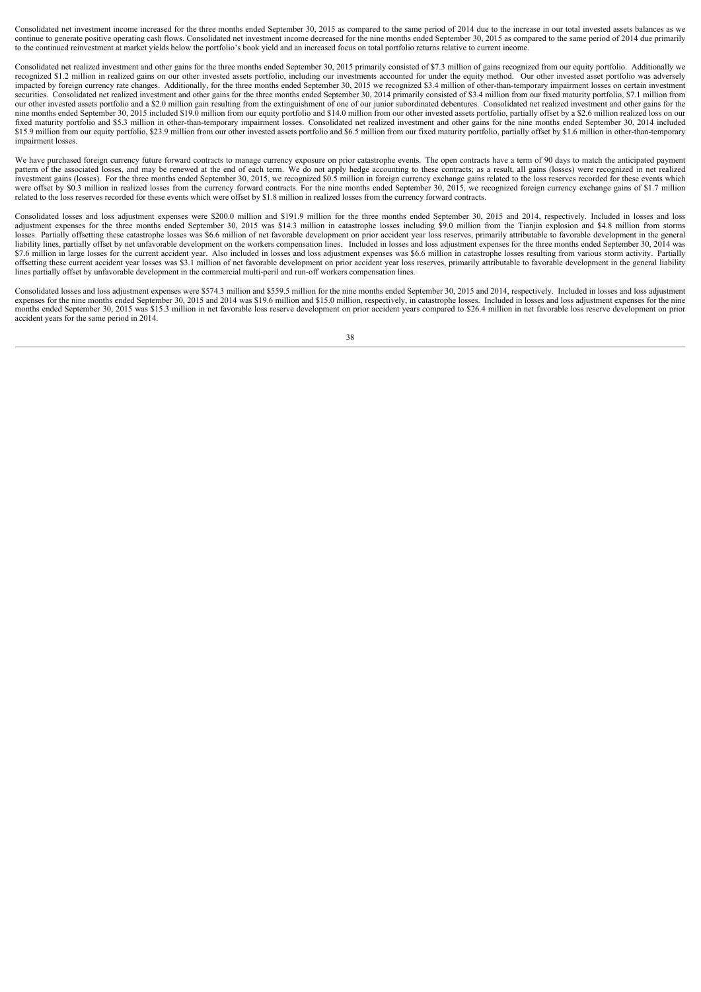Consolidated net investment income increased for the three months ended September 30, 2015 as compared to the same period of 2014 due to the increase in our total invested assets balances as we continue to generate positive operating cash flows. Consolidated net investment income decreased for the nine months ended September 30, 2015 as compared to the same period of 2014 due primarily to the continued reinvestment at market yields below the portfolio's book yield and an increased focus on total portfolio returns relative to current income.

Consolidated net realized investment and other gains for the three months ended September 30, 2015 primarily consisted of \$7.3 million of gains recognized from our equity portfolio. Additionally we recognized \$1.2 million in realized gains on our other invested assets portfolio, including our investments accounted for under the equity method. Our other invested asset portfolio was adversely impacted by foreign currency rate changes. Additionally, for the three months ended September 30, 2015 we recognized \$3.4 million of other-than-temporary impairment losses on certain investment securities. Consolidated net realized investment and other gains for the three months ended September 30, 2014 primarily consisted of \$3.4 million from our fixed maturity portfolio, \$7.1 million from our other invested assets portfolio and a \$2.0 million gain resulting from the extinguishment of one of our junior subordinated debentures. Consolidated net realized investment and other gains for the nine months ended September 30, 2015 included \$19.0 million from our equity portfolio and \$14.0 million from our other invested assets portfolio, partially offset by a \$2.6 million realized loss on our fixed maturity portfolio and \$5.3 million in other-than-temporary impairment losses. Consolidated net realized investment and other gains for the nine months ended September 30, 2014 included \$15.9 million from our equity portfolio, \$23.9 million from our other invested assets portfolio and \$6.5 million from our fixed maturity portfolio, partially offset by \$1.6 million in other-than-temporary impairment losses.

We have purchased foreign currency future forward contracts to manage currency exposure on prior catastrophe events. The open contracts have a term of 90 days to match the anticipated payment pattern of the associated losses, and may be renewed at the end of each term. We do not apply hedge accounting to these contracts; as a result, all gains (losses) were recognized in net realized investment gains (losses). For the three months ended September 30, 2015, we recognized \$0.5 million in foreign currency exchange gains related to the loss reserves recorded for these events which were offset by \$0.3 million in realized losses from the currency forward contracts. For the nine months ended September 30, 2015, we recognized foreign currency exchange gains of \$1.7 million related to the loss reserves recorded for these events which were offset by \$1.8 million in realized losses from the currency forward contracts.

Consolidated losses and loss adjustment expenses were \$200.0 million and \$191.9 million for the three months ended September 30, 2015 and 2014, respectively. Included in losses and loss adjustment expenses for the three months ended September 30, 2015 was \$14.3 million in catastrophe losses including \$9.0 million from the Tianjin explosion and \$4.8 million from storms losses. Partially offsetting these catastrophe losses was \$6.6 million of net favorable development on prior accident year loss reserves, primarily attributable to favorable development in the general liability lines, partially offset by net unfavorable development on the workers compensation lines. Included in losses and loss adjustment expenses for the three months ended September 30, 2014 was \$7.6 million in large losses for the current accident year. Also included in losses and loss adjustment expenses was \$6.6 million in catastrophe losses resulting from various storm activity. Partially offsetting these current accident year losses was \$3.1 million of net favorable development on prior accident year loss reserves, primarily attributable to favorable development in the general liability lines partially offset by unfavorable development in the commercial multi-peril and run-off workers compensation lines.

Consolidated losses and loss adjustment expenses were \$574.3 million and \$559.5 million for the nine months ended September 30, 2015 and 2014, respectively. Included in losses and loss adjustment expenses for the nine months ended September 30, 2015 and 2014 was \$19.6 million and \$15.0 million, respectively, in catastrophe losses. Included in losses and loss adjustment expenses for the nine months ended September 30, 2015 was \$15.3 million in net favorable loss reserve development on prior accident years compared to \$26.4 million in net favorable loss reserve development on prior accident years for the same period in 2014.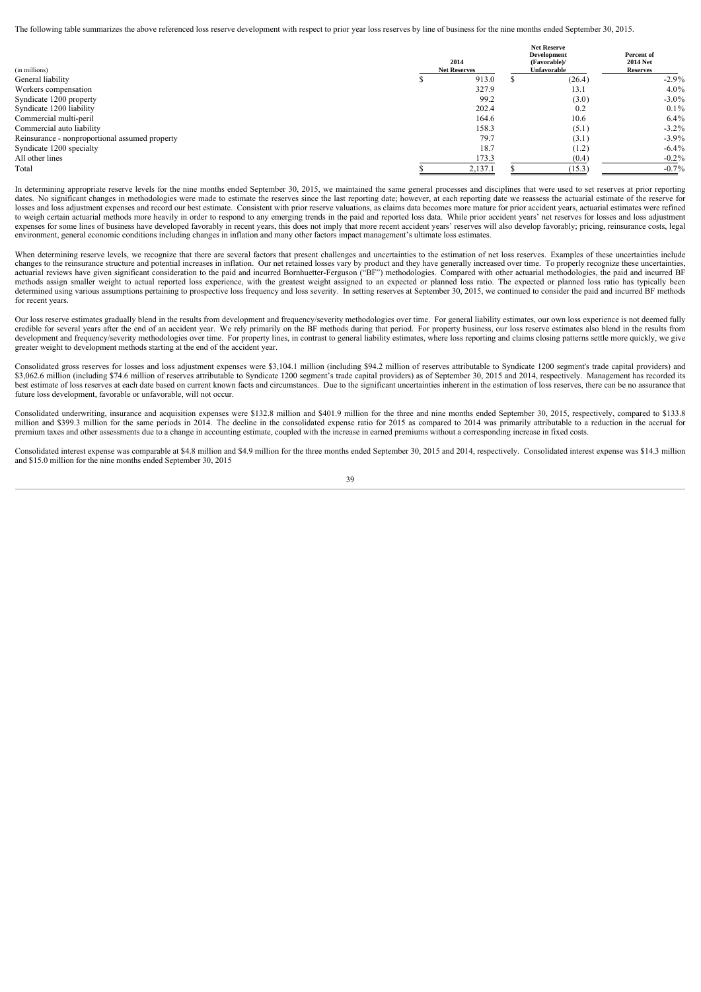The following table summarizes the above referenced loss reserve development with respect to prior year loss reserves by line of business for the nine months ended September 30, 2015.

In determining appropriate reserve levels for the nine months ended September 30, 2015, we maintained the same general processes and disciplines that were used to set reserves at prior reporting dates. No significant changes in methodologies were made to estimate the reserves since the last reporting date; however, at each reporting date we reassess the actuarial estimate of the reserve for losses and loss adjustment expenses and record our best estimate. Consistent with prior reserve valuations, as claims data becomes more mature for prior accident years, actuarial estimates were refined to weigh certain actuarial methods more heavily in order to respond to any emerging trends in the paid and reported loss data. While prior accident years' net reserves for losses and loss adjustment expenses for some lines of business have developed favorably in recent years, this does not imply that more recent accident years' reserves will also develop favorably; pricing, reinsurance costs, legal environment, general economic conditions including changes in inflation and many other factors impact management's ultimate loss estimates.

When determining reserve levels, we recognize that there are several factors that present challenges and uncertainties to the estimation of net loss reserves. Examples of these uncertainties include changes to the reinsurance structure and potential increases in inflation. Our net retained losses vary by product and they have generally increased over time. To properly recognize these uncertainties, actuarial reviews have given significant consideration to the paid and incurred Bornhuetter-Ferguson ("BF") methodologies. Compared with other actuarial methodologies, the paid and incurred BF methods assign smaller weight to actual reported loss experience, with the greatest weight assigned to an expected or planned loss ratio. The expected or planned loss ratio has typically been determined using various assumptions pertaining to prospective loss frequency and loss severity. In setting reserves at September 30, 2015, we continued to consider the paid and incurred BF methods for recent years.

Our loss reserve estimates gradually blend in the results from development and frequency/severity methodologies over time. For general liability estimates, our own loss experience is not deemed fully credible for several years after the end of an accident year. We rely primarily on the BF methods during that period. For property business, our loss reserve estimates also blend in the results from development and frequency/severity methodologies over time. For property lines, in contrast to general liability estimates, where loss reporting and claims closing patterns settle more quickly, we give greater weight to development methods starting at the end of the accident year.

Consolidated gross reserves for losses and loss adjustment expenses were \$3,104.1 million (including \$94.2 million of reserves attributable to Syndicate 1200 segment's trade capital providers) and \$3,062.6 million (including \$74.6 million of reserves attributable to Syndicate 1200 segment's trade capital providers) as of September 30, 2015 and 2014, respectively. Management has recorded its best estimate of loss reserves at each date based on current known facts and circumstances. Due to the significant uncertainties inherent in the estimation of loss reserves, there can be no assurance that future loss development, favorable or unfavorable, will not occur.

Consolidated underwriting, insurance and acquisition expenses were \$132.8 million and \$401.9 million for the three and nine months ended September 30, 2015, respectively, compared to \$133.8 million and \$399.3 million for the same periods in 2014. The decline in the consolidated expense ratio for 2015 as compared to 2014 was primarily attributable to a reduction in the accrual for premium taxes and other assessments due to a change in accounting estimate, coupled with the increase in earned premiums without a corresponding increase in fixed costs.

Consolidated interest expense was comparable at \$4.8 million and \$4.9 million for the three months ended September 30, 2015 and 2014, respectively. Consolidated interest expense was \$14.3 million and \$15.0 million for the nine months ended September 30, 2015

| (in millions)                                  | 2014<br><b>Net Reserves</b> | <b>Net Reserve</b><br><b>Development</b><br>(Favorable)/<br><b>Unfavorable</b> | Percent of<br><b>2014 Net</b><br><b>Reserves</b> |
|------------------------------------------------|-----------------------------|--------------------------------------------------------------------------------|--------------------------------------------------|
| General liability                              | 913.0                       | (26.4)                                                                         | $-2.9\%$                                         |
| Workers compensation                           | 327.9                       | 13.1                                                                           | $4.0\%$                                          |
| Syndicate 1200 property                        | 99.2                        | (3.0)                                                                          | $-3.0\%$                                         |
| Syndicate 1200 liability                       | 202.4                       | 0.2                                                                            | $0.1\%$                                          |
| Commercial multi-peril                         | 164.6                       | 10.6                                                                           | $6.4\%$                                          |
| Commercial auto liability                      | 158.3                       | (5.1)                                                                          | $-3.2\%$                                         |
| Reinsurance - nonproportional assumed property | 79.7                        | (3.1)                                                                          | $-3.9\%$                                         |
| Syndicate 1200 specialty                       | 18.7                        | (1.2)                                                                          | $-6.4\%$                                         |
| All other lines                                | 173.3                       | (0.4)                                                                          | $-0.2\%$                                         |
| Total                                          | 2,137.1                     | (15.3)                                                                         | $-0.7\%$                                         |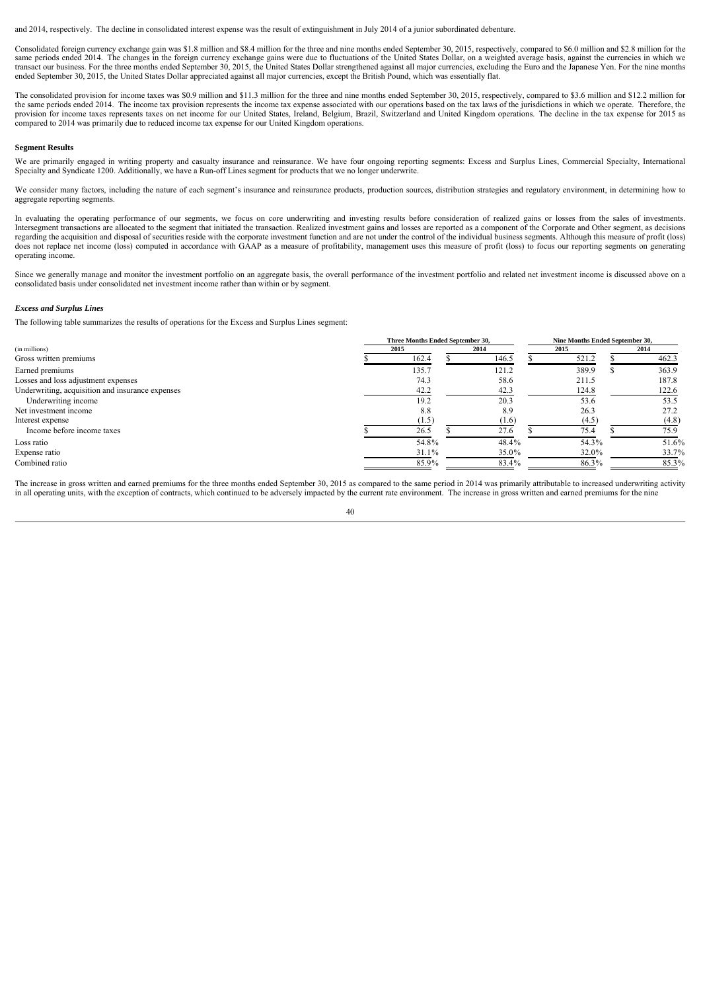and 2014, respectively. The decline in consolidated interest expense was the result of extinguishment in July 2014 of a junior subordinated debenture.

Consolidated foreign currency exchange gain was \$1.8 million and \$8.4 million for the three and nine months ended September 30, 2015, respectively, compared to \$6.0 million and \$2.8 million for the same periods ended 2014. The changes in the foreign currency exchange gains were due to fluctuations of the United States Dollar, on a weighted average basis, against the currencies in which we transact our business. For the three months ended September 30, 2015, the United States Dollar strengthened against all major currencies, excluding the Euro and the Japanese Yen. For the nine months ended September 30, 2015, the United States Dollar appreciated against all major currencies, except the British Pound, which was essentially flat.

The consolidated provision for income taxes was \$0.9 million and \$11.3 million for the three and nine months ended September 30, 2015, respectively, compared to \$3.6 million and \$12.2 million for the same periods ended 2014. The income tax provision represents the income tax expense associated with our operations based on the tax laws of the jurisdictions in which we operate. Therefore, the provision for income taxes represents taxes on net income for our United States, Ireland, Belgium, Brazil, Switzerland and United Kingdom operations. The decline in the tax expense for 2015 as compared to 2014 was primarily due to reduced income tax expense for our United Kingdom operations.

We are primarily engaged in writing property and casualty insurance and reinsurance. We have four ongoing reporting segments: Excess and Surplus Lines, Commercial Specialty, International Specialty and Syndicate 1200. Additionally, we have a Run-off Lines segment for products that we no longer underwrite.

We consider many factors, including the nature of each segment's insurance and reinsurance products, production sources, distribution strategies and regulatory environment, in determining how to aggregate reporting segments.

#### **Segment Results**

Since we generally manage and monitor the investment portfolio on an aggregate basis, the overall performance of the investment portfolio and related net investment income is discussed above on a consolidated basis under consolidated net investment income rather than within or by segment.

The increase in gross written and earned premiums for the three months ended September 30, 2015 as compared to the same period in 2014 was primarily attributable to increased underwriting activity in all operating units, with the exception of contracts, which continued to be adversely impacted by the current rate environment. The increase in gross written and earned premiums for the nine

In evaluating the operating performance of our segments, we focus on core underwriting and investing results before consideration of realized gains or losses from the sales of investments. Intersegment transactions are allocated to the segment that initiated the transaction. Realized investment gains and losses are reported as a component of the Corporate and Other segment, as decisions regarding the acquisition and disposal of securities reside with the corporate investment function and are not under the control of the individual business segments. Although this measure of profit (loss) does not replace net income (loss) computed in accordance with GAAP as a measure of profitability, management uses this measure of profit (loss) to focus our reporting segments on generating operating income.

#### *Excess and Surplus Lines*

The following table summarizes the results of operations for the Excess and Surplus Lines segment:

|                                                  |      | Three Months Ended September 30, |  |       |  |       | Nine Months Ended September 30, |       |  |  |
|--------------------------------------------------|------|----------------------------------|--|-------|--|-------|---------------------------------|-------|--|--|
| (in millions)                                    | 2015 |                                  |  | 2014  |  | 2015  |                                 | 2014  |  |  |
| Gross written premiums                           |      | 162.4                            |  | 146.5 |  | 521.2 |                                 | 462.3 |  |  |
| Earned premiums                                  |      | 135.7                            |  | 121.2 |  | 389.9 |                                 | 363.9 |  |  |
| Losses and loss adjustment expenses              |      | 74.3                             |  | 58.6  |  | 211.5 |                                 | 187.8 |  |  |
| Underwriting, acquisition and insurance expenses |      | 42.2                             |  | 42.3  |  | 124.8 |                                 | 122.6 |  |  |
| Underwriting income                              |      | 19.2                             |  | 20.3  |  | 53.6  |                                 | 53.5  |  |  |
| Net investment income                            |      | 8.8                              |  | 8.9   |  | 26.3  |                                 | 27.2  |  |  |
| Interest expense                                 |      | (1.5)                            |  | (1.6) |  | (4.5) |                                 | (4.8) |  |  |
| Income before income taxes                       |      | 26.5                             |  | 27.6  |  | 75.4  |                                 | 75.9  |  |  |
| Loss ratio                                       |      | 54.8%                            |  | 48.4% |  | 54.3% |                                 | 51.6% |  |  |
| Expense ratio                                    |      | $31.1\%$                         |  | 35.0% |  | 32.0% |                                 | 33.7% |  |  |
| Combined ratio                                   |      | 85.9%                            |  | 83.4% |  | 86.3% |                                 | 85.3% |  |  |
|                                                  |      |                                  |  |       |  |       |                                 |       |  |  |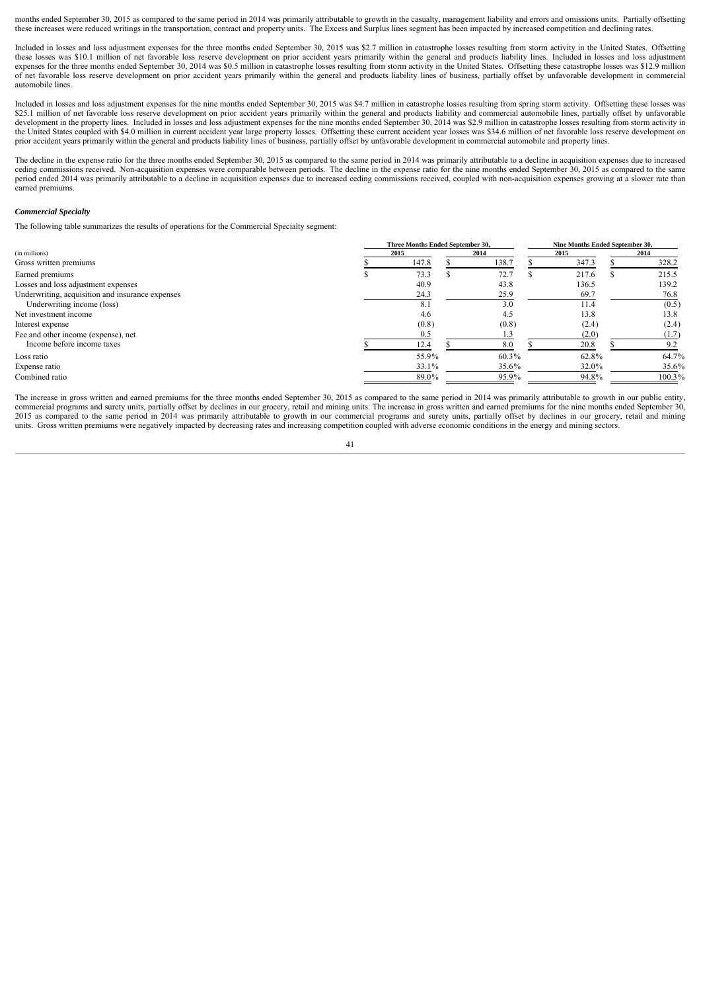months ended September 30, 2015 as compared to the same period in 2014 was primarily attributable to growth in the casualty, management liability and errors and omissions units. Partially offsetting these increases were reduced writings in the transportation, contract and property units. The Excess and Surplus lines segment has been impacted by increased competition and declining rates.

Included in losses and loss adjustment expenses for the nine months ended September 30, 2015 was \$4.7 million in catastrophe losses resulting from spring storm activity. Offsetting these losses was \$25.1 million of net favorable loss reserve development on prior accident years primarily within the general and products liability and commercial automobile lines, partially offset by unfavorable development in the property lines. Included in losses and loss adjustment expenses for the nine months ended September 30, 2014 was \$2.9 million in catastrophe losses resulting from storm activity in the United States coupled with \$4.0 million in current accident year large property losses. Offsetting these current accident year losses was \$34.6 million of net favorable loss reserve development on prior accident years primarily within the general and products liability lines of business, partially offset by unfavorable development in commercial automobile and property lines.

Included in losses and loss adjustment expenses for the three months ended September 30, 2015 was \$2.7 million in catastrophe losses resulting from storm activity in the United States. Offsetting these losses was \$10.1 million of net favorable loss reserve development on prior accident years primarily within the general and products liability lines. Included in losses and loss adjustment expenses for the three months ended September 30, 2014 was \$0.5 million in catastrophe losses resulting from storm activity in the United States. Offsetting these catastrophe losses was \$12.9 million of net favorable loss reserve development on prior accident years primarily within the general and products liability lines of business, partially offset by unfavorable development in commercial automobile lines.

The decline in the expense ratio for the three months ended September 30, 2015 as compared to the same period in 2014 was primarily attributable to a decline in acquisition expenses due to increased ceding commissions received. Non-acquisition expenses were comparable between periods. The decline in the expense ratio for the nine months ended September 30, 2015 as compared to the same period ended 2014 was primarily attributable to a decline in acquisition expenses due to increased ceding commissions received, coupled with non-acquisition expenses growing at a slower rate than earned premiums.

The increase in gross written and earned premiums for the three months ended September 30, 2015 as compared to the same period in 2014 was primarily attributable to growth in our public entity, commercial programs and surety units, partially offset by declines in our grocery, retail and mining units. The increase in gross written and earned premiums for the nine months ended September 30, 2015 as compared to the same period in 2014 was primarily attributable to growth in our commercial programs and surety units, partially offset by declines in our grocery, retail and mining units. Gross written premiums were negatively impacted by decreasing rates and increasing competition coupled with adverse economic conditions in the energy and mining sectors.

#### *Commercial Specialty*

The following table summarizes the results of operations for the Commercial Specialty segment:

|                                                  | Three Months Ended September 30, |       |  |       | Nine Months Ended September 30, |       |  |        |  |
|--------------------------------------------------|----------------------------------|-------|--|-------|---------------------------------|-------|--|--------|--|
| (in millions)                                    | 2015                             |       |  | 2014  |                                 | 2015  |  | 2014   |  |
| Gross written premiums                           |                                  | 147.8 |  | 138.7 |                                 | 347.3 |  | 328.2  |  |
| Earned premiums                                  |                                  | 73.3  |  | 72.7  |                                 | 217.6 |  | 215.5  |  |
| Losses and loss adjustment expenses              |                                  | 40.9  |  | 43.8  |                                 | 136.5 |  | 139.2  |  |
| Underwriting, acquisition and insurance expenses |                                  | 24.3  |  | 25.9  |                                 | 69.7  |  | 76.8   |  |
| Underwriting income (loss)                       |                                  | 8.1   |  | 3.0   |                                 | 11.4  |  | (0.5)  |  |
| Net investment income                            |                                  | 4.6   |  | 4.5   |                                 | 13.8  |  | 13.8   |  |
| Interest expense                                 |                                  | (0.8) |  | (0.8) |                                 | (2.4) |  | (2.4)  |  |
| Fee and other income (expense), net              |                                  | 0.5   |  |       |                                 | (2.0) |  | (1.7)  |  |
| Income before income taxes                       |                                  | 12.4  |  | 8.0   |                                 | 20.8  |  | 9.2    |  |
| Loss ratio                                       |                                  | 55.9% |  | 60.3% |                                 | 62.8% |  | 64.7%  |  |
| Expense ratio                                    |                                  | 33.1% |  | 35.6% |                                 | 32.0% |  | 35.6%  |  |
| Combined ratio                                   |                                  | 89.0% |  | 95.9% |                                 | 94.8% |  | 100.3% |  |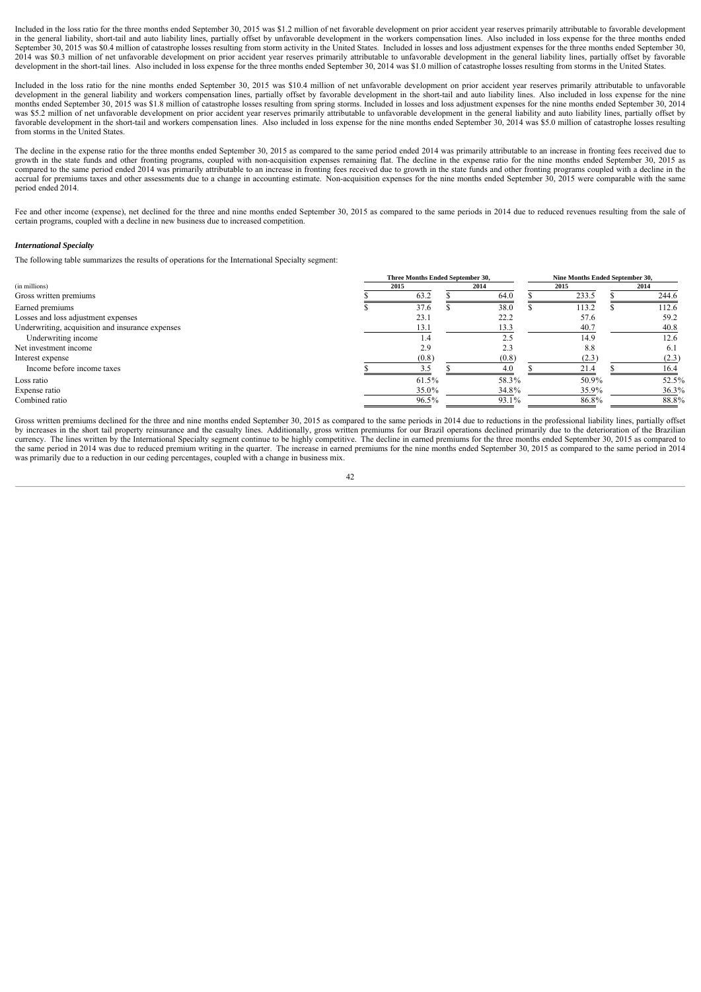The decline in the expense ratio for the three months ended September 30, 2015 as compared to the same period ended 2014 was primarily attributable to an increase in fronting fees received due to growth in the state funds and other fronting programs, coupled with non-acquisition expenses remaining flat. The decline in the expense ratio for the nine months ended September 30, 2015 as compared to the same period ended 2014 was primarily attributable to an increase in fronting fees received due to growth in the state funds and other fronting programs coupled with a decline in the accrual for premiums taxes and other assessments due to a change in accounting estimate. Non-acquisition expenses for the nine months ended September 30, 2015 were comparable with the same period ended 2014.

Included in the loss ratio for the three months ended September 30, 2015 was \$1.2 million of net favorable development on prior accident year reserves primarily attributable to favorable development in the general liability, short-tail and auto liability lines, partially offset by unfavorable development in the workers compensation lines. Also included in loss expense for the three months ended September 30, 2015 was \$0.4 million of catastrophe losses resulting from storm activity in the United States. Included in losses and loss adjustment expenses for the three months ended September 30, 2014 was \$0.3 million of net unfavorable development on prior accident year reserves primarily attributable to unfavorable development in the general liability lines, partially offset by favorable development in the short-tail lines. Also included in loss expense for the three months ended September 30, 2014 was \$1.0 million of catastrophe losses resulting from storms in the United States.

Included in the loss ratio for the nine months ended September 30, 2015 was \$10.4 million of net unfavorable development on prior accident year reserves primarily attributable to unfavorable development in the general liability and workers compensation lines, partially offset by favorable development in the short-tail and auto liability lines. Also included in loss expense for the nine months ended September 30, 2015 was \$1.8 million of catastrophe losses resulting from spring storms. Included in losses and loss adjustment expenses for the nine months ended September 30, 2014 was \$5.2 million of net unfavorable development on prior accident year reserves primarily attributable to unfavorable development in the general liability and auto liability lines, partially offset by favorable development in the short-tail and workers compensation lines. Also included in loss expense for the nine months ended September 30, 2014 was \$5.0 million of catastrophe losses resulting from storms in the United States.

Fee and other income (expense), net declined for the three and nine months ended September 30, 2015 as compared to the same periods in 2014 due to reduced revenues resulting from the sale of certain programs, coupled with a decline in new business due to increased competition.

#### *International Specialty*

The following table summarizes the results of operations for the International Specialty segment:

|                                                  | Three Months Ended September 30, | Nine Months Ended September 30, |       |  |       |      |       |
|--------------------------------------------------|----------------------------------|---------------------------------|-------|--|-------|------|-------|
| (in millions)                                    |                                  | 2015                            | 2014  |  | 2015  | 2014 |       |
| Gross written premiums                           |                                  | 63.2                            | 64.0  |  | 233.5 |      | 244.6 |
| Earned premiums                                  |                                  | 37.6                            | 38.0  |  | 113.2 |      | 112.6 |
| Losses and loss adjustment expenses              |                                  | 23.1                            | 22.2  |  | 57.6  |      | 59.2  |
| Underwriting, acquisition and insurance expenses |                                  | 13.1                            | 13.3  |  | 40.7  |      | 40.8  |
| Underwriting income                              |                                  | I .4                            | 2.5   |  | 14.9  |      | 12.6  |
| Net investment income                            |                                  | 2.9                             | 2.3   |  | 8.8   |      | 6.1   |
| Interest expense                                 |                                  | (0.8)                           | (0.8) |  | (2.3) |      | (2.3) |
| Income before income taxes                       |                                  |                                 | 4.0   |  | 21.4  |      | 16.4  |
| Loss ratio                                       |                                  | 61.5%                           | 58.3% |  | 50.9% |      | 52.5% |
| Expense ratio                                    |                                  | 35.0%                           | 34.8% |  | 35.9% |      | 36.3% |
| Combined ratio                                   |                                  | 96.5%                           | 93.1% |  | 86.8% |      | 88.8% |

Gross written premiums declined for the three and nine months ended September 30, 2015 as compared to the same periods in 2014 due to reductions in the professional liability lines, partially offset by increases in the short tail property reinsurance and the casualty lines. Additionally, gross written premiums for our Brazil operations declined primarily due to the deterioration of the Brazilian currency. The lines written by the International Specialty segment continue to be highly competitive. The decline in earned premiums for the three months ended September 30, 2015 as compared to the same period in 2014 was due to reduced premium writing in the quarter. The increase in earned premiums for the nine months ended September 30, 2015 as compared to the same period in 2014 was primarily due to a reduction in our ceding percentages, coupled with a change in business mix.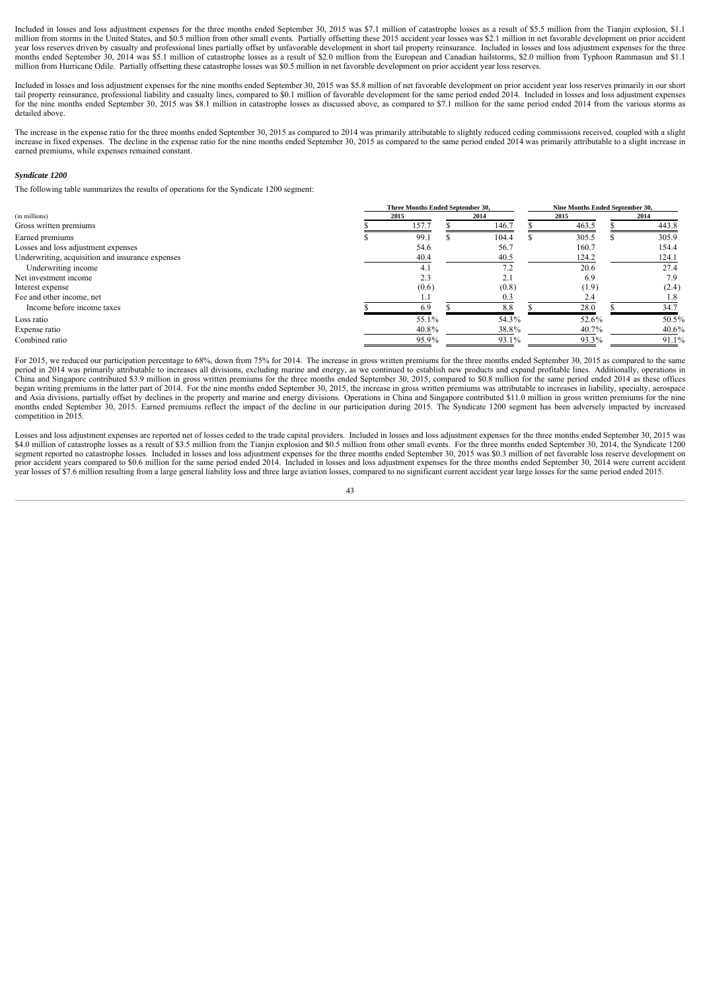Included in losses and loss adjustment expenses for the three months ended September 30, 2015 was \$7.1 million of catastrophe losses as a result of \$5.5 million from the Tianjin explosion, \$1.1 million from storms in the United States, and \$0.5 million from other small events. Partially offsetting these 2015 accident year losses was \$2.1 million in net favorable development on prior accident year loss reserves driven by casualty and professional lines partially offset by unfavorable development in short tail property reinsurance. Included in losses and loss adjustment expenses for the three months ended September 30, 2014 was \$5.1 million of catastrophe losses as a result of \$2.0 million from the European and Canadian hailstorms, \$2.0 million from Typhoon Rammasun and \$1.1 million from Hurricane Odile. Partially offsetting these catastrophe losses was \$0.5 million in net favorable development on prior accident year loss reserves.

Included in losses and loss adjustment expenses for the nine months ended September 30, 2015 was \$5.8 million of net favorable development on prior accident year loss reserves primarily in our short tail property reinsurance, professional liability and casualty lines, compared to \$0.1 million of favorable development for the same period ended 2014. Included in losses and loss adjustment expenses for the nine months ended September 30, 2015 was \$8.1 million in catastrophe losses as discussed above, as compared to \$7.1 million for the same period ended 2014 from the various storms as detailed above.

For 2015, we reduced our participation percentage to 68%, down from 75% for 2014. The increase in gross written premiums for the three months ended September 30, 2015 as compared to the same period in 2014 was primarily attributable to increases all divisions, excluding marine and energy, as we continued to establish new products and expand profitable lines. Additionally, operations in China and Singapore contributed \$3.9 million in gross written premiums for the three months ended September 30, 2015, compared to \$0.8 million for the same period ended 2014 as these offices began writing premiums in the latter part of 2014. For the nine months ended September 30, 2015, the increase in gross written premiums was attributable to increases in liability, specialty, aerospace and Asia divisions, partially offset by declines in the property and marine and energy divisions. Operations in China and Singapore contributed \$11.0 million in gross written premiums for the nine months ended September 30, 2015. Earned premiums reflect the impact of the decline in our participation during 2015. The Syndicate 1200 segment has been adversely impacted by increased competition in 2015.

The increase in the expense ratio for the three months ended September 30, 2015 as compared to 2014 was primarily attributable to slightly reduced ceding commissions received, coupled with a slight increase in fixed expenses. The decline in the expense ratio for the nine months ended September 30, 2015 as compared to the same period ended 2014 was primarily attributable to a slight increase in earned premiums, while expenses remained constant.

#### *Syndicate 1200*

The following table summarizes the results of operations for the Syndicate 1200 segment:

Losses and loss adjustment expenses are reported net of losses ceded to the trade capital providers. Included in losses and loss adjustment expenses for the three months ended September 30, 2015 was \$4.0 million of catastrophe losses as a result of \$3.5 million from the Tianjin explosion and \$0.5 million from other small events. For the three months ended September 30, 2014, the Syndicate 1200 segment reported no catastrophe losses. Included in losses and loss adjustment expenses for the three months ended September 30, 2015 was \$0.3 million of net favorable loss reserve development on prior accident years compared to \$0.6 million for the same period ended 2014. Included in losses and loss adjustment expenses for the three months ended September 30, 2014 were current accident year losses of \$7.6 million resulting from a large general liability loss and three large aviation losses, compared to no significant current accident year large losses for the same period ended 2015.

|                                                  |      | Three Months Ended September 30, | Nine Months Ended September 30, |       |  |       |  |       |
|--------------------------------------------------|------|----------------------------------|---------------------------------|-------|--|-------|--|-------|
| (in millions)                                    | 2015 |                                  |                                 | 2014  |  | 2015  |  | 2014  |
| Gross written premiums                           |      | 157.7                            |                                 | 146.7 |  | 463.5 |  | 443.8 |
| Earned premiums                                  |      | 99.1                             |                                 | 104.4 |  | 305.5 |  | 305.9 |
| Losses and loss adjustment expenses              |      | 54.6                             |                                 | 56.7  |  | 160.7 |  | 154.4 |
| Underwriting, acquisition and insurance expenses |      | 40.4                             |                                 | 40.5  |  | 124.2 |  | 124.1 |
| Underwriting income                              |      | 4.1                              |                                 | 72    |  | 20.6  |  | 27.4  |
| Net investment income                            |      | 2.3                              |                                 |       |  | 6.9   |  | 7.9   |
| Interest expense                                 |      | (0.6)                            |                                 | (0.8) |  | (1.9) |  | (2.4) |
| Fee and other income, net                        |      |                                  |                                 | 0.3   |  | 2.4   |  |       |
| Income before income taxes                       |      | 69                               |                                 | 88    |  | 28.0  |  | 34.7  |
| Loss ratio                                       |      | 55.1%                            |                                 | 54.3% |  | 52.6% |  | 50.5% |
| Expense ratio                                    |      | 40.8%                            |                                 | 38.8% |  | 40.7% |  | 40.6% |
| Combined ratio                                   |      | 95.9%                            |                                 | 93.1% |  | 93.3% |  | 91.1% |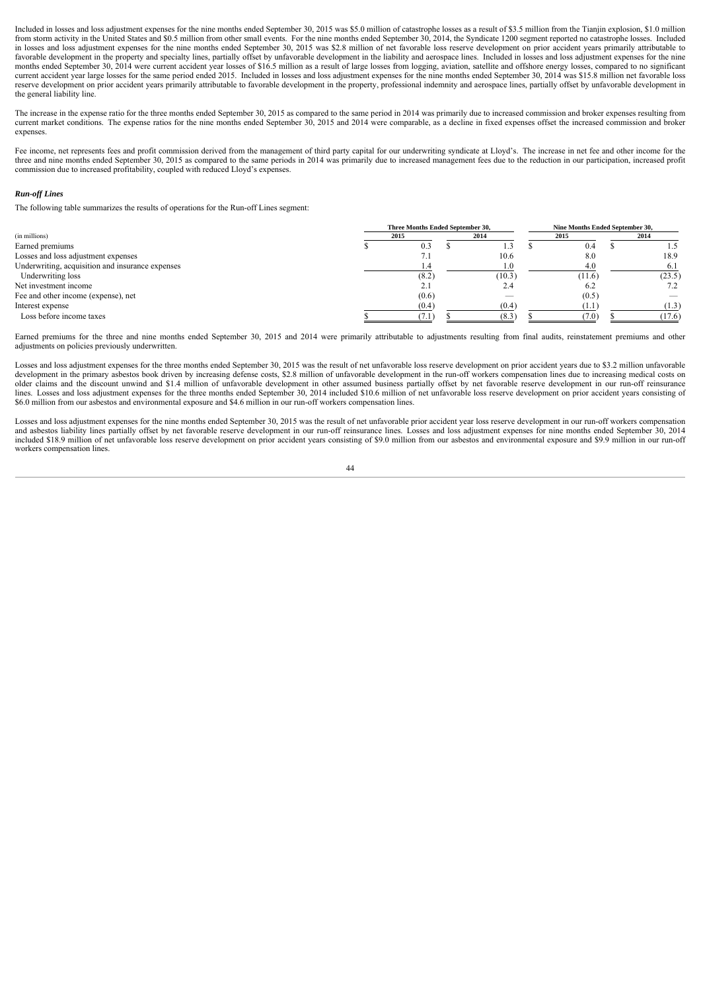Included in losses and loss adjustment expenses for the nine months ended September 30, 2015 was \$5.0 million of catastrophe losses as a result of \$3.5 million from the Tianjin explosion, \$1.0 million from storm activity in the United States and \$0.5 million from other small events. For the nine months ended September 30, 2014, the Syndicate 1200 segment reported no catastrophe losses. Included in losses and loss adjustment expenses for the nine months ended September 30, 2015 was \$2.8 million of net favorable loss reserve development on prior accident years primarily attributable to favorable development in the property and specialty lines, partially offset by unfavorable development in the liability and aerospace lines. Included in losses and loss adjustment expenses for the nine months ended September 30, 2014 were current accident year losses of \$16.5 million as a result of large losses from logging, aviation, satellite and offshore energy losses, compared to no significant current accident year large losses for the same period ended 2015. Included in losses and loss adjustment expenses for the nine months ended September 30, 2014 was \$15.8 million net favorable loss reserve development on prior accident years primarily attributable to favorable development in the property, professional indemnity and aerospace lines, partially offset by unfavorable development in the general liability line.

Fee income, net represents fees and profit commission derived from the management of third party capital for our underwriting syndicate at Lloyd's. The increase in net fee and other income for the three and nine months ended September 30, 2015 as compared to the same periods in 2014 was primarily due to increased management fees due to the reduction in our participation, increased profit commission due to increased profitability, coupled with reduced Lloyd's expenses.

The increase in the expense ratio for the three months ended September 30, 2015 as compared to the same period in 2014 was primarily due to increased commission and broker expenses resulting from current market conditions. The expense ratios for the nine months ended September 30, 2015 and 2014 were comparable, as a decline in fixed expenses offset the increased commission and broker expenses.

Losses and loss adjustment expenses for the three months ended September 30, 2015 was the result of net unfavorable loss reserve development on prior accident years due to \$3.2 million unfavorable development in the primary asbestos book driven by increasing defense costs, \$2.8 million of unfavorable development in the run-off workers compensation lines due to increasing medical costs on older claims and the discount unwind and \$1.4 million of unfavorable development in other assumed business partially offset by net favorable reserve development in our run-off reinsurance lines. Losses and loss adjustment expenses for the three months ended September 30, 2014 included \$10.6 million of net unfavorable loss reserve development on prior accident years consisting of \$6.0 million from our asbestos and environmental exposure and \$4.6 million in our run-off workers compensation lines.

Losses and loss adjustment expenses for the nine months ended September 30, 2015 was the result of net unfavorable prior accident year loss reserve development in our run-off workers compensation and asbestos liability lines partially offset by net favorable reserve development in our run-off reinsurance lines. Losses and loss adjustment expenses for nine months ended September 30, 2014 included \$18.9 million of net unfavorable loss reserve development on prior accident years consisting of \$9.0 million from our asbestos and environmental exposure and \$9.9 million in our run-off workers compensation lines.

### *Run-off Lines*

The following table summarizes the results of operations for the Run-off Lines segment:

Earned premiums for the three and nine months ended September 30, 2015 and 2014 were primarily attributable to adjustments resulting from final audits, reinstatement premiums and other adjustments on policies previously underwritten.

|                                                  | Three Months Ended September 30, | Nine Months Ended September 30, |        |  |        |  |               |
|--------------------------------------------------|----------------------------------|---------------------------------|--------|--|--------|--|---------------|
| (in millions)                                    | 2015                             |                                 |        |  | 2015   |  | 2014          |
| Earned premiums                                  | 0.3                              |                                 |        |  | 0.4    |  |               |
| Losses and loss adjustment expenses              | $^{\prime}$ . 1                  |                                 | 10.6   |  | 8.0    |  | 18.9          |
| Underwriting, acquisition and insurance expenses | . .4                             |                                 |        |  | 4.0    |  | <sup>6.</sup> |
| Underwriting loss                                | (8.2)                            |                                 | (10.3) |  | (11.6) |  | (23.5)        |
| Net investment income                            | 2.1                              |                                 | 2.4    |  | 6.2    |  | 7.2           |
| Fee and other income (expense), net              | (0.6)                            |                                 |        |  | (0.5)  |  |               |
| Interest expense                                 | (0.4)                            |                                 | (0.4)  |  | (1.1   |  | (1.3)         |
| Loss before income taxes                         | 7.1                              |                                 | (8.3)  |  | (7.0)  |  | (17.6)        |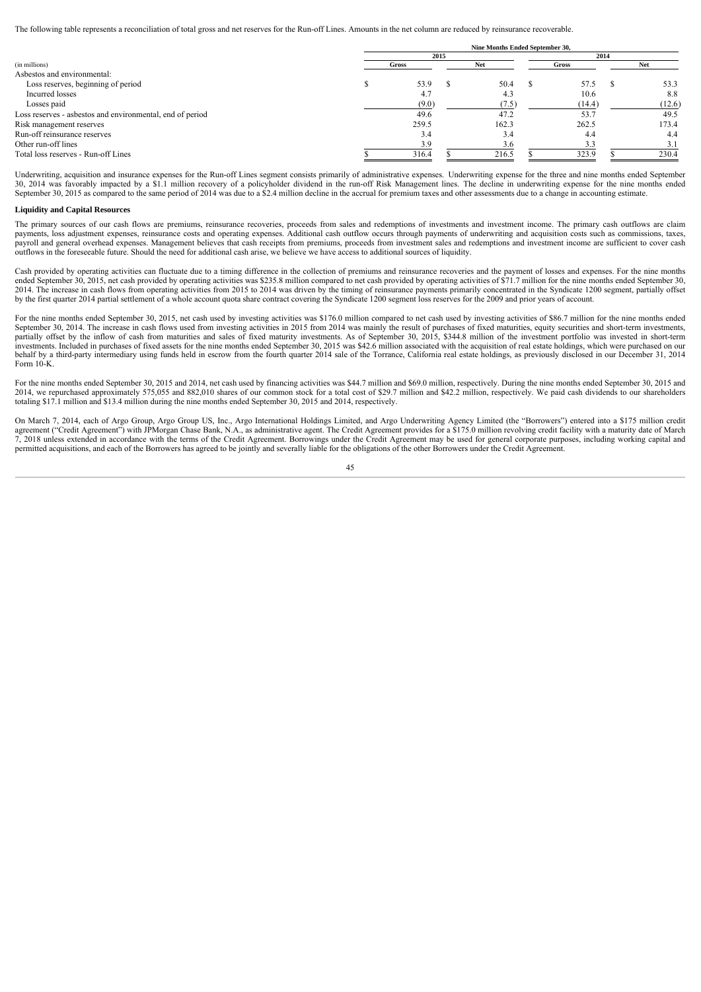The following table represents a reconciliation of total gross and net reserves for the Run-off Lines. Amounts in the net column are reduced by reinsurance recoverable.

Underwriting, acquisition and insurance expenses for the Run-off Lines segment consists primarily of administrative expenses. Underwriting expense for the three and nine months ended September 30, 2014 was favorably impacted by a \$1.1 million recovery of a policyholder dividend in the run-off Risk Management lines. The decline in underwriting expense for the nine months ended September 30, 2015 as compared to the same period of 2014 was due to a \$2.4 million decline in the accrual for premium taxes and other assessments due to a change in accounting estimate.

#### **Liquidity and Capital Resources**

The primary sources of our cash flows are premiums, reinsurance recoveries, proceeds from sales and redemptions of investments and investment income. The primary cash outflows are claim payments, loss adjustment expenses, reinsurance costs and operating expenses. Additional cash outflow occurs through payments of underwriting and acquisition costs such as commissions, taxes, payroll and general overhead expenses. Management believes that cash receipts from premiums, proceeds from investment sales and redemptions and investment income are sufficient to cover cash outflows in the foreseeable future. Should the need for additional cash arise, we believe we have access to additional sources of liquidity.

For the nine months ended September 30, 2015, net cash used by investing activities was \$176.0 million compared to net cash used by investing activities of \$86.7 million for the nine months ended September 30, 2014. The increase in cash flows used from investing activities in 2015 from 2014 was mainly the result of purchases of fixed maturities, equity securities and short-term investments, partially offset by the inflow of cash from maturities and sales of fixed maturity investments. As of September 30, 2015, \$344.8 million of the investment portfolio was invested in short-term investments. Included in purchases of fixed assets for the nine months ended September 30, 2015 was \$42.6 million associated with the acquisition of real estate holdings, which were purchased on our behalf by a third-party intermediary using funds held in escrow from the fourth quarter 2014 sale of the Torrance, California real estate holdings, as previously disclosed in our December 31, 2014 Form 10-K.

Cash provided by operating activities can fluctuate due to a timing difference in the collection of premiums and reinsurance recoveries and the payment of losses and expenses. For the nine months ended September 30, 2015, net cash provided by operating activities was \$235.8 million compared to net cash provided by operating activities of \$71.7 million for the nine months ended September 30, 2014. The increase in cash flows from operating activities from 2015 to 2014 was driven by the timing of reinsurance payments primarily concentrated in the Syndicate 1200 segment, partially offset by the first quarter 2014 partial settlement of a whole account quota share contract covering the Syndicate 1200 segment loss reserves for the 2009 and prior years of account.

For the nine months ended September 30, 2015 and 2014, net cash used by financing activities was \$44.7 million and \$69.0 million, respectively. During the nine months ended September 30, 2015 and 2014, we repurchased approximately 575,055 and 882,010 shares of our common stock for a total cost of \$29.7 million and \$42.2 million, respectively. We paid cash dividends to our shareholders totaling \$17.1 million and \$13.4 million during the nine months ended September 30, 2015 and 2014, respectively.

On March 7, 2014, each of Argo Group, Argo Group US, Inc., Argo International Holdings Limited, and Argo Underwriting Agency Limited (the "Borrowers") entered into a \$175 million credit agreement ("Credit Agreement") with JPMorgan Chase Bank, N.A., as administrative agent. The Credit Agreement provides for a \$175.0 million revolving credit facility with a maturity date of March 7, 2018 unless extended in accordance with the terms of the Credit Agreement. Borrowings under the Credit Agreement may be used for general corporate purposes, including working capital and permitted acquisitions, and each of the Borrowers has agreed to be jointly and severally liable for the obligations of the other Borrowers under the Credit Agreement.

|                                                           | Nine Months Ended September 30, |       |      |       |  |        |  |            |  |  |  |  |
|-----------------------------------------------------------|---------------------------------|-------|------|-------|--|--------|--|------------|--|--|--|--|
|                                                           |                                 | 2015  | 2014 |       |  |        |  |            |  |  |  |  |
| (in millions)                                             |                                 | Gross |      |       |  | Gross  |  | <b>Net</b> |  |  |  |  |
| Asbestos and environmental:                               |                                 |       |      |       |  |        |  |            |  |  |  |  |
| Loss reserves, beginning of period                        |                                 | 53.9  |      | 50.4  |  | 57.5   |  | 53.3       |  |  |  |  |
| Incurred losses                                           |                                 | 4.7   |      | 4.3   |  | 10.6   |  | 8.8        |  |  |  |  |
| Losses paid                                               |                                 | (9.0) |      | (7.5) |  | (14.4) |  | (12.6)     |  |  |  |  |
| Loss reserves - asbestos and environmental, end of period |                                 | 49.6  |      | 47.2  |  | 53.7   |  | 49.5       |  |  |  |  |
| Risk management reserves                                  |                                 | 259.5 |      | 162.3 |  | 262.5  |  | 173.4      |  |  |  |  |
| Run-off reinsurance reserves                              |                                 | 3.4   |      | 3.4   |  | 4.4    |  | 4.4        |  |  |  |  |
| Other run-off lines                                       |                                 | 3.9   |      | 3.6   |  |        |  | 3.1        |  |  |  |  |
| Total loss reserves - Run-off Lines                       |                                 | 316.4 |      | 216.5 |  | 323.9  |  | 230.4      |  |  |  |  |
|                                                           |                                 |       |      |       |  |        |  |            |  |  |  |  |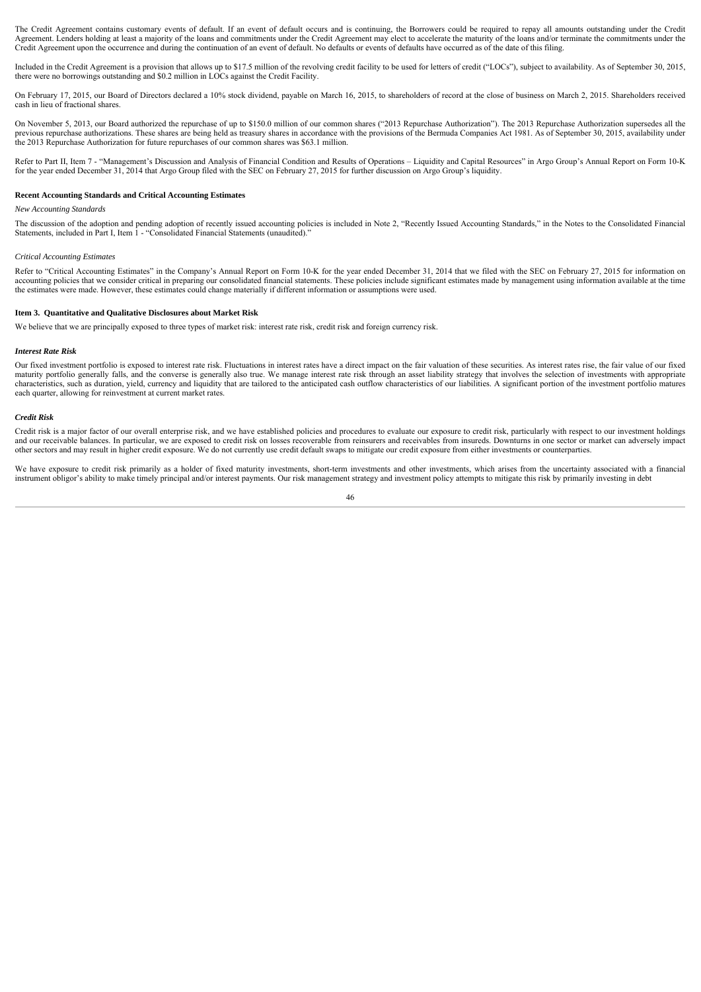The Credit Agreement contains customary events of default. If an event of default occurs and is continuing, the Borrowers could be required to repay all amounts outstanding under the Credit Agreement. Lenders holding at least a majority of the loans and commitments under the Credit Agreement may elect to accelerate the maturity of the loans and/or terminate the commitments under the Credit Agreement upon the occurrence and during the continuation of an event of default. No defaults or events of defaults have occurred as of the date of this filing.

On February 17, 2015, our Board of Directors declared a 10% stock dividend, payable on March 16, 2015, to shareholders of record at the close of business on March 2, 2015. Shareholders received cash in lieu of fractional shares.

Included in the Credit Agreement is a provision that allows up to \$17.5 million of the revolving credit facility to be used for letters of credit ("LOCs"), subject to availability. As of September 30, 2015, there were no borrowings outstanding and \$0.2 million in LOCs against the Credit Facility.

Refer to Part II, Item 7 - "Management's Discussion and Analysis of Financial Condition and Results of Operations – Liquidity and Capital Resources" in Argo Group's Annual Report on Form 10-K for the year ended December 31, 2014 that Argo Group filed with the SEC on February 27, 2015 for further discussion on Argo Group's liquidity.

The discussion of the adoption and pending adoption of recently issued accounting policies is included in Note 2, "Recently Issued Accounting Standards," in the Notes to the Consolidated Financial Statements, included in Part I, Item 1 - "Consolidated Financial Statements (unaudited)."

On November 5, 2013, our Board authorized the repurchase of up to \$150.0 million of our common shares ("2013 Repurchase Authorization"). The 2013 Repurchase Authorization supersedes all the previous repurchase authorizations. These shares are being held as treasury shares in accordance with the provisions of the Bermuda Companies Act 1981. As of September 30, 2015, availability under the 2013 Repurchase Authorization for future repurchases of our common shares was \$63.1 million.

Refer to "Critical Accounting Estimates" in the Company's Annual Report on Form 10-K for the year ended December 31, 2014 that we filed with the SEC on February 27, 2015 for information on accounting policies that we consider critical in preparing our consolidated financial statements. These policies include significant estimates made by management using information available at the time the estimates were made. However, these estimates could change materially if different information or assumptions were used.

Our fixed investment portfolio is exposed to interest rate risk. Fluctuations in interest rates have a direct impact on the fair valuation of these securities. As interest rates rise, the fair value of our fixed maturity portfolio generally falls, and the converse is generally also true. We manage interest rate risk through an asset liability strategy that involves the selection of investments with appropriate characteristics, such as duration, yield, currency and liquidity that are tailored to the anticipated cash outflow characteristics of our liabilities. A significant portion of the investment portfolio matures each quarter, allowing for reinvestment at current market rates.

#### **Recent Accounting Standards and Critical Accounting Estimates**

#### *New Accounting Standards*

#### *Critical Accounting Estimates*

We have exposure to credit risk primarily as a holder of fixed maturity investments, short-term investments and other investments, which arises from the uncertainty associated with a financial instrument obligor's ability to make timely principal and/or interest payments. Our risk management strategy and investment policy attempts to mitigate this risk by primarily investing in debt

#### **Item 3. Quantitative and Qualitative Disclosures about Market Risk**

We believe that we are principally exposed to three types of market risk: interest rate risk, credit risk and foreign currency risk.

#### *Interest Rate Risk*

#### *Credit Risk*

Credit risk is a major factor of our overall enterprise risk, and we have established policies and procedures to evaluate our exposure to credit risk, particularly with respect to our investment holdings and our receivable balances. In particular, we are exposed to credit risk on losses recoverable from reinsurers and receivables from insureds. Downturns in one sector or market can adversely impact other sectors and may result in higher credit exposure. We do not currently use credit default swaps to mitigate our credit exposure from either investments or counterparties.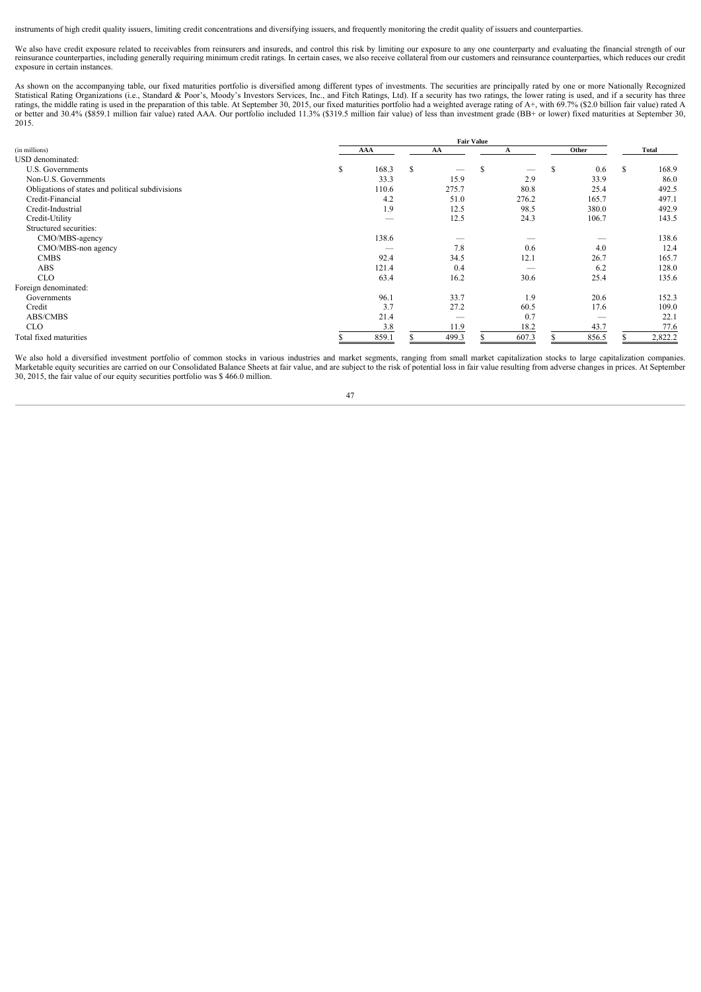instruments of high credit quality issuers, limiting credit concentrations and diversifying issuers, and frequently monitoring the credit quality of issuers and counterparties.

We also have credit exposure related to receivables from reinsurers and insureds, and control this risk by limiting our exposure to any one counterparty and evaluating the financial strength of our reinsurance counterparties, including generally requiring minimum credit ratings. In certain cases, we also receive collateral from our customers and reinsurance counterparties, which reduces our credit exposure in certain instances.

As shown on the accompanying table, our fixed maturities portfolio is diversified among different types of investments. The securities are principally rated by one or more Nationally Recognized Statistical Rating Organizations (i.e., Standard & Poor's, Moody's Investors Services, Inc., and Fitch Ratings, Ltd). If a security has two ratings, the lower rating is used, and if a security has three ratings, the middle rating is used in the preparation of this table. At September 30, 2015, our fixed maturities portfolio had a weighted average rating of A+, with 69.7% (\$2.0 billion fair value) rated A or better and 30.4% (\$859.1 million fair value) rated AAA. Our portfolio included 11.3% (\$319.5 million fair value) of less than investment grade (BB+ or lower) fixed maturities at September 30, 2015.

We also hold a diversified investment portfolio of common stocks in various industries and market segments, ranging from small market capitalization stocks to large capitalization companies. Marketable equity securities are carried on our Consolidated Balance Sheets at fair value, and are subject to the risk of potential loss in fair value resulting from adverse changes in prices. At September 30, 2015, the fair value of our equity securities portfolio was \$ 466.0 million.

|                                                  | <b>Fair Value</b> |    |       |    |       |       |                                |              |         |  |  |  |
|--------------------------------------------------|-------------------|----|-------|----|-------|-------|--------------------------------|--------------|---------|--|--|--|
| (in millions)                                    | <b>AAA</b>        |    | AA    |    |       | Other |                                | <b>Total</b> |         |  |  |  |
| USD denominated:                                 |                   |    |       |    |       |       |                                |              |         |  |  |  |
| U.S. Governments                                 | \$<br>168.3       | \$ |       | \$ |       | \$    | 0.6                            | \$           | 168.9   |  |  |  |
| Non-U.S. Governments                             | 33.3              |    | 15.9  |    | 2.9   |       | 33.9                           |              | 86.0    |  |  |  |
| Obligations of states and political subdivisions | 110.6             |    | 275.7 |    | 80.8  |       | 25.4                           |              | 492.5   |  |  |  |
| Credit-Financial                                 | 4.2               |    | 51.0  |    | 276.2 |       | 165.7                          |              | 497.1   |  |  |  |
| Credit-Industrial                                | 1.9               |    | 12.5  |    | 98.5  |       | 380.0                          |              | 492.9   |  |  |  |
| Credit-Utility                                   |                   |    | 12.5  |    | 24.3  |       | 106.7                          |              | 143.5   |  |  |  |
| Structured securities:                           |                   |    |       |    |       |       |                                |              |         |  |  |  |
| CMO/MBS-agency                                   | 138.6             |    |       |    |       |       |                                |              | 138.6   |  |  |  |
| CMO/MBS-non agency                               | ___               |    | 7.8   |    | 0.6   |       | 4.0                            |              | 12.4    |  |  |  |
| <b>CMBS</b>                                      | 92.4              |    | 34.5  |    | 12.1  |       | 26.7                           |              | 165.7   |  |  |  |
| <b>ABS</b>                                       | 121.4             |    | 0.4   |    |       |       | 6.2                            |              | 128.0   |  |  |  |
| <b>CLO</b>                                       | 63.4              |    | 16.2  |    | 30.6  |       | 25.4                           |              | 135.6   |  |  |  |
| Foreign denominated:                             |                   |    |       |    |       |       |                                |              |         |  |  |  |
| Governments                                      | 96.1              |    | 33.7  |    | 1.9   |       | 20.6                           |              | 152.3   |  |  |  |
| Credit                                           | 3.7               |    | 27.2  |    | 60.5  |       | 17.6                           |              | 109.0   |  |  |  |
| ABS/CMBS                                         | 21.4              |    |       |    | 0.7   |       | $\overbrace{\hspace{25mm}}^{}$ |              | 22.1    |  |  |  |
| <b>CLO</b>                                       | 3.8               |    | 11.9  |    | 18.2  |       | 43.7                           |              | 77.6    |  |  |  |
| Total fixed maturities                           | 859.1             |    | 499.3 |    | 607.3 |       | 856.5                          |              | 2,822.2 |  |  |  |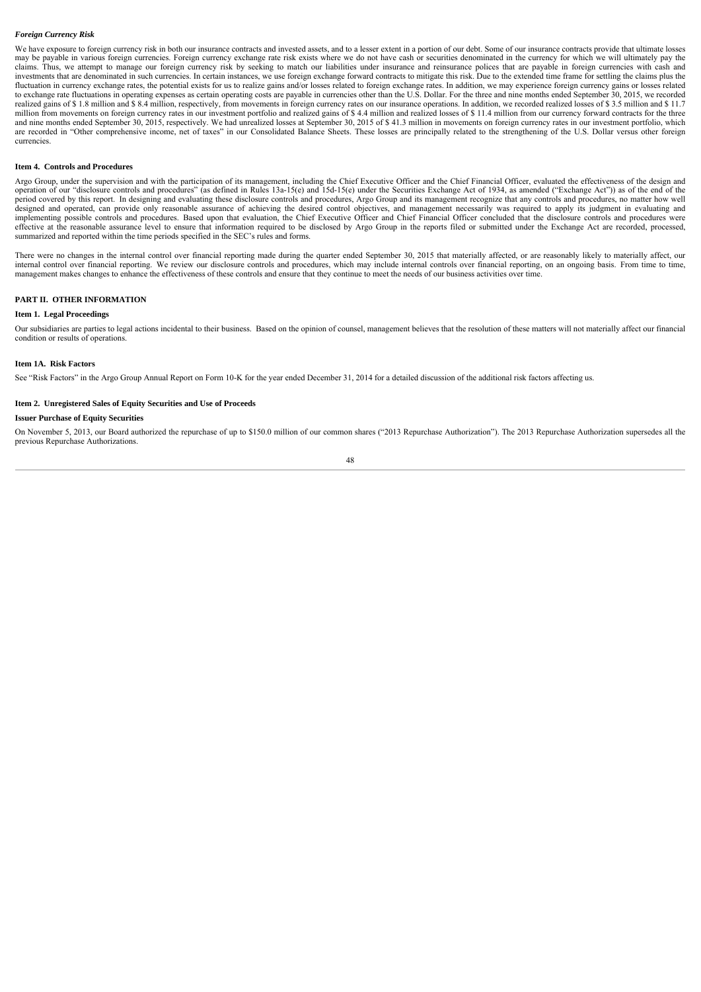#### *Foreign Currency Risk*

We have exposure to foreign currency risk in both our insurance contracts and invested assets, and to a lesser extent in a portion of our debt. Some of our insurance contracts provide that ultimate losses may be payable in various foreign currencies. Foreign currency exchange rate risk exists where we do not have cash or securities denominated in the currency for which we will ultimately pay the claims. Thus, we attempt to manage our foreign currency risk by seeking to match our liabilities under insurance and reinsurance polices that are payable in foreign currencies with cash and investments that are denominated in such currencies. In certain instances, we use foreign exchange forward contracts to mitigate this risk. Due to the extended time frame for settling the claims plus the fluctuation in currency exchange rates, the potential exists for us to realize gains and/or losses related to foreign exchange rates. In addition, we may experience foreign currency gains or losses related to exchange rate fluctuations in operating expenses as certain operating costs are payable in currencies other than the U.S. Dollar. For the three and nine months ended September 30, 2015, we recorded realized gains of \$1.8 million and \$8.4 million, respectively, from movements in foreign currency rates on our insurance operations. In addition, we recorded realized losses of \$3.5 million and \$11.7 million from movements on foreign currency rates in our investment portfolio and realized gains of \$ 4.4 million and realized losses of \$ 11.4 million from our currency forward contracts for the three and nine months ended September 30, 2015, respectively. We had unrealized losses at September 30, 2015 of \$41.3 million in movements on foreign currency rates in our investment portfolio, which are recorded in "Other comprehensive income, net of taxes" in our Consolidated Balance Sheets. These losses are principally related to the strengthening of the U.S. Dollar versus other foreign currencies.

There were no changes in the internal control over financial reporting made during the quarter ended September 30, 2015 that materially affected, or are reasonably likely to materially affect, our internal control over financial reporting. We review our disclosure controls and procedures, which may include internal controls over financial reporting, on an ongoing basis. From time to time, management makes changes to enhance the effectiveness of these controls and ensure that they continue to meet the needs of our business activities over time.

#### **Item 4. Controls and Procedures**

Argo Group, under the supervision and with the participation of its management, including the Chief Executive Officer and the Chief Financial Officer, evaluated the effectiveness of the design and operation of our "disclosure controls and procedures" (as defined in Rules 13a-15(e) and 15d-15(e) under the Securities Exchange Act of 1934, as amended ("Exchange Act")) as of the end of the period covered by this report. In designing and evaluating these disclosure controls and procedures, Argo Group and its management recognize that any controls and procedures, no matter how well designed and operated, can provide only reasonable assurance of achieving the desired control objectives, and management necessarily was required to apply its judgment in evaluating and implementing possible controls and procedures. Based upon that evaluation, the Chief Executive Officer and Chief Financial Officer concluded that the disclosure controls and procedures were effective at the reasonable assurance level to ensure that information required to be disclosed by Argo Group in the reports filed or submitted under the Exchange Act are recorded, processed, summarized and reported within the time periods specified in the SEC's rules and forms.

#### **PART II. OTHER INFORMATION**

#### **Item 1. Legal Proceedings**

Our subsidiaries are parties to legal actions incidental to their business. Based on the opinion of counsel, management believes that the resolution of these matters will not materially affect our financial condition or results of operations.

#### **Item 1A. Risk Factors**

See "Risk Factors" in the Argo Group Annual Report on Form 10-K for the year ended December 31, 2014 for a detailed discussion of the additional risk factors affecting us.

#### **Item 2. Unregistered Sales of Equity Securities and Use of Proceeds**

#### **Issuer Purchase of Equity Securities**

On November 5, 2013, our Board authorized the repurchase of up to \$150.0 million of our common shares ("2013 Repurchase Authorization"). The 2013 Repurchase Authorization supersedes all the previous Repurchase Authorizations.

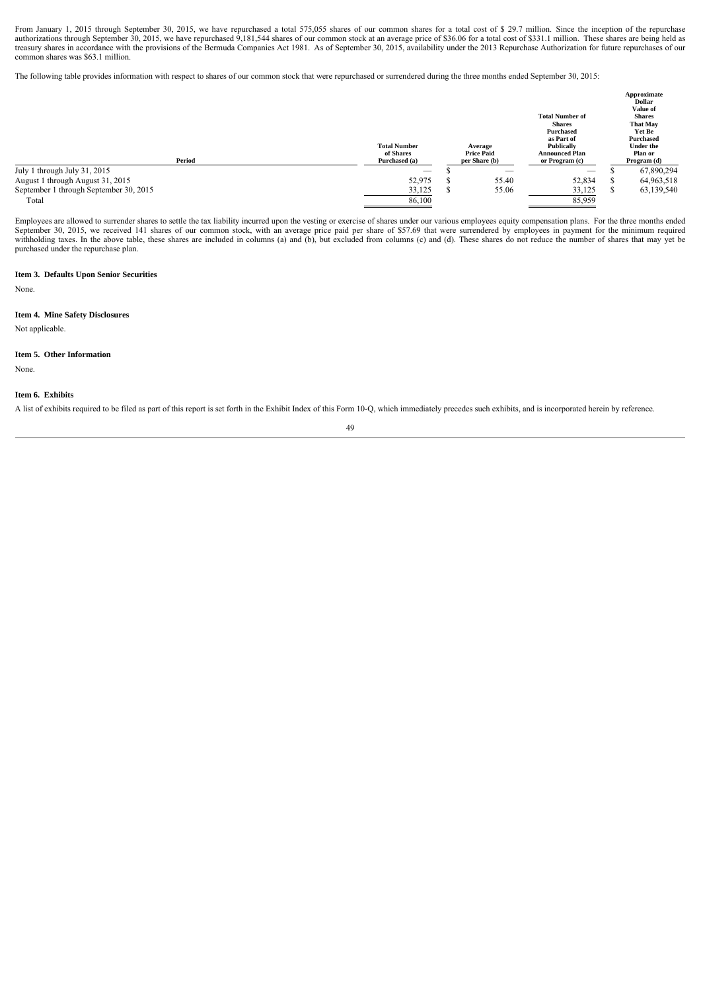From January 1, 2015 through September 30, 2015, we have repurchased a total 575,055 shares of our common shares for a total cost of \$ 29.7 million. Since the inception of the repurchase authorizations through September 30, 2015, we have repurchased 9,181,544 shares of our common stock at an average price of \$36.06 for a total cost of \$331.1 million. These shares are being held as treasury shares in accordance with the provisions of the Bermuda Companies Act 1981. As of September 30, 2015, availability under the 2013 Repurchase Authorization for future repurchases of our common shares was \$63.1 million.

The following table provides information with respect to shares of our common stock that were repurchased or surrendered during the three months ended September 30, 2015:

Employees are allowed to surrender shares to settle the tax liability incurred upon the vesting or exercise of shares under our various employees equity compensation plans. For the three months ended September 30, 2015, we received 141 shares of our common stock, with an average price paid per share of \$57.69 that were surrendered by employees in payment for the minimum required withholding taxes. In the above table, these shares are included in columns (a) and (b), but excluded from columns (c) and (d). These shares do not reduce the number of shares that may yet be purchased under the repurchase plan.

#### **Item 3. Defaults Upon Senior Securities**

None.

#### **Item 4. Mine Safety Disclosures**

Not applicable.

#### **Item 5. Other Information**

None.

#### **Item 6. Exhibits**

A list of exhibits required to be filed as part of this report is set forth in the Exhibit Index of this Form 10-Q, which immediately precedes such exhibits, and is incorporated herein by reference.

| Period                                 | <b>Total Number</b><br>of Shares<br>Purchased (a) |               | Average<br><b>Price Paid</b><br>per Share (b) | <b>Total Number of</b><br>Shares<br><b>Purchased</b><br>as Part of<br><b>Publically</b><br><b>Announced Plan</b><br>or Program (c) | Approximate<br><b>Dollar</b><br>Value of<br>Shares<br><b>That May</b><br><b>Yet Be</b><br>Purchased<br>Under the<br><b>Plan or</b><br>Program $(d)$ |
|----------------------------------------|---------------------------------------------------|---------------|-----------------------------------------------|------------------------------------------------------------------------------------------------------------------------------------|-----------------------------------------------------------------------------------------------------------------------------------------------------|
| July 1 through July 31, 2015           | $\hspace{0.05cm}$                                 | - 10          |                                               | $\hspace{0.1mm}-\hspace{0.1mm}$                                                                                                    | 67,890,294                                                                                                                                          |
| August 1 through August 31, 2015       | 52,975                                            | <sup>\$</sup> | 55.40                                         | 52,834                                                                                                                             | 64,963,518                                                                                                                                          |
| September 1 through September 30, 2015 | 33,125                                            | -S            | 55.06                                         | 33,125                                                                                                                             | 63,139,540                                                                                                                                          |
| Total                                  | 86,100                                            |               |                                               | 85,959                                                                                                                             |                                                                                                                                                     |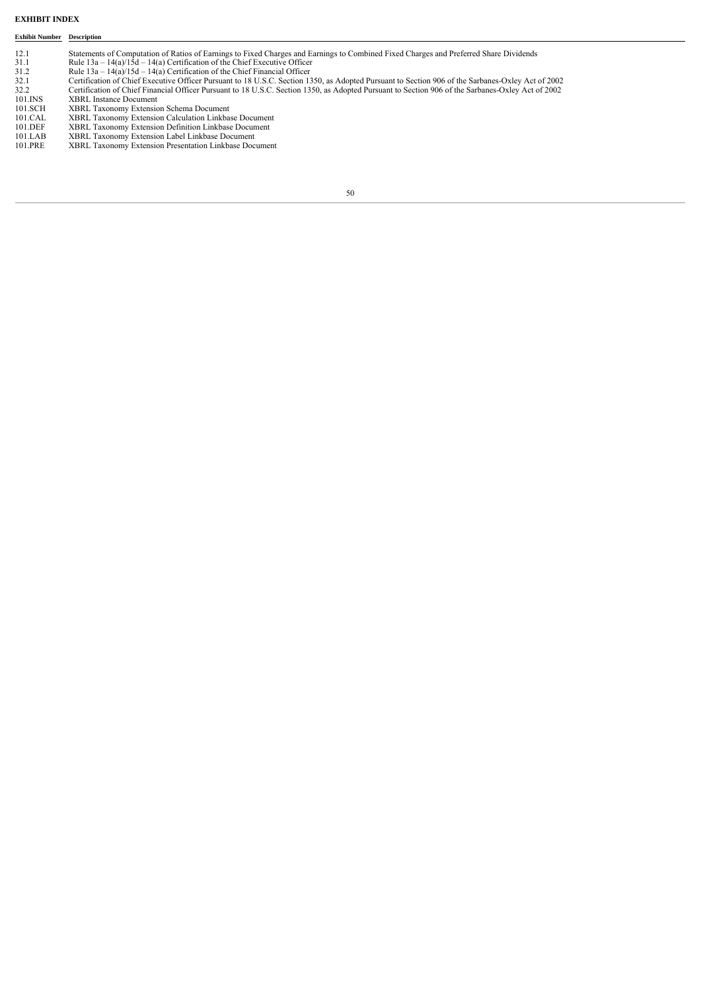## **EXHIBIT INDEX**

| <b>Exhibit Number</b> | <b>Description</b>                                                                                                                                |
|-----------------------|---------------------------------------------------------------------------------------------------------------------------------------------------|
|                       |                                                                                                                                                   |
| 12.1                  | Statements of Computation of Ratios of Earnings to Fixed Charges and Earnings to Combined Fixed Charges and Preferred Share Dividends             |
| 31.1                  | Rule $13a - 14(a)/15d - 14(a)$ Certification of the Chief Executive Officer                                                                       |
| 31.2                  | Rule $13a - 14(a)/15d - 14(a)$ Certification of the Chief Financial Officer                                                                       |
| 32.1                  | Certification of Chief Executive Officer Pursuant to 18 U.S.C. Section 1350, as Adopted Pursuant to Section 906 of the Sarbanes-Oxley Act of 2002 |
| 32.2                  | Certification of Chief Financial Officer Pursuant to 18 U.S.C. Section 1350, as Adopted Pursuant to Section 906 of the Sarbanes-Oxley Act of 2002 |
| $101$ . INS           | <b>XBRL</b> Instance Document                                                                                                                     |
| 101.SCH               | <b>XBRL Taxonomy Extension Schema Document</b>                                                                                                    |
| 101.CAL               | XBRL Taxonomy Extension Calculation Linkbase Document                                                                                             |
| 101.DEF               | XBRL Taxonomy Extension Definition Linkbase Document                                                                                              |
| 101.LAB               | XBRL Taxonomy Extension Label Linkbase Document                                                                                                   |
| 101.PRE               | XBRL Taxonomy Extension Presentation Linkbase Document                                                                                            |
|                       |                                                                                                                                                   |
|                       |                                                                                                                                                   |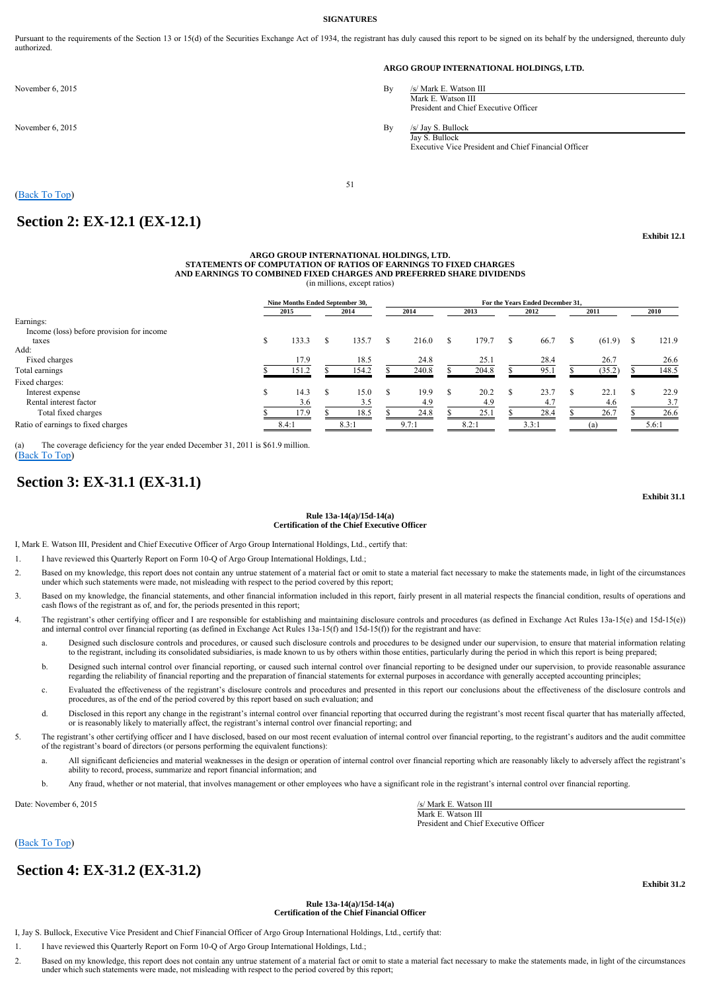#### **SIGNATURES**

Pursuant to the requirements of the Section 13 or 15(d) of the Securities Exchange Act of 1934, the registrant has duly caused this report to be signed on its behalf by the undersigned, thereunto duly authorized.

51

(Back To Top)

**Exhibit 12.1**

#### **ARGO GROUP INTERNATIONAL HOLDINGS, LTD. STATEMENTS OF COMPUTATION OF RATIOS OF EARNINGS TO FIXED CHARGES AND EARNINGS TO COMBINED FIXED CHARGES AND PREFERRED SHARE DIVIDENDS**  (in millions, except ratios)

**Exhibit 31.1**

#### **Rule 13a-14(a)/15d-14(a) Certification of the Chief Executive Officer**

I, Mark E. Watson III, President and Chief Executive Officer of Argo Group International Holdings, Ltd., certify that:

(Back To Top)

**Exhibit 31.2**

#### **Rule 13a-14(a)/15d-14(a) Certification of the Chief Financial Officer**

I, Jay S. Bullock, Executive Vice President and Chief Financial Officer of Argo Group International Holdings, Ltd., certify that:

#### **ARGO GROUP INTERNATIONAL HOLDINGS, LTD.**

- November 6, 2015 By *Is/ Mark E. Watson III*  Mark E. Watson III President and Chief Executive Officer
- November 6, 2015 By *Islam S* and S and S and S and S and S and S and S and S and S and S and S and S and S and S and S and S and S and S and S and S and S and S and S and S and S and S and S and S and S and S and S and S

 Jay S. Bullock Executive Vice President and Chief Financial Officer

## **Section 2: EX-12.1 (EX-12.1)**

(Back To Top) (a) The coverage deficiency for the year ended December 31, 2011 is \$61.9 million.

|                                           | Nine Months Ended September 30, |       |      |       |               | For the Years Ended December 31, |      |       |      |       |      |        |  |             |
|-------------------------------------------|---------------------------------|-------|------|-------|---------------|----------------------------------|------|-------|------|-------|------|--------|--|-------------|
|                                           | 2015                            |       | 2014 |       | 2014          |                                  | 2013 |       | 2012 |       | 2011 |        |  | <b>2010</b> |
| Earnings:                                 |                                 |       |      |       |               |                                  |      |       |      |       |      |        |  |             |
| Income (loss) before provision for income |                                 |       |      |       |               |                                  |      |       |      |       |      |        |  |             |
| taxes                                     | D                               | 133.3 |      | 135.7 | <sup>\$</sup> | 216.0                            |      | 179.7 |      | 66.7  |      | (61.9) |  | 121.9       |
| Add:                                      |                                 |       |      |       |               |                                  |      |       |      |       |      |        |  |             |
| Fixed charges                             |                                 | 17.9  |      | 18.5  |               | 24.8                             |      | 25.1  |      | 28.4  |      | 26.7   |  | 26.6        |
| Total earnings                            |                                 | 151.2 |      | 154.2 |               | 240.8                            |      | 204.8 |      | 95.1  |      | (35.2) |  | 148.5       |
| Fixed charges:                            |                                 |       |      |       |               |                                  |      |       |      |       |      |        |  |             |
| Interest expense                          | Ъ.                              | 14.3  |      | 15.0  |               | 19.9                             |      | 20.2  |      | 23.7  | \$.  | 22.    |  | 22.9        |
| Rental interest factor                    |                                 | 3.6   |      | 3.5   |               | 4.9                              |      | 4.9   |      |       |      | 4.6    |  | 3.7         |
| Total fixed charges                       |                                 | 17.9  |      | 18.5  |               | 24.8                             |      | 25.1  |      | 28.4  |      | 26.7   |  | 26.6        |
| Ratio of earnings to fixed charges        |                                 | 8.4:1 |      | 8.3:1 |               | 9.7:1                            |      | 8.2:1 |      | 3.3:1 |      |        |  | 5.6:1       |

## **Section 3: EX-31.1 (EX-31.1)**

- 1. I have reviewed this Quarterly Report on Form 10-Q of Argo Group International Holdings, Ltd.;
- 2. Based on my knowledge, this report does not contain any untrue statement of a material fact or omit to state a material fact necessary to make the statements made, in light of the circumstances under which such statements were made, not misleading with respect to the period covered by this report;
- 3. Based on my knowledge, the financial statements, and other financial information included in this report, fairly present in all material respects the financial condition, results of operations and cash flows of the registrant as of, and for, the periods presented in this report;
- 4. The registrant's other certifying officer and I are responsible for establishing and maintaining disclosure controls and procedures (as defined in Exchange Act Rules 13a-15(e) and 15d-15(e)) and internal control over financial reporting (as defined in Exchange Act Rules 13a-15(f) and 15d-15(f)) for the registrant and have:
	- a. Designed such disclosure controls and procedures, or caused such disclosure controls and procedures to be designed under our supervision, to ensure that material information relating to the registrant, including its consolidated subsidiaries, is made known to us by others within those entities, particularly during the period in which this report is being prepared;
	- b. Designed such internal control over financial reporting, or caused such internal control over financial reporting to be designed under our supervision, to provide reasonable assurance regarding the reliability of financial reporting and the preparation of financial statements for external purposes in accordance with generally accepted accounting principles;
	- c. Evaluated the effectiveness of the registrant's disclosure controls and procedures and presented in this report our conclusions about the effectiveness of the disclosure controls and procedures, as of the end of the period covered by this report based on such evaluation; and
	- d. Disclosed in this report any change in the registrant's internal control over financial reporting that occurred during the registrant's most recent fiscal quarter that has materially affected, or is reasonably likely to materially affect, the registrant's internal control over financial reporting; and
- 5. The registrant's other certifying officer and I have disclosed, based on our most recent evaluation of internal control over financial reporting, to the registrant's auditors and the audit committee of the registrant's board of directors (or persons performing the equivalent functions):
	-
	- a. All significant deficiencies and material weaknesses in the design or operation of internal control over financial reporting which are reasonably likely to adversely affect the registrant's ability to record, process, summarize and report financial information; and
	- b. Any fraud, whether or not material, that involves management or other employees who have a significant role in the registrant's internal control over financial reporting.

Date: November 6, 2015 /s/ Mark E. Watson III

 Mark E. Watson III President and Chief Executive Officer

## **Section 4: EX-31.2 (EX-31.2)**

- 1. I have reviewed this Quarterly Report on Form 10-Q of Argo Group International Holdings, Ltd.;
- 2. Based on my knowledge, this report does not contain any untrue statement of a material fact or omit to state a material fact necessary to make the statements made, in light of the circumstances under which such statements were made, not misleading with respect to the period covered by this report;